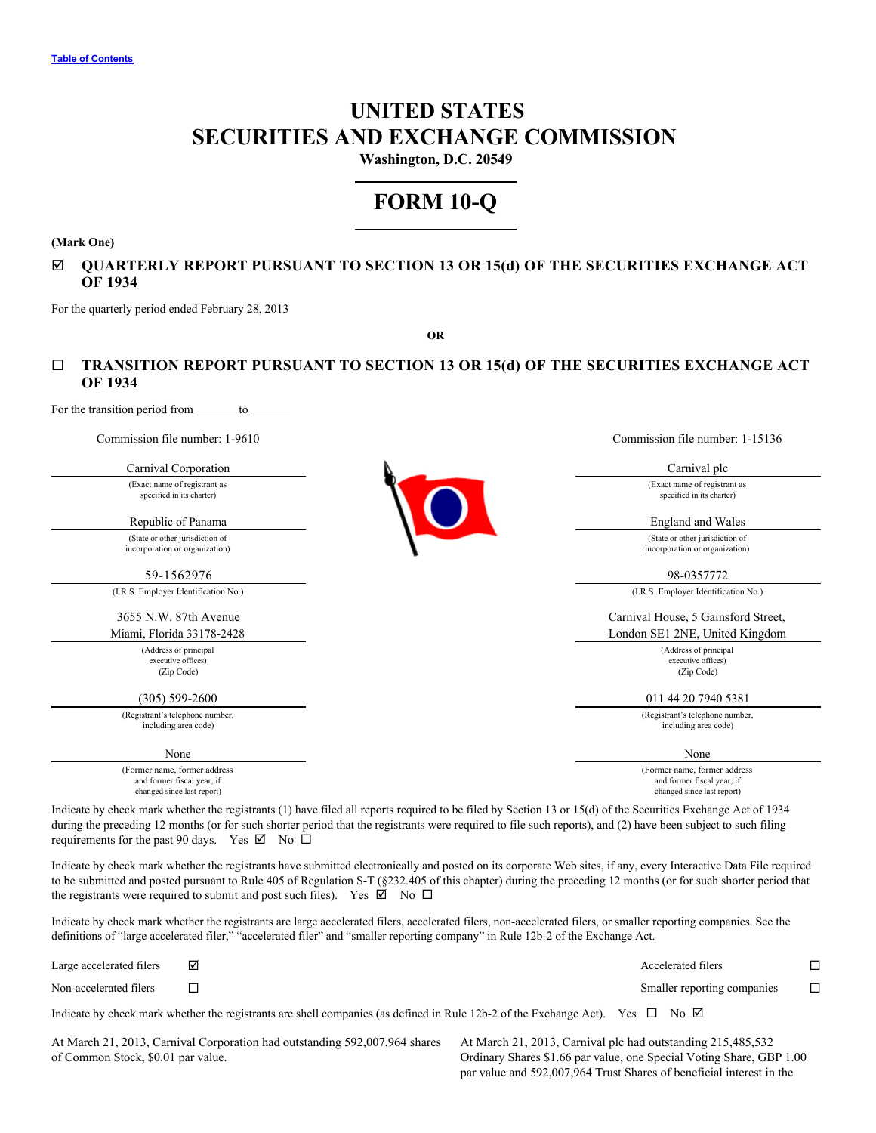# **UNITED STATES SECURITIES AND EXCHANGE COMMISSION**

**Washington, D.C. 20549**

# **FORM 10-Q**

**(Mark One)**

### **QUARTERLY REPORT PURSUANT TO SECTION 13 OR 15(d) OF THE SECURITIES EXCHANGE ACT OF 1934**

For the quarterly period ended February 28, 2013

**OR**

### □ **TRANSITION REPORT PURSUANT TO SECTION 13 OR 15(d) OF THE SECURITIES EXCHANGE ACT OF 1934**

For the transition period from \_\_\_\_\_\_\_ to \_

Commission file number: 1-9610 Commission file number: 1-15136

Carnival Corporation and the corporation of the corporation of the corporation of the corporation of the corporation of the corporation of the corporation of the corporation of the corporation of the corporation of the cor

(Exact name of registrant as specified in its charter)

Republic of Panama England and Wales (State or other jurisdiction of incorporation or organization)

59-1562976 98-0357772

(Address of principal executive offices)

(Registrant's telephone number, including area code)

None None (Former name, former address and former fiscal year, if

changed since last report)

Indicate by check mark whether the registrants (1) have filed all reports required to be filed by Section 13 or 15(d) of the Securities Exchange Act of 1934 during the preceding 12 months (or for such shorter period that the registrants were required to file such reports), and (2) have been subject to such filing requirements for the past 90 days. Yes  $\boxtimes$  No  $\square$ 

Indicate by check mark whether the registrants have submitted electronically and posted on its corporate Web sites, if any, every Interactive Data File required to be submitted and posted pursuant to Rule 405 of Regulation S-T (§232.405 of this chapter) during the preceding 12 months (or for such shorter period that the registrants were required to submit and post such files). Yes  $\boxtimes$  No  $\square$ 

Indicate by check mark whether the registrants are large accelerated filers, accelerated filers, non-accelerated filers, or smaller reporting companies. See the definitions of "large accelerated filer," "accelerated filer" and "smaller reporting company" in Rule 12b-2 of the Exchange Act.

Large accelerated filers  $\Box$ 

Non-accelerated filers ¨ Smaller reporting companies ¨

Indicate by check mark whether the registrants are shell companies (as defined in Rule 12b-2 of the Exchange Act). Yes  $\Box$  No  $\Box$ 

At March 21, 2013, Carnival Corporation had outstanding 592,007,964 shares of Common Stock, \$0.01 par value.

At March 21, 2013, Carnival plc had outstanding 215,485,532 Ordinary Shares \$1.66 par value, one Special Voting Share, GBP 1.00 par value and 592,007,964 Trust Shares of beneficial interest in the

(305) 599-2600 011 44 20 7940 5381 (Registrant's telephone number,

(Former name, former address

changed since last report)

(Exact name of registrant as specified in its charter)

(State or other jurisdiction of incorporation or organization)

(I.R.S. Employer Identification No.) (I.R.S. Employer Identification No.)

3655 N.W. 87th Avenue Carnival House, 5 Gainsford Street, Miami, Florida 33178-2428 London SE1 2NE, United Kingdom (Address of principal

executive offices) (Zip Code) (Zip Code)

including area code)

and former fiscal year, if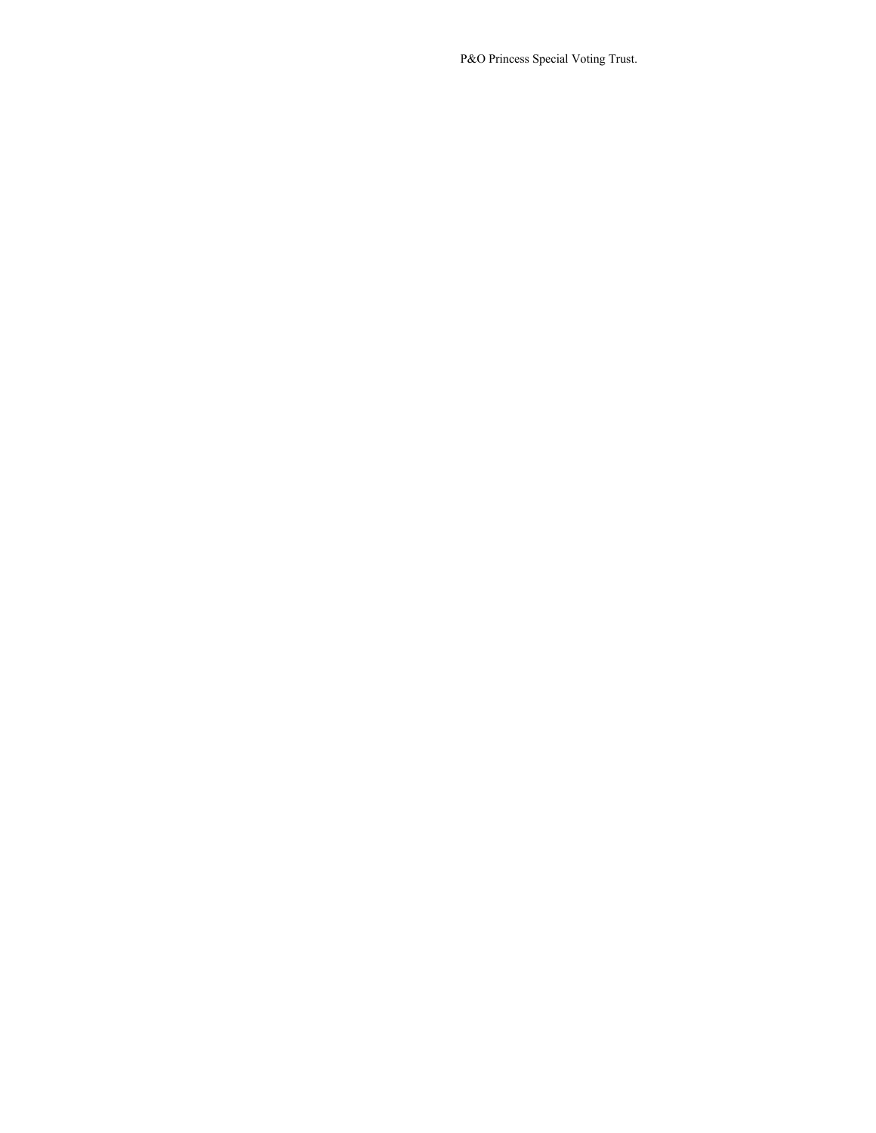P&O Princess Special Voting Trust.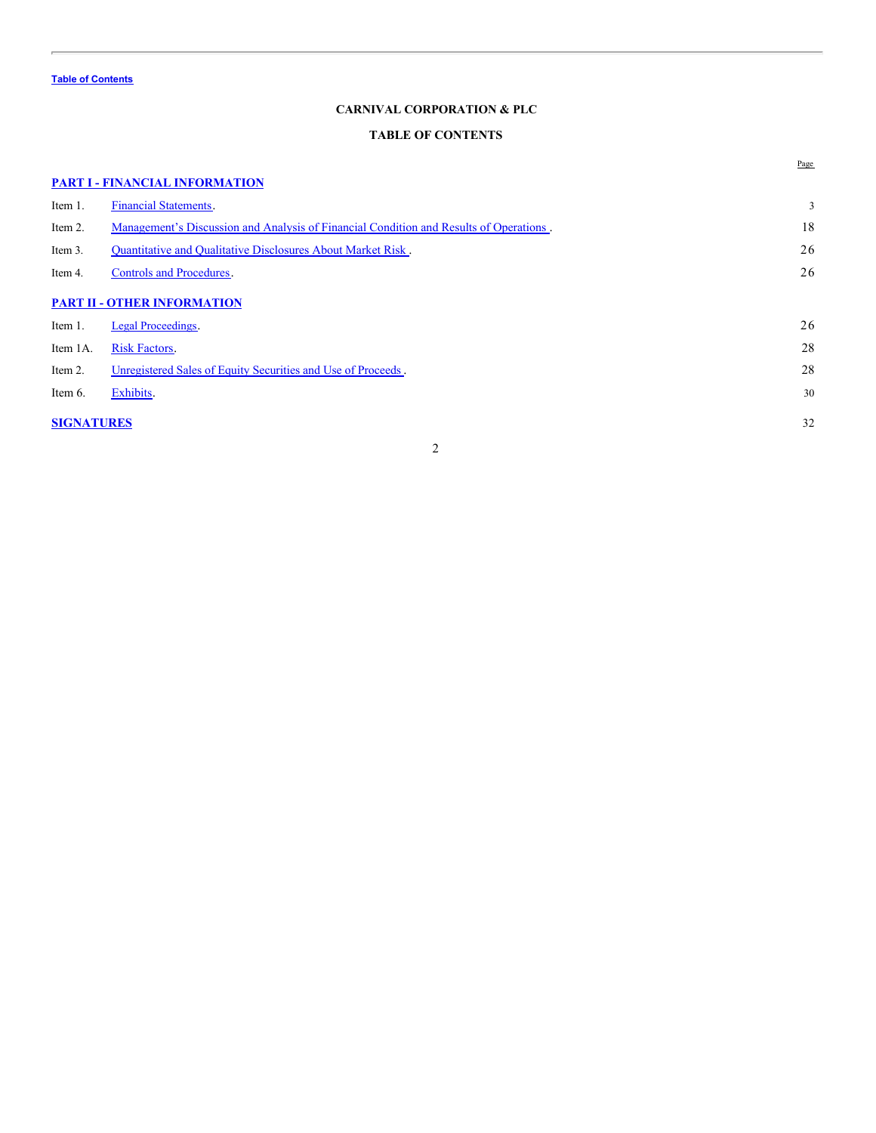### **CARNIVAL CORPORATION & PLC**

### **TABLE OF CONTENTS**

<span id="page-2-0"></span>

|                   |                                                                                        | Page |
|-------------------|----------------------------------------------------------------------------------------|------|
|                   | <b>PART I - FINANCIAL INFORMATION</b>                                                  |      |
| Item 1.           | <b>Financial Statements.</b>                                                           | 3    |
| Item 2.           | Management's Discussion and Analysis of Financial Condition and Results of Operations. | 18   |
| Item 3.           | <b>Ouantitative and Qualitative Disclosures About Market Risk.</b>                     | 26   |
| Item 4.           | <b>Controls and Procedures.</b>                                                        | 26   |
|                   | <b>PART II - OTHER INFORMATION</b>                                                     |      |
| Item 1.           | Legal Proceedings.                                                                     | 26   |
| Item 1A.          | <b>Risk Factors.</b>                                                                   | 28   |
| Item 2.           | Unregistered Sales of Equity Securities and Use of Proceeds.                           | 28   |
| Item 6.           | Exhibits.                                                                              | 30   |
| <b>SIGNATURES</b> |                                                                                        | 32   |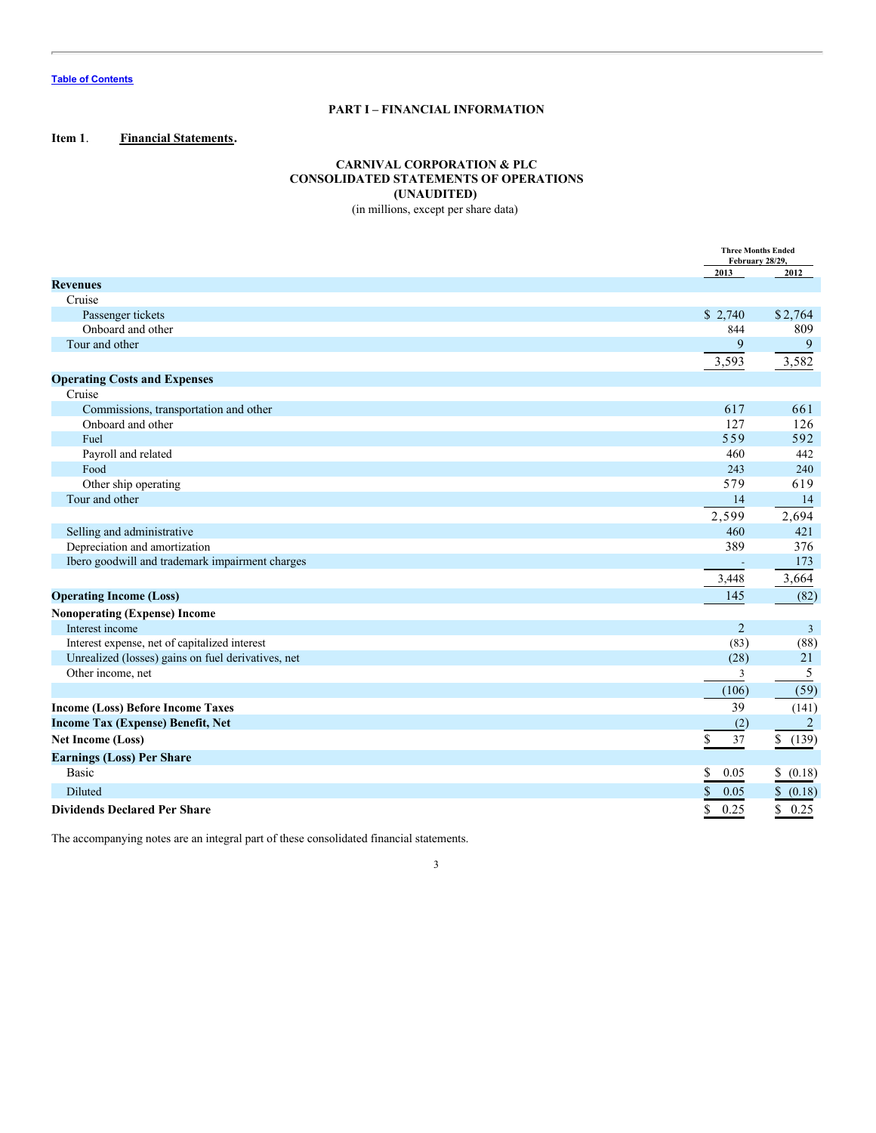### **PART I – FINANCIAL INFORMATION**

### <span id="page-3-0"></span>**Item 1**. **Financial Statements.**

### **CARNIVAL CORPORATION & PLC CONSOLIDATED STATEMENTS OF OPERATIONS (UNAUDITED)**

(in millions, except per share data)

|                                                    |                | <b>Three Months Ended</b><br>February 28/29. |
|----------------------------------------------------|----------------|----------------------------------------------|
|                                                    | 2013           | 2012                                         |
| <b>Revenues</b>                                    |                |                                              |
| Cruise                                             |                |                                              |
| Passenger tickets                                  | \$2,740        | \$2,764                                      |
| Onboard and other                                  | 844            | 809                                          |
| Tour and other                                     | 9              | 9                                            |
|                                                    | 3,593          | 3,582                                        |
| <b>Operating Costs and Expenses</b>                |                |                                              |
| Cruise                                             |                |                                              |
| Commissions, transportation and other              | 617            | 661                                          |
| Onboard and other                                  | 127            | 126                                          |
| Fuel                                               | 559            | 592                                          |
| Payroll and related                                | 460            | 442                                          |
| Food                                               | 243            | 240                                          |
| Other ship operating                               | 579            | 619                                          |
| Tour and other                                     | 14             | 14                                           |
|                                                    | 2,599          | 2,694                                        |
| Selling and administrative                         | 460            | 421                                          |
| Depreciation and amortization                      | 389            | 376                                          |
| Ibero goodwill and trademark impairment charges    |                | 173                                          |
|                                                    | 3,448          | 3,664                                        |
| <b>Operating Income (Loss)</b>                     | 145            | (82)                                         |
| <b>Nonoperating (Expense) Income</b>               |                |                                              |
| Interest income                                    | $\overline{2}$ | $\overline{\mathbf{3}}$                      |
| Interest expense, net of capitalized interest      | (83)           | (88)                                         |
| Unrealized (losses) gains on fuel derivatives, net | (28)           | 21                                           |
| Other income, net                                  | 3              | 5                                            |
|                                                    | (106)          | (59)                                         |
| <b>Income (Loss) Before Income Taxes</b>           | 39             | (141)                                        |
| <b>Income Tax (Expense) Benefit, Net</b>           | (2)            | $\overline{2}$                               |
|                                                    | \$<br>$37\,$   | \$(139)                                      |
| <b>Net Income (Loss)</b>                           |                |                                              |
| <b>Earnings (Loss) Per Share</b>                   |                |                                              |
| Basic                                              | \$<br>0.05     | \$<br>(0.18)                                 |
| <b>Diluted</b>                                     | \$<br>0.05     | \$ (0.18)                                    |
| <b>Dividends Declared Per Share</b>                | \$<br>0.25     | \$<br>0.25                                   |

The accompanying notes are an integral part of these consolidated financial statements.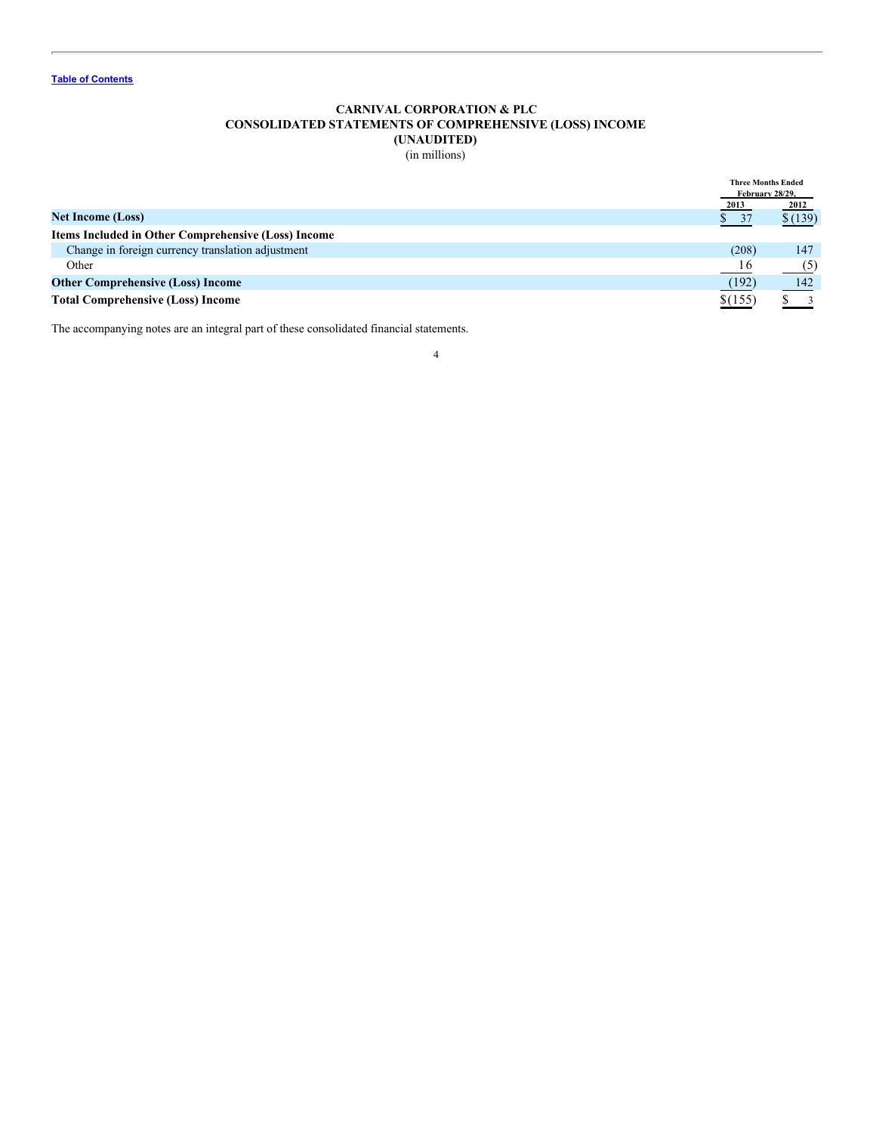### **CARNIVAL CORPORATION & PLC CONSOLIDATED STATEMENTS OF COMPREHENSIVE (LOSS) INCOME (UNAUDITED)** (in millions)

|                                                            | <b>Three Months Ended</b> |         |  |
|------------------------------------------------------------|---------------------------|---------|--|
|                                                            | February 28/29,           |         |  |
|                                                            | 2013                      | 2012    |  |
| <b>Net Income (Loss)</b>                                   | $\mathbb{S}^-$<br>37      | \$(139) |  |
| <b>Items Included in Other Comprehensive (Loss) Income</b> |                           |         |  |
| Change in foreign currency translation adjustment          | (208)                     | 147     |  |
| Other                                                      | $\frac{16}{1}$            | (5)     |  |
| <b>Other Comprehensive (Loss) Income</b>                   | (192)                     | 142     |  |
| <b>Total Comprehensive (Loss) Income</b>                   | \$(155)                   |         |  |

4

The accompanying notes are an integral part of these consolidated financial statements.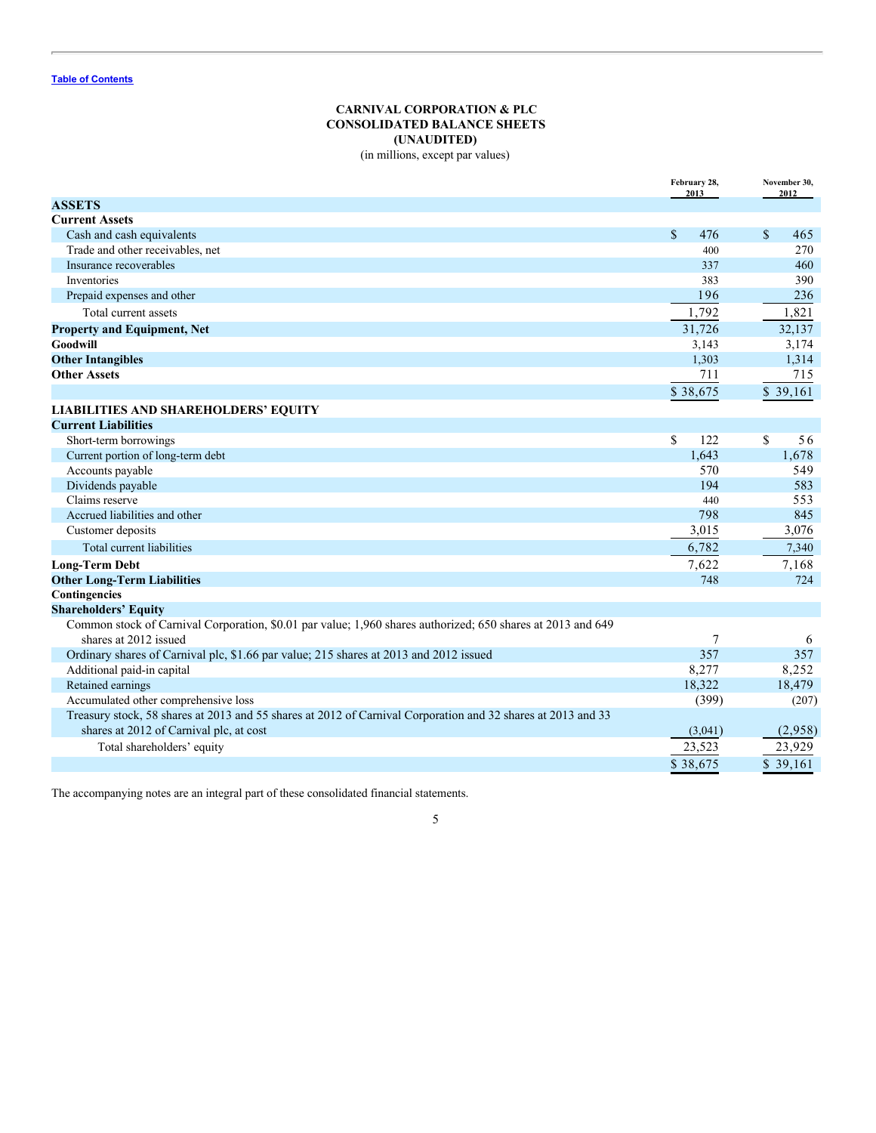## **CARNIVAL CORPORATION & PLC CONSOLIDATED BALANCE SHEETS (UNAUDITED)**

|                                                                                                              | February 28,<br>2013 | November 30,<br>2012 |
|--------------------------------------------------------------------------------------------------------------|----------------------|----------------------|
| <b>ASSETS</b>                                                                                                |                      |                      |
| <b>Current Assets</b>                                                                                        |                      |                      |
| Cash and cash equivalents                                                                                    | $\mathbf S$<br>476   | $\mathbf S$<br>465   |
| Trade and other receivables, net                                                                             | 400                  | 270                  |
| Insurance recoverables                                                                                       | 337                  | 460                  |
| Inventories                                                                                                  | 383                  | 390                  |
| Prepaid expenses and other                                                                                   | 196                  | 236                  |
| Total current assets                                                                                         | 1,792                | 1,821                |
| <b>Property and Equipment, Net</b>                                                                           | 31,726               | 32,137               |
| Goodwill                                                                                                     | 3,143                | 3,174                |
| <b>Other Intangibles</b>                                                                                     | 1,303                | 1,314                |
| <b>Other Assets</b>                                                                                          | 711                  | 715                  |
|                                                                                                              | \$38,675             | \$39,161             |
| <b>LIABILITIES AND SHAREHOLDERS' EQUITY</b>                                                                  |                      |                      |
| <b>Current Liabilities</b>                                                                                   |                      |                      |
| Short-term borrowings                                                                                        | \$<br>122            | \$<br>56             |
| Current portion of long-term debt                                                                            | 1.643                | 1.678                |
| Accounts payable                                                                                             | 570                  | 549                  |
| Dividends payable                                                                                            | 194                  | 583                  |
| Claims reserve                                                                                               | 440                  | 553                  |
| Accrued liabilities and other                                                                                | 798                  | 845                  |
| Customer deposits                                                                                            | 3,015                | 3,076                |
| Total current liabilities                                                                                    | 6,782                | 7.340                |
| <b>Long-Term Debt</b>                                                                                        | 7,622                | 7,168                |
| <b>Other Long-Term Liabilities</b>                                                                           | 748                  | 724                  |
| Contingencies                                                                                                |                      |                      |
| <b>Shareholders' Equity</b>                                                                                  |                      |                      |
| Common stock of Carnival Corporation, \$0.01 par value; 1,960 shares authorized; 650 shares at 2013 and 649  |                      |                      |
| shares at 2012 issued                                                                                        | 7                    | 6                    |
| Ordinary shares of Carnival plc, \$1.66 par value; 215 shares at 2013 and 2012 issued                        | 357                  | 357                  |
| Additional paid-in capital                                                                                   | 8,277                | 8,252                |
| Retained earnings                                                                                            | 18,322               | 18,479               |
| Accumulated other comprehensive loss                                                                         | (399)                | (207)                |
| Treasury stock, 58 shares at 2013 and 55 shares at 2012 of Carnival Corporation and 32 shares at 2013 and 33 |                      |                      |
| shares at 2012 of Carnival plc, at cost                                                                      | (3,041)              | (2,958)              |
| Total shareholders' equity                                                                                   | 23,523               | 23,929               |
|                                                                                                              | \$38,675             | \$39.161             |

The accompanying notes are an integral part of these consolidated financial statements.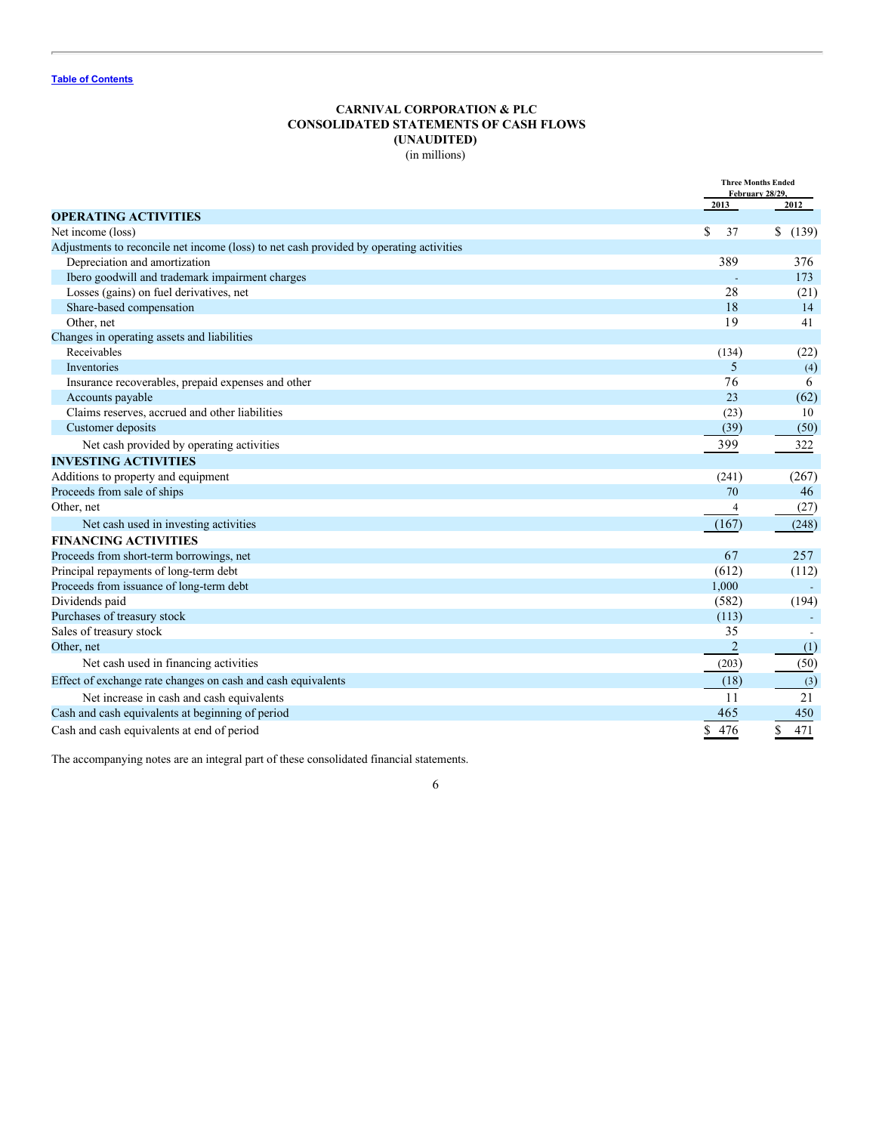### **CARNIVAL CORPORATION & PLC CONSOLIDATED STATEMENTS OF CASH FLOWS (UNAUDITED)** (in millions)

|                                                                                         |                | <b>Three Months Ended</b><br>February 28/29. |
|-----------------------------------------------------------------------------------------|----------------|----------------------------------------------|
|                                                                                         | 2013           | 2012                                         |
| <b>OPERATING ACTIVITIES</b>                                                             |                |                                              |
| Net income (loss)                                                                       | \$<br>37       | S.<br>(139)                                  |
| Adjustments to reconcile net income (loss) to net cash provided by operating activities |                |                                              |
| Depreciation and amortization                                                           | 389            | 376                                          |
| Ibero goodwill and trademark impairment charges                                         |                | 173                                          |
| Losses (gains) on fuel derivatives, net                                                 | 28             | (21)                                         |
| Share-based compensation                                                                | 18             | 14                                           |
| Other, net                                                                              | 19             | 41                                           |
| Changes in operating assets and liabilities                                             |                |                                              |
| Receivables                                                                             | (134)          | (22)                                         |
| Inventories                                                                             | 5<br>76        | (4)                                          |
| Insurance recoverables, prepaid expenses and other                                      |                | 6                                            |
| Accounts payable                                                                        | 23             | (62)                                         |
| Claims reserves, accrued and other liabilities                                          | (23)           | 10                                           |
| Customer deposits                                                                       | (39)           | (50)                                         |
| Net cash provided by operating activities                                               | 399            | 322                                          |
| <b>INVESTING ACTIVITIES</b>                                                             |                |                                              |
| Additions to property and equipment                                                     | (241)          | (267)                                        |
| Proceeds from sale of ships                                                             | 70             | 46                                           |
| Other, net                                                                              | $\overline{4}$ | (27)                                         |
| Net cash used in investing activities                                                   | (167)          | (248)                                        |
| <b>FINANCING ACTIVITIES</b>                                                             |                |                                              |
| Proceeds from short-term borrowings, net                                                | 67             | 257                                          |
| Principal repayments of long-term debt                                                  | (612)          | (112)                                        |
| Proceeds from issuance of long-term debt                                                | 1,000          |                                              |
| Dividends paid                                                                          | (582)          | (194)                                        |
| Purchases of treasury stock                                                             | (113)          |                                              |
| Sales of treasury stock                                                                 | 35             |                                              |
| Other, net                                                                              | $\overline{2}$ | (1)                                          |
| Net cash used in financing activities                                                   | (203)          | (50)                                         |
| Effect of exchange rate changes on cash and cash equivalents                            | (18)           | (3)                                          |
| Net increase in cash and cash equivalents                                               | 11             | 21                                           |
| Cash and cash equivalents at beginning of period                                        | 465            | 450                                          |
| Cash and cash equivalents at end of period                                              | \$<br>476      | \$<br>471                                    |

The accompanying notes are an integral part of these consolidated financial statements.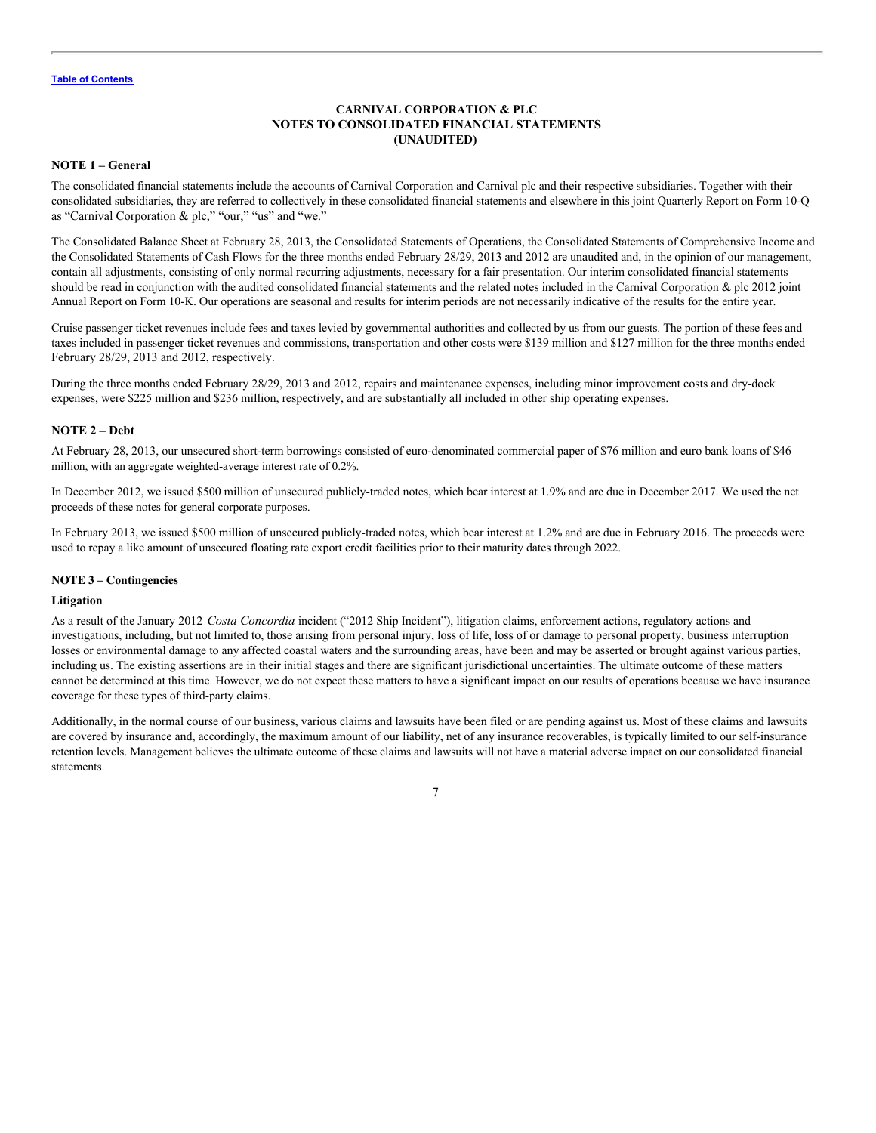### **CARNIVAL CORPORATION & PLC NOTES TO CONSOLIDATED FINANCIAL STATEMENTS (UNAUDITED)**

#### **NOTE 1 – General**

The consolidated financial statements include the accounts of Carnival Corporation and Carnival plc and their respective subsidiaries. Together with their consolidated subsidiaries, they are referred to collectively in these consolidated financial statements and elsewhere in this joint Quarterly Report on Form 10-Q as "Carnival Corporation & plc," "our," "us" and "we."

The Consolidated Balance Sheet at February 28, 2013, the Consolidated Statements of Operations, the Consolidated Statements of Comprehensive Income and the Consolidated Statements of Cash Flows for the three months ended February 28/29, 2013 and 2012 are unaudited and, in the opinion of our management, contain all adjustments, consisting of only normal recurring adjustments, necessary for a fair presentation. Our interim consolidated financial statements should be read in conjunction with the audited consolidated financial statements and the related notes included in the Carnival Corporation  $\&$  plc 2012 joint Annual Report on Form 10-K. Our operations are seasonal and results for interim periods are not necessarily indicative of the results for the entire year.

Cruise passenger ticket revenues include fees and taxes levied by governmental authorities and collected by us from our guests. The portion of these fees and taxes included in passenger ticket revenues and commissions, transportation and other costs were \$139 million and \$127 million for the three months ended February 28/29, 2013 and 2012, respectively.

During the three months ended February 28/29, 2013 and 2012, repairs and maintenance expenses, including minor improvement costs and dry-dock expenses, were \$225 million and \$236 million, respectively, and are substantially all included in other ship operating expenses.

#### **NOTE 2 – Debt**

At February 28, 2013, our unsecured short-term borrowings consisted of euro-denominated commercial paper of \$76 million and euro bank loans of \$46 million, with an aggregate weighted-average interest rate of 0.2%.

In December 2012, we issued \$500 million of unsecured publicly-traded notes, which bear interest at 1.9% and are due in December 2017. We used the net proceeds of these notes for general corporate purposes.

In February 2013, we issued \$500 million of unsecured publicly-traded notes, which bear interest at 1.2% and are due in February 2016. The proceeds were used to repay a like amount of unsecured floating rate export credit facilities prior to their maturity dates through 2022.

#### **NOTE 3 – Contingencies**

#### **Litigation**

As a result of the January 2012 *Costa Concordia* incident ("2012 Ship Incident"), litigation claims, enforcement actions, regulatory actions and investigations, including, but not limited to, those arising from personal injury, loss of life, loss of or damage to personal property, business interruption losses or environmental damage to any affected coastal waters and the surrounding areas, have been and may be asserted or brought against various parties, including us. The existing assertions are in their initial stages and there are significant jurisdictional uncertainties. The ultimate outcome of these matters cannot be determined at this time. However, we do not expect these matters to have a significant impact on our results of operations because we have insurance coverage for these types of third-party claims.

Additionally, in the normal course of our business, various claims and lawsuits have been filed or are pending against us. Most of these claims and lawsuits are covered by insurance and, accordingly, the maximum amount of our liability, net of any insurance recoverables, is typically limited to our self-insurance retention levels. Management believes the ultimate outcome of these claims and lawsuits will not have a material adverse impact on our consolidated financial statements.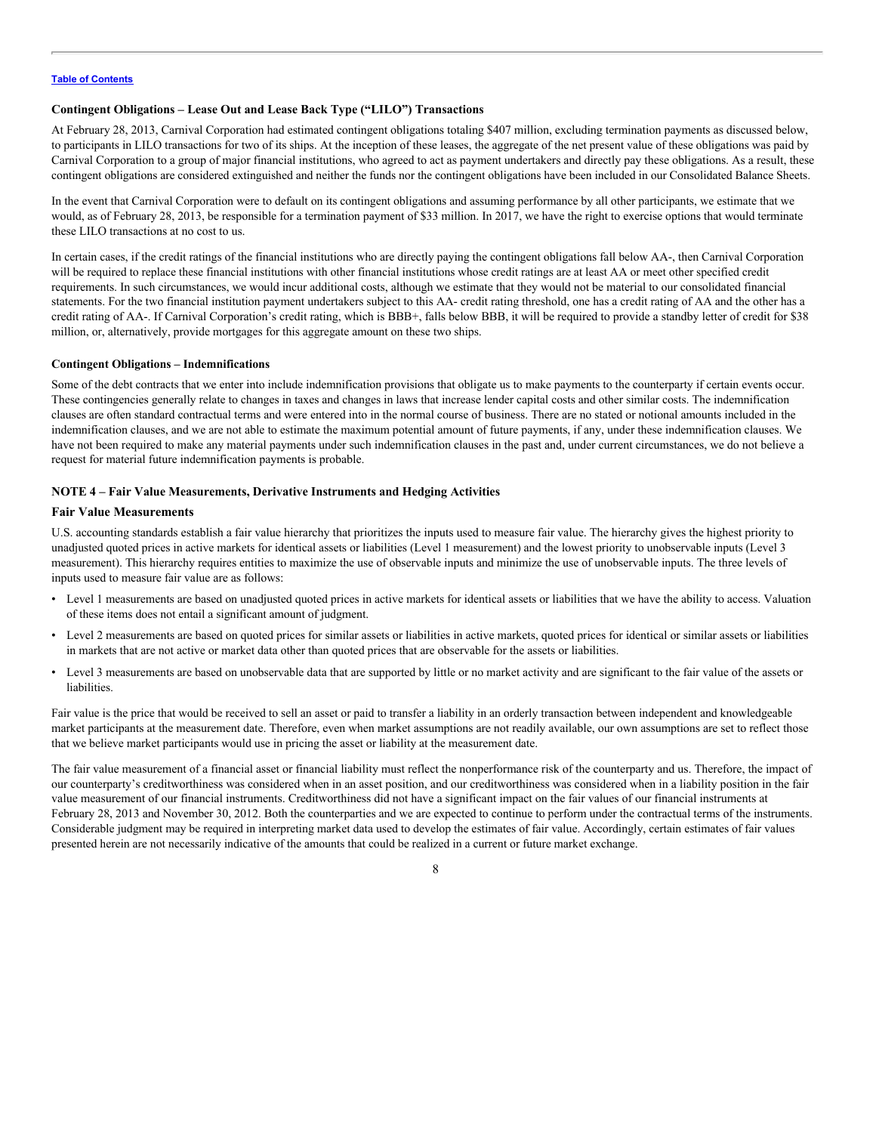### **Contingent Obligations – Lease Out and Lease Back Type ("LILO") Transactions**

At February 28, 2013, Carnival Corporation had estimated contingent obligations totaling \$407 million, excluding termination payments as discussed below, to participants in LILO transactions for two of its ships. At the inception of these leases, the aggregate of the net present value of these obligations was paid by Carnival Corporation to a group of major financial institutions, who agreed to act as payment undertakers and directly pay these obligations. As a result, these contingent obligations are considered extinguished and neither the funds nor the contingent obligations have been included in our Consolidated Balance Sheets.

In the event that Carnival Corporation were to default on its contingent obligations and assuming performance by all other participants, we estimate that we would, as of February 28, 2013, be responsible for a termination payment of \$33 million. In 2017, we have the right to exercise options that would terminate these LILO transactions at no cost to us.

In certain cases, if the credit ratings of the financial institutions who are directly paying the contingent obligations fall below AA-, then Carnival Corporation will be required to replace these financial institutions with other financial institutions whose credit ratings are at least AA or meet other specified credit requirements. In such circumstances, we would incur additional costs, although we estimate that they would not be material to our consolidated financial statements. For the two financial institution payment undertakers subject to this AA- credit rating threshold, one has a credit rating of AA and the other has a credit rating of AA-. If Carnival Corporation's credit rating, which is BBB+, falls below BBB, it will be required to provide a standby letter of credit for \$38 million, or, alternatively, provide mortgages for this aggregate amount on these two ships.

#### **Contingent Obligations – Indemnifications**

Some of the debt contracts that we enter into include indemnification provisions that obligate us to make payments to the counterparty if certain events occur. These contingencies generally relate to changes in taxes and changes in laws that increase lender capital costs and other similar costs. The indemnification clauses are often standard contractual terms and were entered into in the normal course of business. There are no stated or notional amounts included in the indemnification clauses, and we are not able to estimate the maximum potential amount of future payments, if any, under these indemnification clauses. We have not been required to make any material payments under such indemnification clauses in the past and, under current circumstances, we do not believe a request for material future indemnification payments is probable.

#### **NOTE 4 – Fair Value Measurements, Derivative Instruments and Hedging Activities**

#### **Fair Value Measurements**

U.S. accounting standards establish a fair value hierarchy that prioritizes the inputs used to measure fair value. The hierarchy gives the highest priority to unadjusted quoted prices in active markets for identical assets or liabilities (Level 1 measurement) and the lowest priority to unobservable inputs (Level 3 measurement). This hierarchy requires entities to maximize the use of observable inputs and minimize the use of unobservable inputs. The three levels of inputs used to measure fair value are as follows:

- Level 1 measurements are based on unadjusted quoted prices in active markets for identical assets or liabilities that we have the ability to access. Valuation of these items does not entail a significant amount of judgment.
- Level 2 measurements are based on quoted prices for similar assets or liabilities in active markets, quoted prices for identical or similar assets or liabilities in markets that are not active or market data other than quoted prices that are observable for the assets or liabilities.
- Level 3 measurements are based on unobservable data that are supported by little or no market activity and are significant to the fair value of the assets or liabilities.

Fair value is the price that would be received to sell an asset or paid to transfer a liability in an orderly transaction between independent and knowledgeable market participants at the measurement date. Therefore, even when market assumptions are not readily available, our own assumptions are set to reflect those that we believe market participants would use in pricing the asset or liability at the measurement date.

The fair value measurement of a financial asset or financial liability must reflect the nonperformance risk of the counterparty and us. Therefore, the impact of our counterparty's creditworthiness was considered when in an asset position, and our creditworthiness was considered when in a liability position in the fair value measurement of our financial instruments. Creditworthiness did not have a significant impact on the fair values of our financial instruments at February 28, 2013 and November 30, 2012. Both the counterparties and we are expected to continue to perform under the contractual terms of the instruments. Considerable judgment may be required in interpreting market data used to develop the estimates of fair value. Accordingly, certain estimates of fair values presented herein are not necessarily indicative of the amounts that could be realized in a current or future market exchange.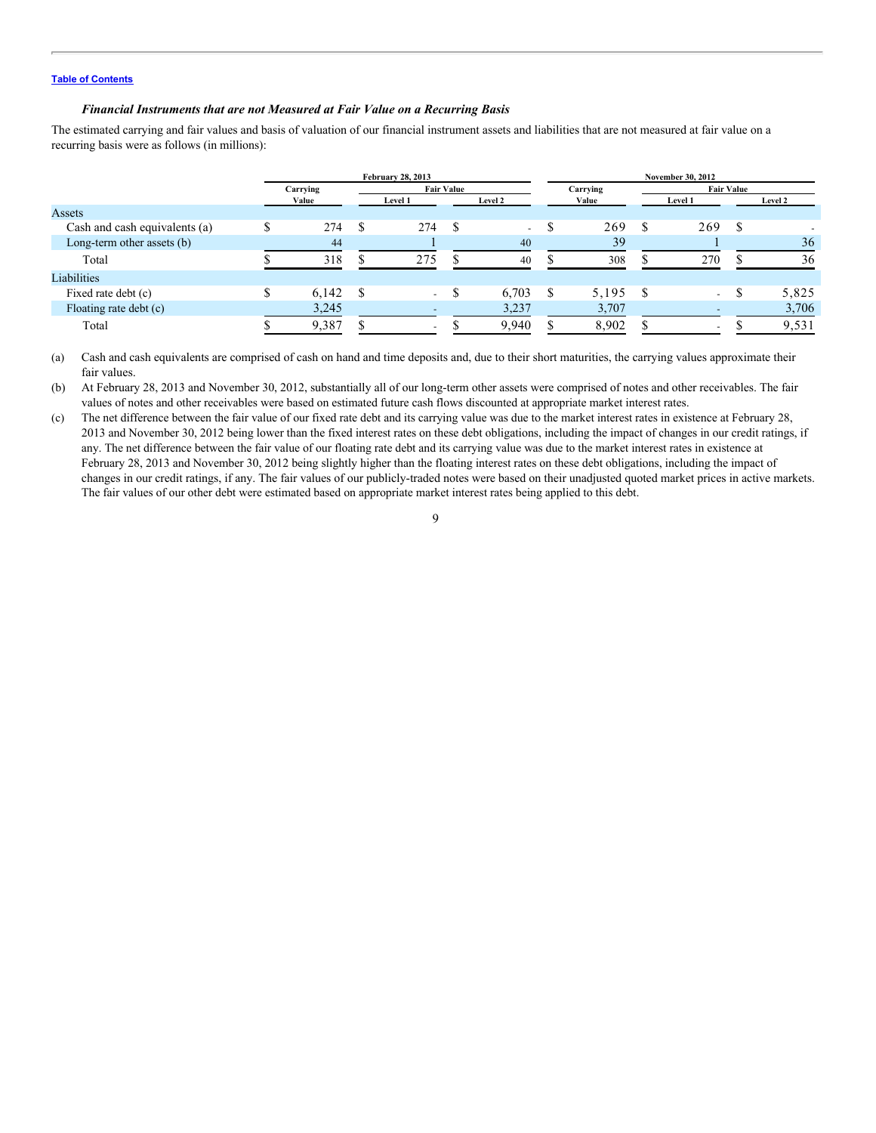### *Financial Instruments that are not Measured at Fair Value on a Recurring Basis*

The estimated carrying and fair values and basis of valuation of our financial instrument assets and liabilities that are not measured at fair value on a recurring basis were as follows (in millions):

|                               | <b>February 28, 2013</b> |       |   |                   |  | <b>November 30, 2012</b> |          |       |                   |                          |    |         |
|-------------------------------|--------------------------|-------|---|-------------------|--|--------------------------|----------|-------|-------------------|--------------------------|----|---------|
|                               | Carrying                 |       |   | <b>Fair Value</b> |  |                          | Carrying |       | <b>Fair Value</b> |                          |    |         |
|                               |                          | Value |   | Level 1           |  | Level 2                  |          | Value |                   | Level 1                  |    | Level 2 |
| Assets                        |                          |       |   |                   |  |                          |          |       |                   |                          |    |         |
| Cash and cash equivalents (a) |                          | 274   | S | 274               |  | $\sim$                   | ¢        | 269   | S                 | 269                      |    |         |
| Long-term other assets (b)    |                          | 44    |   |                   |  | 40                       |          | 39    |                   |                          |    | 36      |
| Total                         |                          | 318   |   | 275               |  | 40                       |          | 308   |                   | 270                      |    | 36      |
| Liabilities                   |                          |       |   |                   |  |                          |          |       |                   |                          |    |         |
| Fixed rate debt (c)           |                          | 6,142 | S | $\sim$            |  | 6,703                    | S        | 5,195 | -S                | a.                       | J. | 5,825   |
| Floating rate debt (c)        |                          | 3,245 |   |                   |  | 3,237                    |          | 3,707 |                   |                          |    | 3,706   |
| Total                         |                          | 9,387 |   | ۰                 |  | 9,940                    |          | 8,902 |                   | $\overline{\phantom{a}}$ |    | 9,531   |

(a) Cash and cash equivalents are comprised of cash on hand and time deposits and, due to their short maturities, the carrying values approximate their fair values.

(b) At February 28, 2013 and November 30, 2012, substantially all of our long-term other assets were comprised of notes and other receivables. The fair values of notes and other receivables were based on estimated future cash flows discounted at appropriate market interest rates.

(c) The net difference between the fair value of our fixed rate debt and its carrying value was due to the market interest rates in existence at February 28, 2013 and November 30, 2012 being lower than the fixed interest rates on these debt obligations, including the impact of changes in our credit ratings, if any. The net difference between the fair value of our floating rate debt and its carrying value was due to the market interest rates in existence at February 28, 2013 and November 30, 2012 being slightly higher than the floating interest rates on these debt obligations, including the impact of changes in our credit ratings, if any. The fair values of our publicly-traded notes were based on their unadjusted quoted market prices in active markets. The fair values of our other debt were estimated based on appropriate market interest rates being applied to this debt.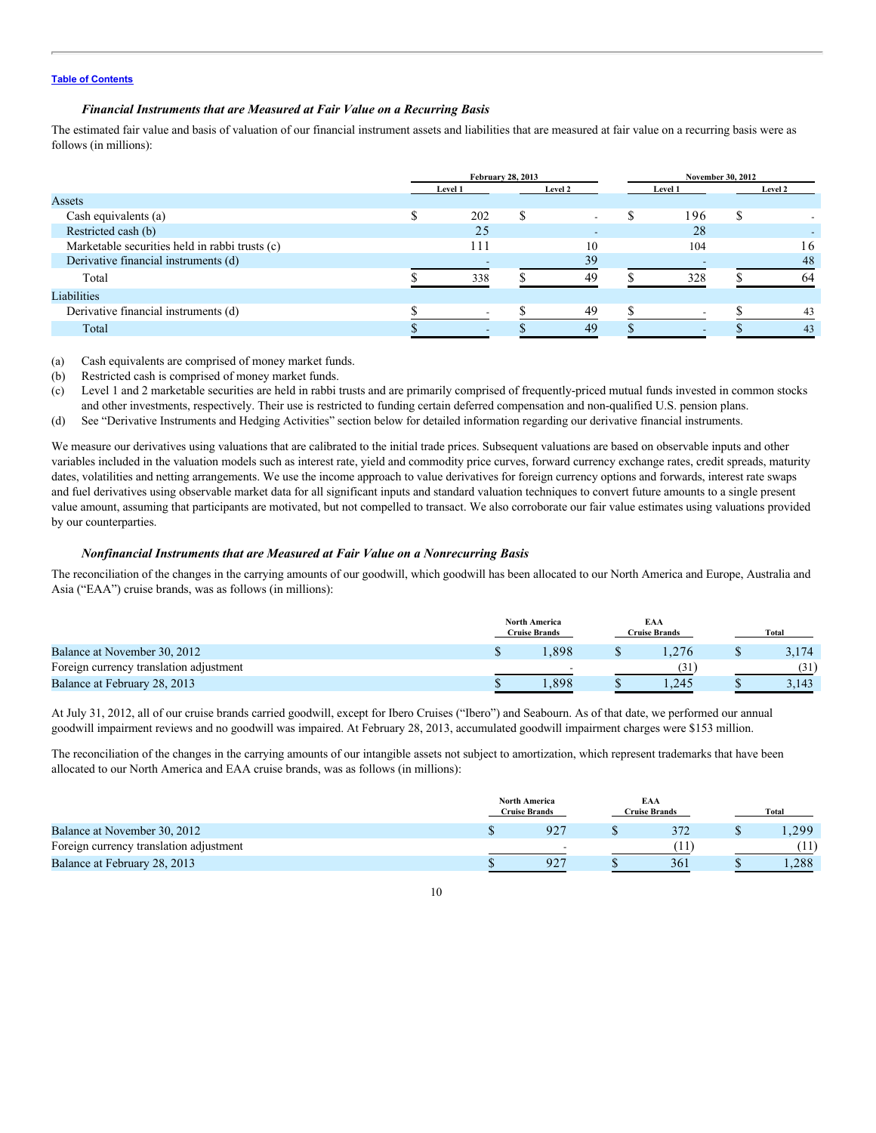### *Financial Instruments that are Measured at Fair Value on a Recurring Basis*

The estimated fair value and basis of valuation of our financial instrument assets and liabilities that are measured at fair value on a recurring basis were as follows (in millions):

|                                                | <b>February 28, 2013</b> |         |    |         | <b>November 30, 2012</b> |         |  |         |
|------------------------------------------------|--------------------------|---------|----|---------|--------------------------|---------|--|---------|
|                                                |                          | Level 1 |    | Level 2 |                          | Level 1 |  | Level 2 |
| Assets                                         |                          |         |    |         |                          |         |  |         |
| Cash equivalents (a)                           |                          | 202     | \$ |         |                          | 196     |  |         |
| Restricted cash (b)                            |                          | 25      |    |         |                          | 28      |  |         |
| Marketable securities held in rabbi trusts (c) |                          | 11 I    |    | 10      |                          | 104     |  | 16      |
| Derivative financial instruments (d)           |                          |         |    | 39      |                          |         |  | 48      |
| Total                                          |                          | 338     |    | 49      |                          | 328     |  | 64      |
| Liabilities                                    |                          |         |    |         |                          |         |  |         |
| Derivative financial instruments (d)           |                          |         |    | 49      | ጦ                        |         |  | 43      |
| Total                                          |                          |         |    | 49      |                          |         |  | 43      |

(a) Cash equivalents are comprised of money market funds.

(b) Restricted cash is comprised of money market funds.

(c) Level 1 and 2 marketable securities are held in rabbi trusts and are primarily comprised of frequently-priced mutual funds invested in common stocks and other investments, respectively. Their use is restricted to funding certain deferred compensation and non-qualified U.S. pension plans.

(d) See "Derivative Instruments and Hedging Activities" section below for detailed information regarding our derivative financial instruments.

We measure our derivatives using valuations that are calibrated to the initial trade prices. Subsequent valuations are based on observable inputs and other variables included in the valuation models such as interest rate, yield and commodity price curves, forward currency exchange rates, credit spreads, maturity dates, volatilities and netting arrangements. We use the income approach to value derivatives for foreign currency options and forwards, interest rate swaps and fuel derivatives using observable market data for all significant inputs and standard valuation techniques to convert future amounts to a single present value amount, assuming that participants are motivated, but not compelled to transact. We also corroborate our fair value estimates using valuations provided by our counterparties.

#### *Nonfinancial Instruments that are Measured at Fair Value on a Nonrecurring Basis*

The reconciliation of the changes in the carrying amounts of our goodwill, which goodwill has been allocated to our North America and Europe, Australia and Asia ("EAA") cruise brands, was as follows (in millions):

|                                         | <b>North America</b><br><b>Cruise Brands</b> | EAA<br><b>Cruise Brands</b> | Total |
|-----------------------------------------|----------------------------------------------|-----------------------------|-------|
| Balance at November 30, 2012            | .898                                         |                             | 3.174 |
| Foreign currency translation adjustment |                                              | (31)                        | (31)  |
| Balance at February 28, 2013            | .898                                         | .245                        | 3.143 |

At July 31, 2012, all of our cruise brands carried goodwill, except for Ibero Cruises ("Ibero") and Seabourn. As of that date, we performed our annual goodwill impairment reviews and no goodwill was impaired. At February 28, 2013, accumulated goodwill impairment charges were \$153 million.

The reconciliation of the changes in the carrying amounts of our intangible assets not subject to amortization, which represent trademarks that have been allocated to our North America and EAA cruise brands, was as follows (in millions):

|                                         | <b>North America</b><br><b>Cruise Brands</b> | EAA<br><b>Cruise Brands</b> |  | Total |  |
|-----------------------------------------|----------------------------------------------|-----------------------------|--|-------|--|
| Balance at November 30, 2012            |                                              |                             |  | . 299 |  |
| Foreign currency translation adjustment |                                              |                             |  |       |  |
| Balance at February 28, 2013            | 921                                          | 361                         |  | 1.288 |  |

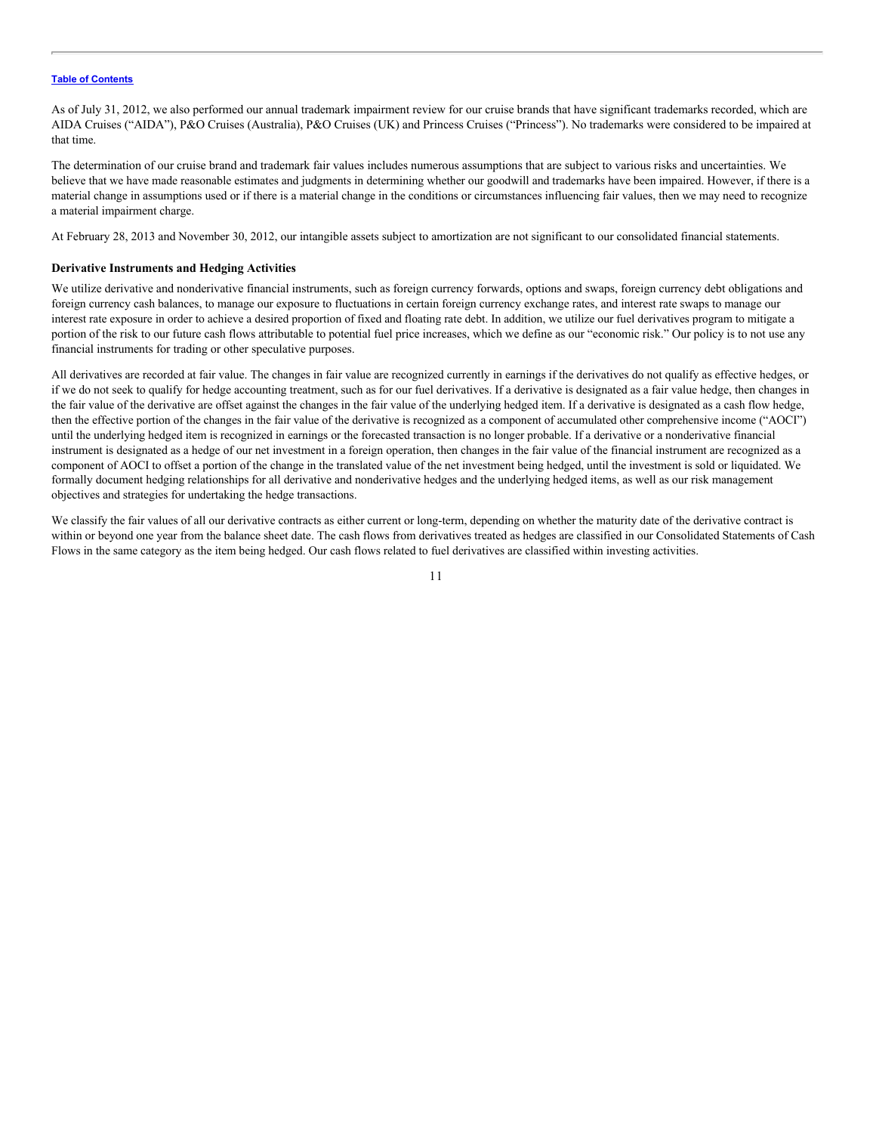As of July 31, 2012, we also performed our annual trademark impairment review for our cruise brands that have significant trademarks recorded, which are AIDA Cruises ("AIDA"), P&O Cruises (Australia), P&O Cruises (UK) and Princess Cruises ("Princess"). No trademarks were considered to be impaired at that time.

The determination of our cruise brand and trademark fair values includes numerous assumptions that are subject to various risks and uncertainties. We believe that we have made reasonable estimates and judgments in determining whether our goodwill and trademarks have been impaired. However, if there is a material change in assumptions used or if there is a material change in the conditions or circumstances influencing fair values, then we may need to recognize a material impairment charge.

At February 28, 2013 and November 30, 2012, our intangible assets subject to amortization are not significant to our consolidated financial statements.

#### **Derivative Instruments and Hedging Activities**

We utilize derivative and nonderivative financial instruments, such as foreign currency forwards, options and swaps, foreign currency debt obligations and foreign currency cash balances, to manage our exposure to fluctuations in certain foreign currency exchange rates, and interest rate swaps to manage our interest rate exposure in order to achieve a desired proportion of fixed and floating rate debt. In addition, we utilize our fuel derivatives program to mitigate a portion of the risk to our future cash flows attributable to potential fuel price increases, which we define as our "economic risk." Our policy is to not use any financial instruments for trading or other speculative purposes.

All derivatives are recorded at fair value. The changes in fair value are recognized currently in earnings if the derivatives do not qualify as effective hedges, or if we do not seek to qualify for hedge accounting treatment, such as for our fuel derivatives. If a derivative is designated as a fair value hedge, then changes in the fair value of the derivative are offset against the changes in the fair value of the underlying hedged item. If a derivative is designated as a cash flow hedge, then the effective portion of the changes in the fair value of the derivative is recognized as a component of accumulated other comprehensive income ("AOCI") until the underlying hedged item is recognized in earnings or the forecasted transaction is no longer probable. If a derivative or a nonderivative financial instrument is designated as a hedge of our net investment in a foreign operation, then changes in the fair value of the financial instrument are recognized as a component of AOCI to offset a portion of the change in the translated value of the net investment being hedged, until the investment is sold or liquidated. We formally document hedging relationships for all derivative and nonderivative hedges and the underlying hedged items, as well as our risk management objectives and strategies for undertaking the hedge transactions.

We classify the fair values of all our derivative contracts as either current or long-term, depending on whether the maturity date of the derivative contract is within or beyond one year from the balance sheet date. The cash flows from derivatives treated as hedges are classified in our Consolidated Statements of Cash Flows in the same category as the item being hedged. Our cash flows related to fuel derivatives are classified within investing activities.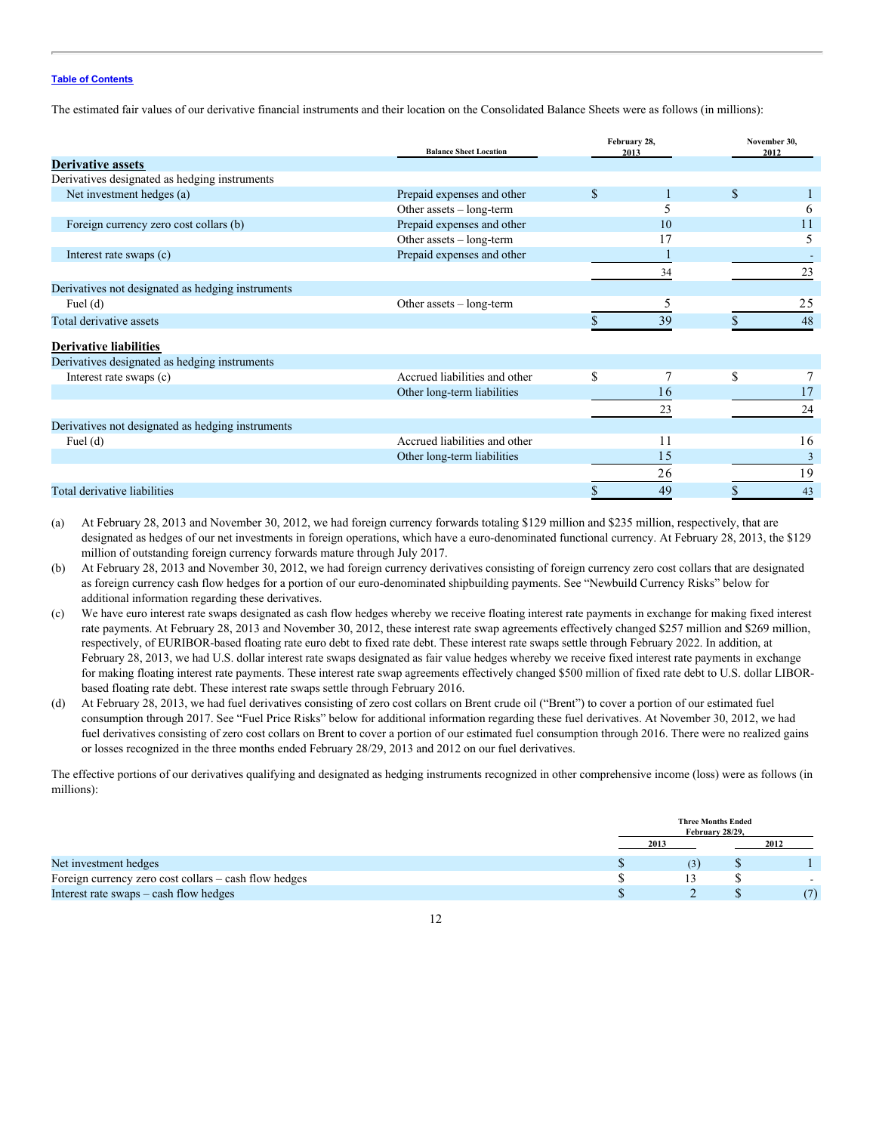The estimated fair values of our derivative financial instruments and their location on the Consolidated Balance Sheets were as follows (in millions):

|                                                   | <b>Balance Sheet Location</b> |              | February 28,<br>2013 |    | November 30,<br>2012 |
|---------------------------------------------------|-------------------------------|--------------|----------------------|----|----------------------|
| <b>Derivative assets</b>                          |                               |              |                      |    |                      |
| Derivatives designated as hedging instruments     |                               |              |                      |    |                      |
| Net investment hedges (a)                         | Prepaid expenses and other    | $\mathbb{S}$ |                      | \$ |                      |
|                                                   | Other assets $-$ long-term    |              | 5                    |    | 6                    |
| Foreign currency zero cost collars (b)            | Prepaid expenses and other    |              | 10                   |    | 11                   |
|                                                   | Other assets $-$ long-term    |              |                      |    | 5                    |
| Interest rate swaps (c)                           | Prepaid expenses and other    |              |                      |    |                      |
|                                                   |                               |              | 34                   |    | 23                   |
| Derivatives not designated as hedging instruments |                               |              |                      |    |                      |
| Fuel $(d)$                                        | Other assets $-$ long-term    |              | 5                    |    | 25                   |
| Total derivative assets                           |                               |              | 39                   |    | 48                   |
| <b>Derivative liabilities</b>                     |                               |              |                      |    |                      |
| Derivatives designated as hedging instruments     |                               |              |                      |    |                      |
| Interest rate swaps (c)                           | Accrued liabilities and other | \$           |                      | S  |                      |
|                                                   | Other long-term liabilities   |              | 16                   |    | 17                   |
|                                                   |                               |              | 23                   |    | 24                   |
| Derivatives not designated as hedging instruments |                               |              |                      |    |                      |
| Fuel $(d)$                                        | Accrued liabilities and other |              | 11                   |    | 16                   |
|                                                   | Other long-term liabilities   |              | 15                   |    | 3                    |
|                                                   |                               |              | 26                   |    | 19                   |
| Total derivative liabilities                      |                               |              | 49                   |    | 43                   |

(a) At February 28, 2013 and November 30, 2012, we had foreign currency forwards totaling \$129 million and \$235 million, respectively, that are designated as hedges of our net investments in foreign operations, which have a euro-denominated functional currency. At February 28, 2013, the \$129 million of outstanding foreign currency forwards mature through July 2017.

(b) At February 28, 2013 and November 30, 2012, we had foreign currency derivatives consisting of foreign currency zero cost collars that are designated as foreign currency cash flow hedges for a portion of our euro-denominated shipbuilding payments. See "Newbuild Currency Risks" below for additional information regarding these derivatives.

- (c) We have euro interest rate swaps designated as cash flow hedges whereby we receive floating interest rate payments in exchange for making fixed interest rate payments. At February 28, 2013 and November 30, 2012, these interest rate swap agreements effectively changed \$257 million and \$269 million, respectively, of EURIBOR-based floating rate euro debt to fixed rate debt. These interest rate swaps settle through February 2022. In addition, at February 28, 2013, we had U.S. dollar interest rate swaps designated as fair value hedges whereby we receive fixed interest rate payments in exchange for making floating interest rate payments. These interest rate swap agreements effectively changed \$500 million of fixed rate debt to U.S. dollar LIBORbased floating rate debt. These interest rate swaps settle through February 2016.
- (d) At February 28, 2013, we had fuel derivatives consisting of zero cost collars on Brent crude oil ("Brent") to cover a portion of our estimated fuel consumption through 2017. See "Fuel Price Risks" below for additional information regarding these fuel derivatives. At November 30, 2012, we had fuel derivatives consisting of zero cost collars on Brent to cover a portion of our estimated fuel consumption through 2016. There were no realized gains or losses recognized in the three months ended February 28/29, 2013 and 2012 on our fuel derivatives.

The effective portions of our derivatives qualifying and designated as hedging instruments recognized in other comprehensive income (loss) were as follows (in millions):

|                                                       |      | <b>Three Months Ended</b><br>February 28/29. |      |     |
|-------------------------------------------------------|------|----------------------------------------------|------|-----|
|                                                       | 2013 |                                              | 2012 |     |
| Net investment hedges                                 |      |                                              |      |     |
| Foreign currency zero cost collars – cash flow hedges |      | L 3                                          |      |     |
| Interest rate swaps $-\cosh f$ flow hedges            |      |                                              |      | (7) |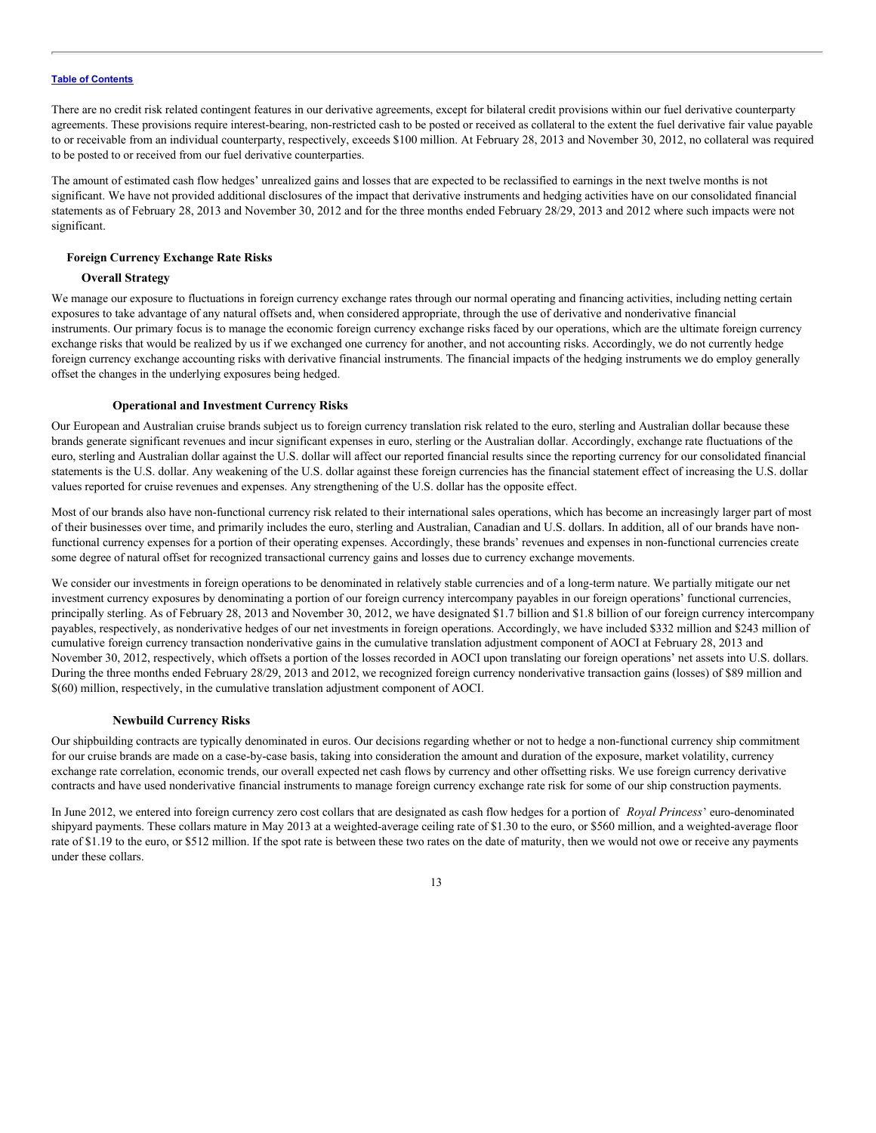There are no credit risk related contingent features in our derivative agreements, except for bilateral credit provisions within our fuel derivative counterparty agreements. These provisions require interest-bearing, non-restricted cash to be posted or received as collateral to the extent the fuel derivative fair value payable to or receivable from an individual counterparty, respectively, exceeds \$100 million. At February 28, 2013 and November 30, 2012, no collateral was required to be posted to or received from our fuel derivative counterparties.

The amount of estimated cash flow hedges' unrealized gains and losses that are expected to be reclassified to earnings in the next twelve months is not significant. We have not provided additional disclosures of the impact that derivative instruments and hedging activities have on our consolidated financial statements as of February 28, 2013 and November 30, 2012 and for the three months ended February 28/29, 2013 and 2012 where such impacts were not significant.

#### **Foreign Currency Exchange Rate Risks**

#### **Overall Strategy**

We manage our exposure to fluctuations in foreign currency exchange rates through our normal operating and financing activities, including netting certain exposures to take advantage of any natural offsets and, when considered appropriate, through the use of derivative and nonderivative financial instruments. Our primary focus is to manage the economic foreign currency exchange risks faced by our operations, which are the ultimate foreign currency exchange risks that would be realized by us if we exchanged one currency for another, and not accounting risks. Accordingly, we do not currently hedge foreign currency exchange accounting risks with derivative financial instruments. The financial impacts of the hedging instruments we do employ generally offset the changes in the underlying exposures being hedged.

#### **Operational and Investment Currency Risks**

Our European and Australian cruise brands subject us to foreign currency translation risk related to the euro, sterling and Australian dollar because these brands generate significant revenues and incur significant expenses in euro, sterling or the Australian dollar. Accordingly, exchange rate fluctuations of the euro, sterling and Australian dollar against the U.S. dollar will affect our reported financial results since the reporting currency for our consolidated financial statements is the U.S. dollar. Any weakening of the U.S. dollar against these foreign currencies has the financial statement effect of increasing the U.S. dollar values reported for cruise revenues and expenses. Any strengthening of the U.S. dollar has the opposite effect.

Most of our brands also have non-functional currency risk related to their international sales operations, which has become an increasingly larger part of most of their businesses over time, and primarily includes the euro, sterling and Australian, Canadian and U.S. dollars. In addition, all of our brands have nonfunctional currency expenses for a portion of their operating expenses. Accordingly, these brands' revenues and expenses in non-functional currencies create some degree of natural offset for recognized transactional currency gains and losses due to currency exchange movements.

We consider our investments in foreign operations to be denominated in relatively stable currencies and of a long-term nature. We partially mitigate our net investment currency exposures by denominating a portion of our foreign currency intercompany payables in our foreign operations' functional currencies, principally sterling. As of February 28, 2013 and November 30, 2012, we have designated \$1.7 billion and \$1.8 billion of our foreign currency intercompany payables, respectively, as nonderivative hedges of our net investments in foreign operations. Accordingly, we have included \$332 million and \$243 million of cumulative foreign currency transaction nonderivative gains in the cumulative translation adjustment component of AOCI at February 28, 2013 and November 30, 2012, respectively, which offsets a portion of the losses recorded in AOCI upon translating our foreign operations' net assets into U.S. dollars. During the three months ended February 28/29, 2013 and 2012, we recognized foreign currency nonderivative transaction gains (losses) of \$89 million and \$(60) million, respectively, in the cumulative translation adjustment component of AOCI.

#### **Newbuild Currency Risks**

Our shipbuilding contracts are typically denominated in euros. Our decisions regarding whether or not to hedge a non-functional currency ship commitment for our cruise brands are made on a case-by-case basis, taking into consideration the amount and duration of the exposure, market volatility, currency exchange rate correlation, economic trends, our overall expected net cash flows by currency and other offsetting risks. We use foreign currency derivative contracts and have used nonderivative financial instruments to manage foreign currency exchange rate risk for some of our ship construction payments.

In June 2012, we entered into foreign currency zero cost collars that are designated as cash flow hedges for a portion of *Royal Princess*' euro-denominated shipyard payments. These collars mature in May 2013 at a weighted-average ceiling rate of \$1.30 to the euro, or \$560 million, and a weighted-average floor rate of \$1.19 to the euro, or \$512 million. If the spot rate is between these two rates on the date of maturity, then we would not owe or receive any payments under these collars.

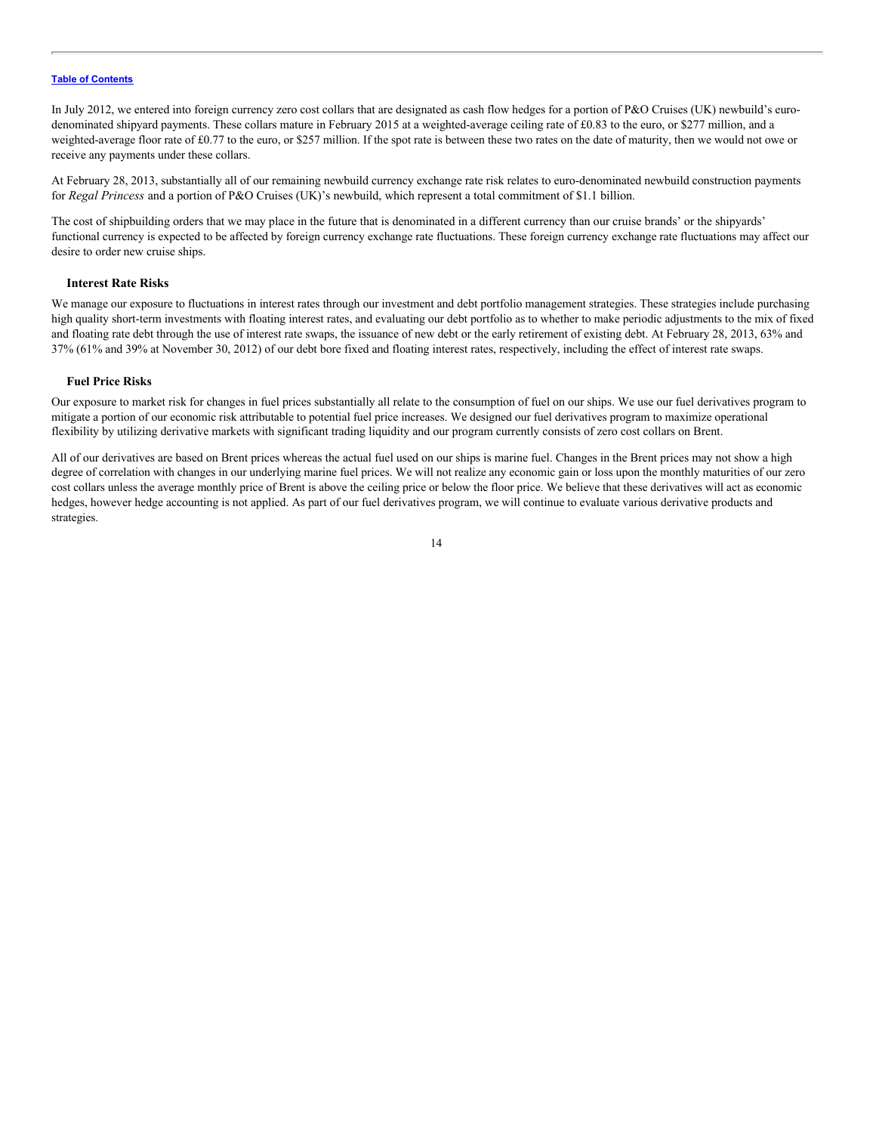In July 2012, we entered into foreign currency zero cost collars that are designated as cash flow hedges for a portion of P&O Cruises (UK) newbuild's eurodenominated shipyard payments. These collars mature in February 2015 at a weighted-average ceiling rate of £0.83 to the euro, or \$277 million, and a weighted-average floor rate of £0.77 to the euro, or \$257 million. If the spot rate is between these two rates on the date of maturity, then we would not owe or receive any payments under these collars.

At February 28, 2013, substantially all of our remaining newbuild currency exchange rate risk relates to euro-denominated newbuild construction payments for *Regal Princess* and a portion of P&O Cruises (UK)'s newbuild, which represent a total commitment of \$1.1 billion.

The cost of shipbuilding orders that we may place in the future that is denominated in a different currency than our cruise brands' or the shipyards' functional currency is expected to be affected by foreign currency exchange rate fluctuations. These foreign currency exchange rate fluctuations may affect our desire to order new cruise ships.

#### **Interest Rate Risks**

We manage our exposure to fluctuations in interest rates through our investment and debt portfolio management strategies. These strategies include purchasing high quality short-term investments with floating interest rates, and evaluating our debt portfolio as to whether to make periodic adjustments to the mix of fixed and floating rate debt through the use of interest rate swaps, the issuance of new debt or the early retirement of existing debt. At February 28, 2013, 63% and 37% (61% and 39% at November 30, 2012) of our debt bore fixed and floating interest rates, respectively, including the effect of interest rate swaps.

#### **Fuel Price Risks**

Our exposure to market risk for changes in fuel prices substantially all relate to the consumption of fuel on our ships. We use our fuel derivatives program to mitigate a portion of our economic risk attributable to potential fuel price increases. We designed our fuel derivatives program to maximize operational flexibility by utilizing derivative markets with significant trading liquidity and our program currently consists of zero cost collars on Brent.

All of our derivatives are based on Brent prices whereas the actual fuel used on our ships is marine fuel. Changes in the Brent prices may not show a high degree of correlation with changes in our underlying marine fuel prices. We will not realize any economic gain or loss upon the monthly maturities of our zero cost collars unless the average monthly price of Brent is above the ceiling price or below the floor price. We believe that these derivatives will act as economic hedges, however hedge accounting is not applied. As part of our fuel derivatives program, we will continue to evaluate various derivative products and strategies.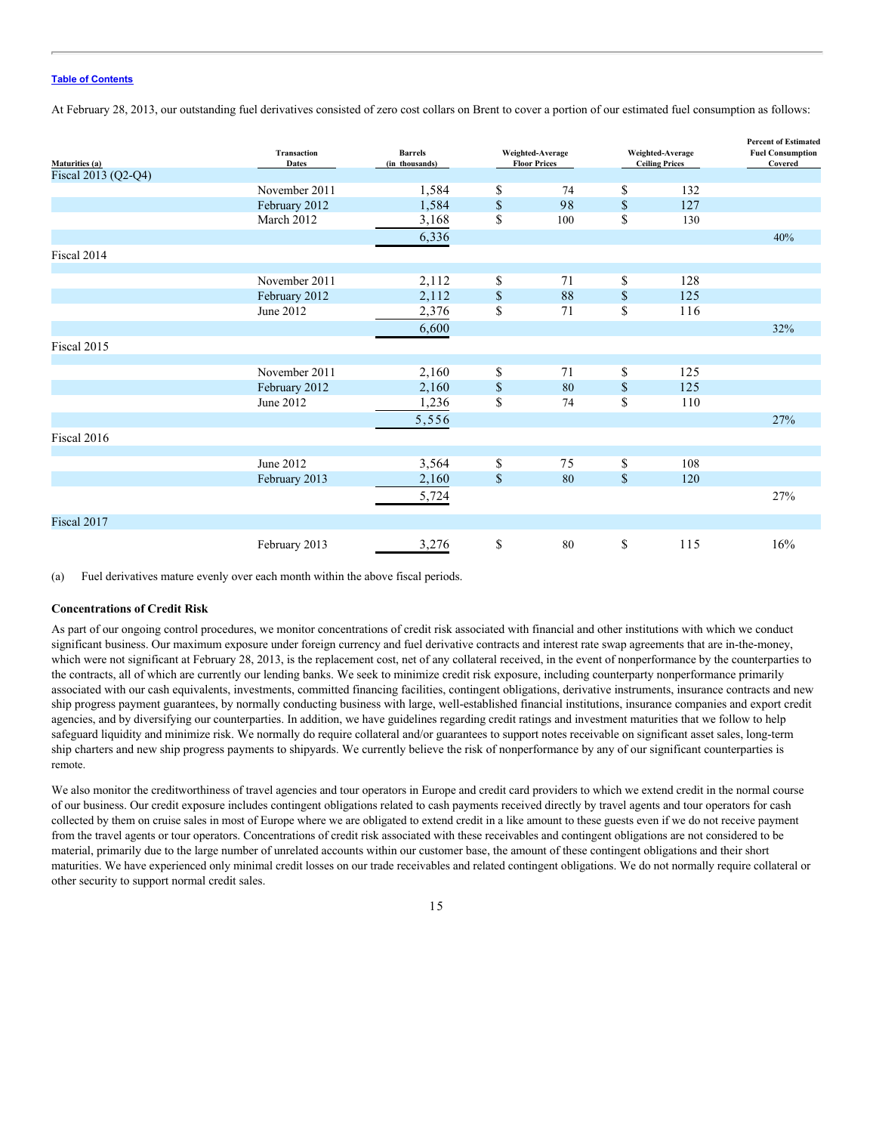At February 28, 2013, our outstanding fuel derivatives consisted of zero cost collars on Brent to cover a portion of our estimated fuel consumption as follows:

| Maturities (a)      | Transaction<br><b>Dates</b> | <b>Barrels</b><br>(in thousands) |                           | Weighted-Average<br><b>Floor Prices</b> |      | Weighted-Average<br><b>Ceiling Prices</b> | <b>Percent of Estimated</b><br><b>Fuel Consumption</b><br>Covered |
|---------------------|-----------------------------|----------------------------------|---------------------------|-----------------------------------------|------|-------------------------------------------|-------------------------------------------------------------------|
| Fiscal 2013 (Q2-Q4) |                             |                                  |                           |                                         |      |                                           |                                                                   |
|                     | November 2011               | 1,584                            | \$                        | 74                                      | \$   | 132                                       |                                                                   |
|                     | February 2012               | 1,584                            | $\mathbb S$               | 98                                      | $\$$ | 127                                       |                                                                   |
|                     | March 2012                  | 3,168                            | \$                        | 100                                     | \$   | 130                                       |                                                                   |
|                     |                             | 6,336                            |                           |                                         |      |                                           | 40%                                                               |
| Fiscal 2014         |                             |                                  |                           |                                         |      |                                           |                                                                   |
|                     |                             |                                  |                           |                                         |      |                                           |                                                                   |
|                     | November 2011               | 2,112                            | \$                        | 71                                      | \$   | 128                                       |                                                                   |
|                     | February 2012               | 2,112                            | $\mathbb S$               | 88                                      | \$   | 125                                       |                                                                   |
|                     | June 2012                   | 2,376                            | \$                        | 71                                      | \$   | 116                                       |                                                                   |
|                     |                             | 6,600                            |                           |                                         |      |                                           | 32%                                                               |
| Fiscal 2015         |                             |                                  |                           |                                         |      |                                           |                                                                   |
|                     |                             |                                  |                           |                                         |      |                                           |                                                                   |
|                     | November 2011               | 2,160                            | \$                        | 71                                      | \$   | 125                                       |                                                                   |
|                     | February 2012               | 2,160                            | $\mathbb S$               | 80                                      | \$   | 125                                       |                                                                   |
|                     | June 2012                   | 1,236                            | \$                        | 74                                      | \$   | 110                                       |                                                                   |
|                     |                             | 5,556                            |                           |                                         |      |                                           | 27%                                                               |
| Fiscal 2016         |                             |                                  |                           |                                         |      |                                           |                                                                   |
|                     | June 2012                   | 3,564                            | \$                        | 75                                      | \$   | 108                                       |                                                                   |
|                     | February 2013               | 2,160                            | $\boldsymbol{\mathsf{S}}$ | 80                                      | \$   | 120                                       |                                                                   |
|                     |                             | 5,724                            |                           |                                         |      |                                           | 27%                                                               |
| Fiscal 2017         |                             |                                  |                           |                                         |      |                                           |                                                                   |
|                     | February 2013               | 3,276                            | $\mathbb{S}$              | 80                                      | \$   | 115                                       | 16%                                                               |

(a) Fuel derivatives mature evenly over each month within the above fiscal periods.

#### **Concentrations of Credit Risk**

As part of our ongoing control procedures, we monitor concentrations of credit risk associated with financial and other institutions with which we conduct significant business. Our maximum exposure under foreign currency and fuel derivative contracts and interest rate swap agreements that are in-the-money, which were not significant at February 28, 2013, is the replacement cost, net of any collateral received, in the event of nonperformance by the counterparties to the contracts, all of which are currently our lending banks. We seek to minimize credit risk exposure, including counterparty nonperformance primarily associated with our cash equivalents, investments, committed financing facilities, contingent obligations, derivative instruments, insurance contracts and new ship progress payment guarantees, by normally conducting business with large, well-established financial institutions, insurance companies and export credit agencies, and by diversifying our counterparties. In addition, we have guidelines regarding credit ratings and investment maturities that we follow to help safeguard liquidity and minimize risk. We normally do require collateral and/or guarantees to support notes receivable on significant asset sales, long-term ship charters and new ship progress payments to shipyards. We currently believe the risk of nonperformance by any of our significant counterparties is remote.

We also monitor the creditworthiness of travel agencies and tour operators in Europe and credit card providers to which we extend credit in the normal course of our business. Our credit exposure includes contingent obligations related to cash payments received directly by travel agents and tour operators for cash collected by them on cruise sales in most of Europe where we are obligated to extend credit in a like amount to these guests even if we do not receive payment from the travel agents or tour operators. Concentrations of credit risk associated with these receivables and contingent obligations are not considered to be material, primarily due to the large number of unrelated accounts within our customer base, the amount of these contingent obligations and their short maturities. We have experienced only minimal credit losses on our trade receivables and related contingent obligations. We do not normally require collateral or other security to support normal credit sales.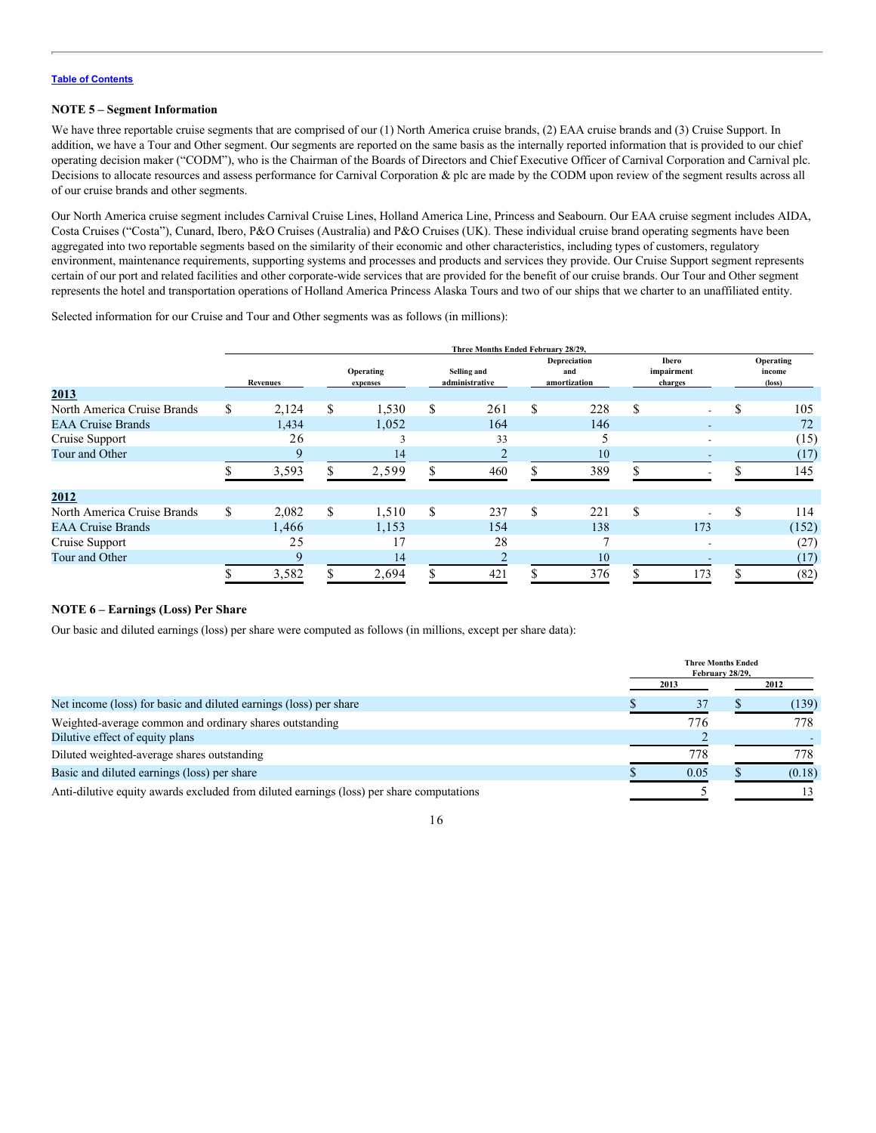#### **NOTE 5 – Segment Information**

We have three reportable cruise segments that are comprised of our (1) North America cruise brands, (2) EAA cruise brands and (3) Cruise Support. In addition, we have a Tour and Other segment. Our segments are reported on the same basis as the internally reported information that is provided to our chief operating decision maker ("CODM"), who is the Chairman of the Boards of Directors and Chief Executive Officer of Carnival Corporation and Carnival plc. Decisions to allocate resources and assess performance for Carnival Corporation  $\&$  plc are made by the CODM upon review of the segment results across all of our cruise brands and other segments.

Our North America cruise segment includes Carnival Cruise Lines, Holland America Line, Princess and Seabourn. Our EAA cruise segment includes AIDA, Costa Cruises ("Costa"), Cunard, Ibero, P&O Cruises (Australia) and P&O Cruises (UK). These individual cruise brand operating segments have been aggregated into two reportable segments based on the similarity of their economic and other characteristics, including types of customers, regulatory environment, maintenance requirements, supporting systems and processes and products and services they provide. Our Cruise Support segment represents certain of our port and related facilities and other corporate-wide services that are provided for the benefit of our cruise brands. Our Tour and Other segment represents the hotel and transportation operations of Holland America Princess Alaska Tours and two of our ships that we charter to an unaffiliated entity.

Selected information for our Cruise and Tour and Other segments was as follows (in millions):

|                             |                 |                       |    | Three Months Ended February 28/29. |     |                                     |   |                                       |   |                                        |
|-----------------------------|-----------------|-----------------------|----|------------------------------------|-----|-------------------------------------|---|---------------------------------------|---|----------------------------------------|
|                             | <b>Revenues</b> | Operating<br>expenses |    | Selling and<br>administrative      |     | Depreciation<br>and<br>amortization |   | <b>Ibero</b><br>impairment<br>charges |   | Operating<br>income<br>$(\text{loss})$ |
| 2013                        |                 |                       |    |                                    |     |                                     |   |                                       |   |                                        |
| North America Cruise Brands | \$<br>2,124     | \$<br>1,530           | \$ | 261                                | \$  | 228                                 | S | ٠.                                    | ς | 105                                    |
| <b>EAA Cruise Brands</b>    | 1,434           | 1,052                 |    | 164                                |     | 146                                 |   |                                       |   | 72                                     |
| Cruise Support              | 26              |                       |    | 33                                 |     |                                     |   |                                       |   | (15)                                   |
| Tour and Other              | 9               | 14                    |    |                                    |     | 10                                  |   |                                       |   | (17)                                   |
|                             | 3,593           | 2,599                 |    | 460                                |     | 389                                 |   |                                       |   | 145                                    |
| 2012                        |                 |                       |    |                                    |     |                                     |   |                                       |   |                                        |
| North America Cruise Brands | \$<br>2,082     | \$<br>1,510           | S  | 237                                | \$. | 221                                 | S |                                       | S | 114                                    |
| <b>EAA Cruise Brands</b>    | 1,466           | 1,153                 |    | 154                                |     | 138                                 |   | 173                                   |   | (152)                                  |
| Cruise Support              | 25              |                       |    | 28                                 |     |                                     |   |                                       |   | (27)                                   |
| Tour and Other              | $\mathbf Q$     | 14                    |    |                                    |     | 10                                  |   |                                       |   | (17)                                   |
|                             | 3,582           | 2,694                 |    | 421                                |     | 376                                 |   | 173                                   |   | (82)                                   |

#### **NOTE 6 – Earnings (Loss) Per Share**

Our basic and diluted earnings (loss) per share were computed as follows (in millions, except per share data):

|                                                                                          | <b>Three Months Ended</b><br>February 28/29. |  |        |  |  |
|------------------------------------------------------------------------------------------|----------------------------------------------|--|--------|--|--|
|                                                                                          | 2013                                         |  | 2012   |  |  |
| Net income (loss) for basic and diluted earnings (loss) per share                        | 37                                           |  | (139)  |  |  |
| Weighted-average common and ordinary shares outstanding                                  | 776                                          |  | 778    |  |  |
| Dilutive effect of equity plans                                                          |                                              |  |        |  |  |
| Diluted weighted-average shares outstanding                                              | 778                                          |  | 778    |  |  |
| Basic and diluted earnings (loss) per share                                              | 0.05                                         |  | (0.18) |  |  |
| Anti-dilutive equity awards excluded from diluted earnings (loss) per share computations |                                              |  |        |  |  |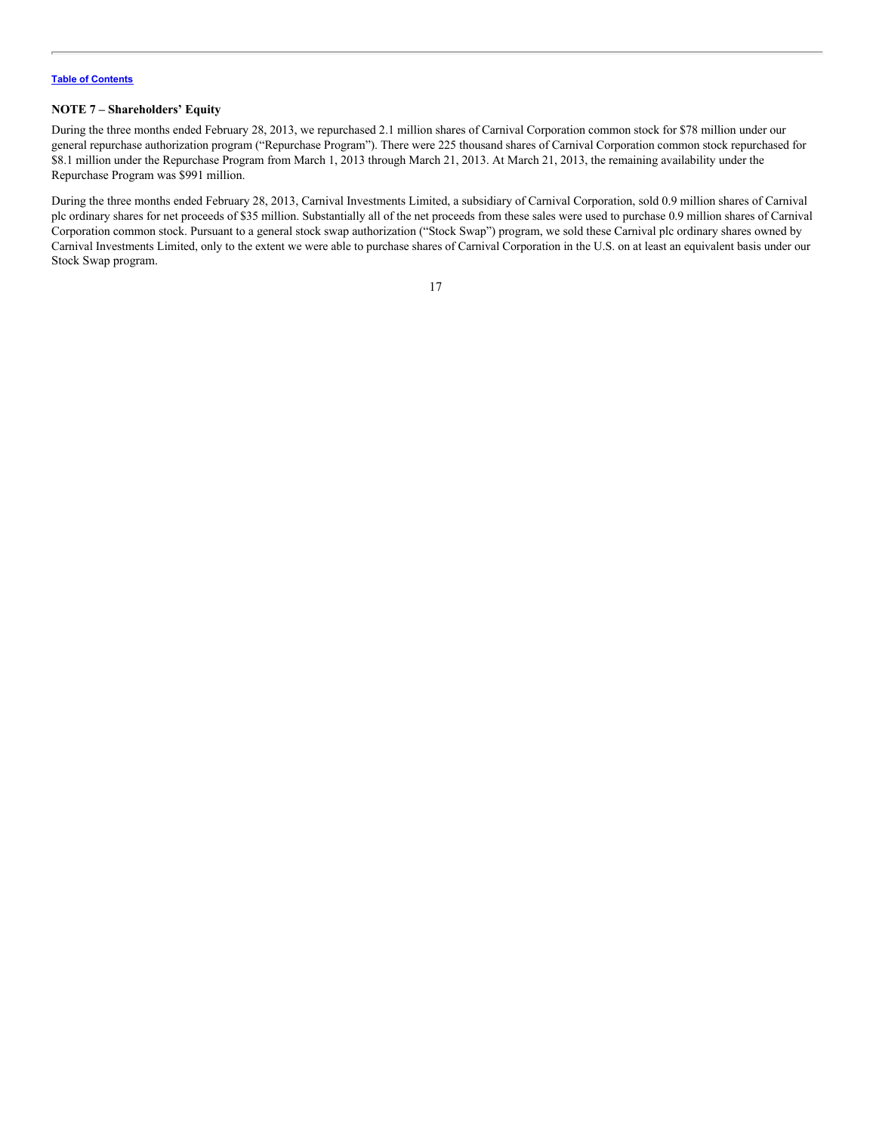#### **NOTE 7 – Shareholders' Equity**

During the three months ended February 28, 2013, we repurchased 2.1 million shares of Carnival Corporation common stock for \$78 million under our general repurchase authorization program ("Repurchase Program"). There were 225 thousand shares of Carnival Corporation common stock repurchased for \$8.1 million under the Repurchase Program from March 1, 2013 through March 21, 2013. At March 21, 2013, the remaining availability under the Repurchase Program was \$991 million.

During the three months ended February 28, 2013, Carnival Investments Limited, a subsidiary of Carnival Corporation, sold 0.9 million shares of Carnival plc ordinary shares for net proceeds of \$35 million. Substantially all of the net proceeds from these sales were used to purchase 0.9 million shares of Carnival Corporation common stock. Pursuant to a general stock swap authorization ("Stock Swap") program, we sold these Carnival plc ordinary shares owned by Carnival Investments Limited, only to the extent we were able to purchase shares of Carnival Corporation in the U.S. on at least an equivalent basis under our Stock Swap program.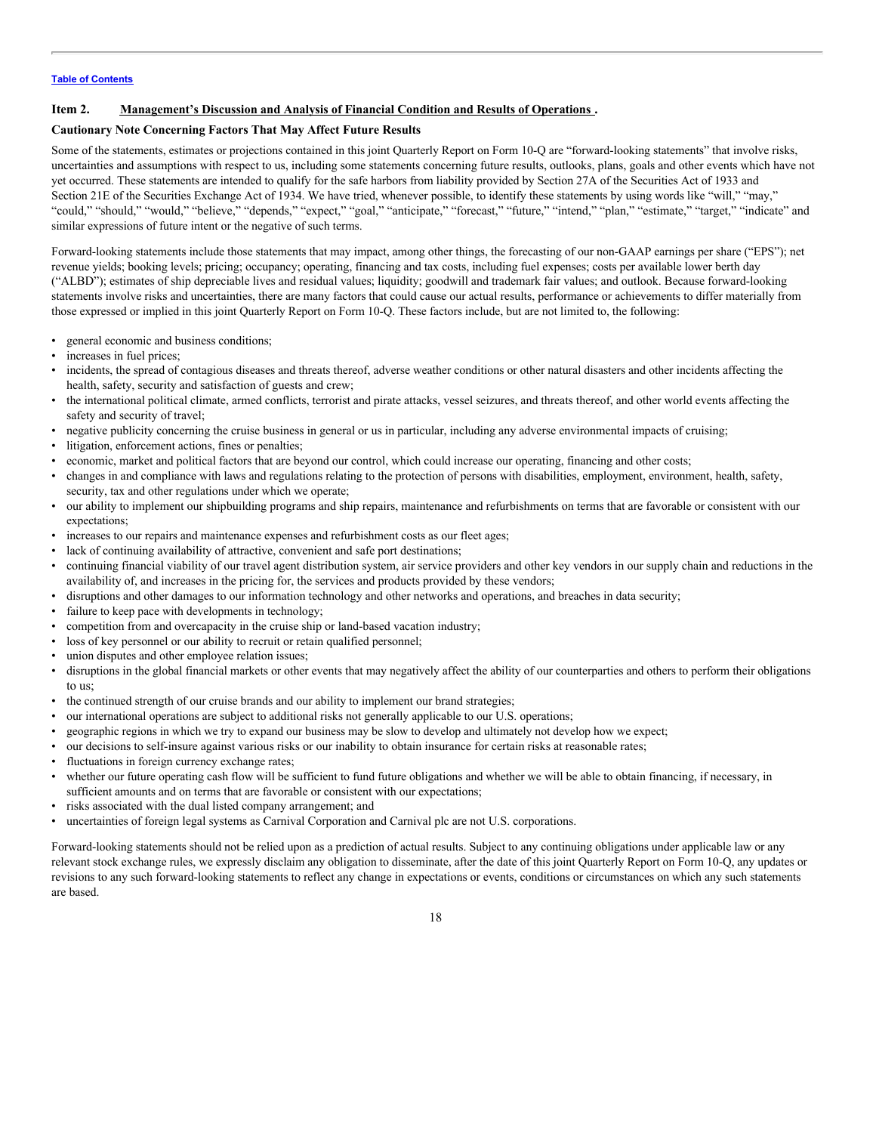#### <span id="page-18-0"></span>**Item 2. Management's Discussion and Analysis of Financial Condition and Results of Operations .**

#### **Cautionary Note Concerning Factors That May Affect Future Results**

Some of the statements, estimates or projections contained in this joint Quarterly Report on Form 10-Q are "forward-looking statements" that involve risks, uncertainties and assumptions with respect to us, including some statements concerning future results, outlooks, plans, goals and other events which have not yet occurred. These statements are intended to qualify for the safe harbors from liability provided by Section 27A of the Securities Act of 1933 and Section 21E of the Securities Exchange Act of 1934. We have tried, whenever possible, to identify these statements by using words like "will," "may," "could," "should," "would," "believe," "depends," "expect," "goal," "anticipate," "forecast," "future," "intend," "plan," "estimate," "target," "indicate" and similar expressions of future intent or the negative of such terms.

Forward-looking statements include those statements that may impact, among other things, the forecasting of our non-GAAP earnings per share ("EPS"); net revenue yields; booking levels; pricing; occupancy; operating, financing and tax costs, including fuel expenses; costs per available lower berth day ("ALBD"); estimates of ship depreciable lives and residual values; liquidity; goodwill and trademark fair values; and outlook. Because forward-looking statements involve risks and uncertainties, there are many factors that could cause our actual results, performance or achievements to differ materially from those expressed or implied in this joint Quarterly Report on Form 10-Q. These factors include, but are not limited to, the following:

- general economic and business conditions;
- increases in fuel prices;
- incidents, the spread of contagious diseases and threats thereof, adverse weather conditions or other natural disasters and other incidents affecting the health, safety, security and satisfaction of guests and crew;
- the international political climate, armed conflicts, terrorist and pirate attacks, vessel seizures, and threats thereof, and other world events affecting the safety and security of travel;
- negative publicity concerning the cruise business in general or us in particular, including any adverse environmental impacts of cruising;
- litigation, enforcement actions, fines or penalties;
- economic, market and political factors that are beyond our control, which could increase our operating, financing and other costs;
- changes in and compliance with laws and regulations relating to the protection of persons with disabilities, employment, environment, health, safety, security, tax and other regulations under which we operate;
- our ability to implement our shipbuilding programs and ship repairs, maintenance and refurbishments on terms that are favorable or consistent with our expectations;
- increases to our repairs and maintenance expenses and refurbishment costs as our fleet ages;
- lack of continuing availability of attractive, convenient and safe port destinations;
- continuing financial viability of our travel agent distribution system, air service providers and other key vendors in our supply chain and reductions in the availability of, and increases in the pricing for, the services and products provided by these vendors;
- disruptions and other damages to our information technology and other networks and operations, and breaches in data security;
- failure to keep pace with developments in technology;
- competition from and overcapacity in the cruise ship or land-based vacation industry;
- loss of key personnel or our ability to recruit or retain qualified personnel;
- union disputes and other employee relation issues;
- disruptions in the global financial markets or other events that may negatively affect the ability of our counterparties and others to perform their obligations to us;
- the continued strength of our cruise brands and our ability to implement our brand strategies;
- our international operations are subject to additional risks not generally applicable to our U.S. operations;
- geographic regions in which we try to expand our business may be slow to develop and ultimately not develop how we expect;
- our decisions to self-insure against various risks or our inability to obtain insurance for certain risks at reasonable rates;
- fluctuations in foreign currency exchange rates;
- whether our future operating cash flow will be sufficient to fund future obligations and whether we will be able to obtain financing, if necessary, in sufficient amounts and on terms that are favorable or consistent with our expectations;
- risks associated with the dual listed company arrangement; and
- uncertainties of foreign legal systems as Carnival Corporation and Carnival plc are not U.S. corporations.

Forward-looking statements should not be relied upon as a prediction of actual results. Subject to any continuing obligations under applicable law or any relevant stock exchange rules, we expressly disclaim any obligation to disseminate, after the date of this joint Quarterly Report on Form 10-Q, any updates or revisions to any such forward-looking statements to reflect any change in expectations or events, conditions or circumstances on which any such statements are based.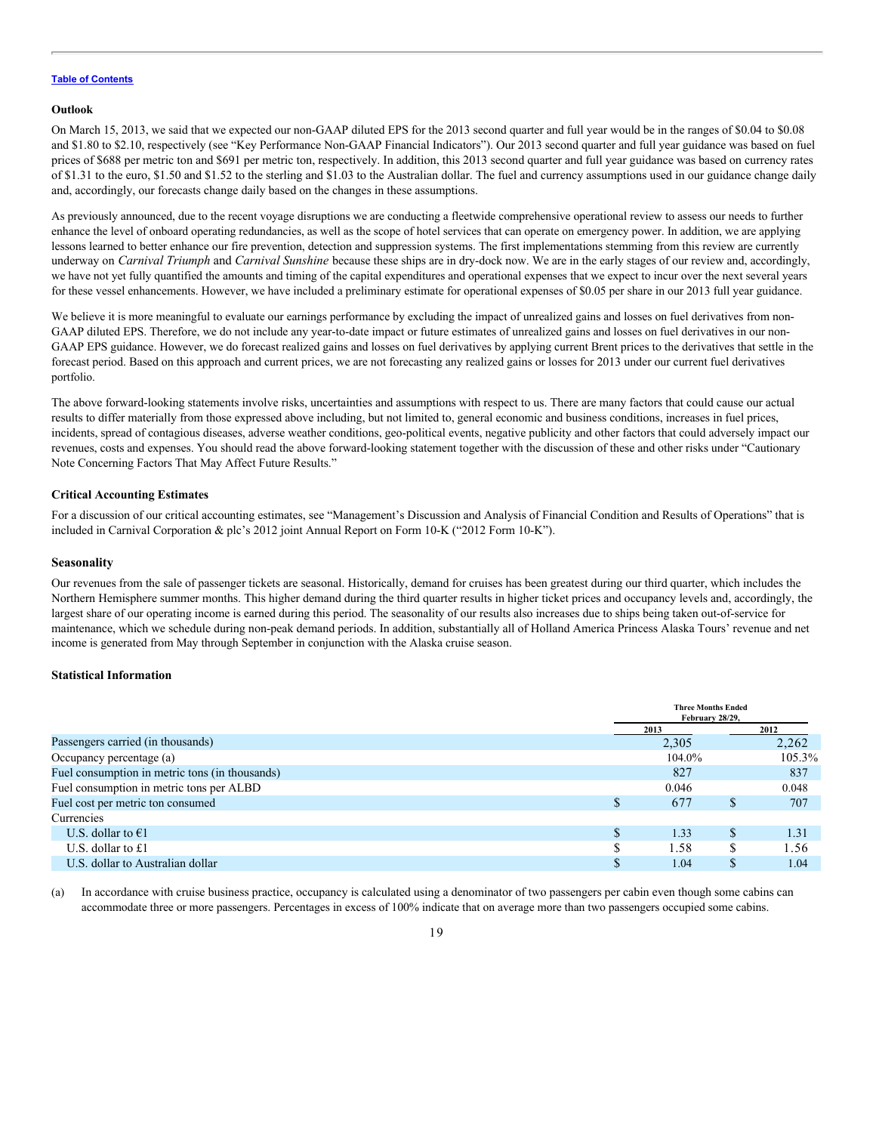#### **Outlook**

On March 15, 2013, we said that we expected our non-GAAP diluted EPS for the 2013 second quarter and full year would be in the ranges of \$0.04 to \$0.08 and \$1.80 to \$2.10, respectively (see "Key Performance Non-GAAP Financial Indicators"). Our 2013 second quarter and full year guidance was based on fuel prices of \$688 per metric ton and \$691 per metric ton, respectively. In addition, this 2013 second quarter and full year guidance was based on currency rates of \$1.31 to the euro, \$1.50 and \$1.52 to the sterling and \$1.03 to the Australian dollar. The fuel and currency assumptions used in our guidance change daily and, accordingly, our forecasts change daily based on the changes in these assumptions.

As previously announced, due to the recent voyage disruptions we are conducting a fleetwide comprehensive operational review to assess our needs to further enhance the level of onboard operating redundancies, as well as the scope of hotel services that can operate on emergency power. In addition, we are applying lessons learned to better enhance our fire prevention, detection and suppression systems. The first implementations stemming from this review are currently underway on *Carnival Triumph* and *Carnival Sunshine* because these ships are in dry-dock now. We are in the early stages of our review and, accordingly, we have not yet fully quantified the amounts and timing of the capital expenditures and operational expenses that we expect to incur over the next several years for these vessel enhancements. However, we have included a preliminary estimate for operational expenses of \$0.05 per share in our 2013 full year guidance.

We believe it is more meaningful to evaluate our earnings performance by excluding the impact of unrealized gains and losses on fuel derivatives from non-GAAP diluted EPS. Therefore, we do not include any year-to-date impact or future estimates of unrealized gains and losses on fuel derivatives in our non-GAAP EPS guidance. However, we do forecast realized gains and losses on fuel derivatives by applying current Brent prices to the derivatives that settle in the forecast period. Based on this approach and current prices, we are not forecasting any realized gains or losses for 2013 under our current fuel derivatives portfolio.

The above forward-looking statements involve risks, uncertainties and assumptions with respect to us. There are many factors that could cause our actual results to differ materially from those expressed above including, but not limited to, general economic and business conditions, increases in fuel prices, incidents, spread of contagious diseases, adverse weather conditions, geo-political events, negative publicity and other factors that could adversely impact our revenues, costs and expenses. You should read the above forward-looking statement together with the discussion of these and other risks under "Cautionary Note Concerning Factors That May Affect Future Results."

#### **Critical Accounting Estimates**

For a discussion of our critical accounting estimates, see "Management's Discussion and Analysis of Financial Condition and Results of Operations" that is included in Carnival Corporation & plc's 2012 joint Annual Report on Form 10-K ("2012 Form 10-K").

#### **Seasonality**

Our revenues from the sale of passenger tickets are seasonal. Historically, demand for cruises has been greatest during our third quarter, which includes the Northern Hemisphere summer months. This higher demand during the third quarter results in higher ticket prices and occupancy levels and, accordingly, the largest share of our operating income is earned during this period. The seasonality of our results also increases due to ships being taken out-of-service for maintenance, which we schedule during non-peak demand periods. In addition, substantially all of Holland America Princess Alaska Tours' revenue and net income is generated from May through September in conjunction with the Alaska cruise season.

#### **Statistical Information**

|                                                | <b>Three Months Ended</b><br>February 28/29. |              |        |
|------------------------------------------------|----------------------------------------------|--------------|--------|
|                                                | 2013                                         |              | 2012   |
| Passengers carried (in thousands)              | 2,305                                        |              | 2,262  |
| Occupancy percentage (a)                       | $104.0\%$                                    |              | 105.3% |
| Fuel consumption in metric tons (in thousands) | 827                                          |              | 837    |
| Fuel consumption in metric tons per ALBD       | 0.046                                        |              | 0.048  |
| Fuel cost per metric ton consumed              | 677                                          | S            | 707    |
| Currencies                                     |                                              |              |        |
| U.S. dollar to $\epsilon_1$                    | 1.33                                         | S            | 1.31   |
| U.S. dollar to $£1$                            | 1.58                                         |              | 1.56   |
| U.S. dollar to Australian dollar               | 1.04                                         | <sup>S</sup> | 1.04   |

(a) In accordance with cruise business practice, occupancy is calculated using a denominator of two passengers per cabin even though some cabins can accommodate three or more passengers. Percentages in excess of 100% indicate that on average more than two passengers occupied some cabins.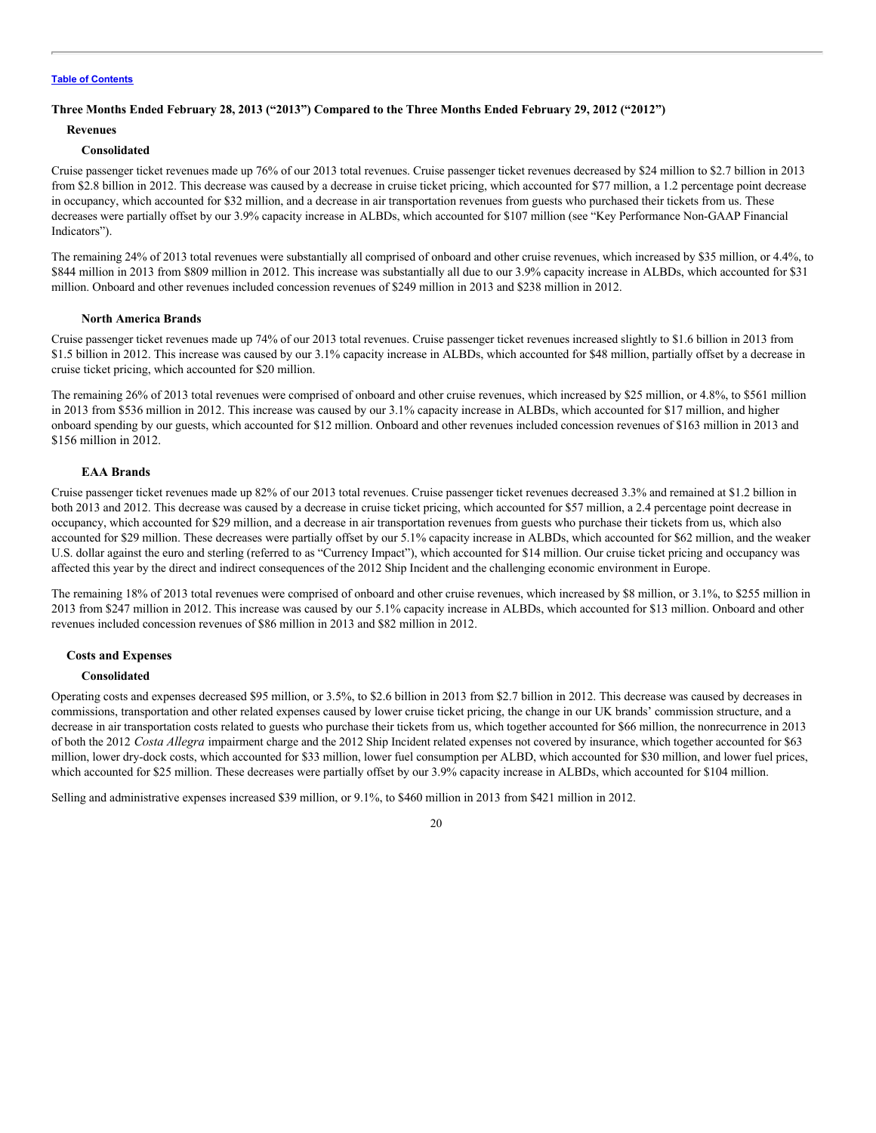#### **Three Months Ended February 28, 2013 ("2013") Compared to the Three Months Ended February 29, 2012 ("2012")**

#### **Revenues**

#### **Consolidated**

Cruise passenger ticket revenues made up 76% of our 2013 total revenues. Cruise passenger ticket revenues decreased by \$24 million to \$2.7 billion in 2013 from \$2.8 billion in 2012. This decrease was caused by a decrease in cruise ticket pricing, which accounted for \$77 million, a 1.2 percentage point decrease in occupancy, which accounted for \$32 million, and a decrease in air transportation revenues from guests who purchased their tickets from us. These decreases were partially offset by our 3.9% capacity increase in ALBDs, which accounted for \$107 million (see "Key Performance Non-GAAP Financial Indicators").

The remaining 24% of 2013 total revenues were substantially all comprised of onboard and other cruise revenues, which increased by \$35 million, or 4.4%, to \$844 million in 2013 from \$809 million in 2012. This increase was substantially all due to our 3.9% capacity increase in ALBDs, which accounted for \$31 million. Onboard and other revenues included concession revenues of \$249 million in 2013 and \$238 million in 2012.

#### **North America Brands**

Cruise passenger ticket revenues made up 74% of our 2013 total revenues. Cruise passenger ticket revenues increased slightly to \$1.6 billion in 2013 from \$1.5 billion in 2012. This increase was caused by our 3.1% capacity increase in ALBDs, which accounted for \$48 million, partially offset by a decrease in cruise ticket pricing, which accounted for \$20 million.

The remaining 26% of 2013 total revenues were comprised of onboard and other cruise revenues, which increased by \$25 million, or 4.8%, to \$561 million in 2013 from \$536 million in 2012. This increase was caused by our 3.1% capacity increase in ALBDs, which accounted for \$17 million, and higher onboard spending by our guests, which accounted for \$12 million. Onboard and other revenues included concession revenues of \$163 million in 2013 and \$156 million in 2012.

#### **EAA Brands**

Cruise passenger ticket revenues made up 82% of our 2013 total revenues. Cruise passenger ticket revenues decreased 3.3% and remained at \$1.2 billion in both 2013 and 2012. This decrease was caused by a decrease in cruise ticket pricing, which accounted for \$57 million, a 2.4 percentage point decrease in occupancy, which accounted for \$29 million, and a decrease in air transportation revenues from guests who purchase their tickets from us, which also accounted for \$29 million. These decreases were partially offset by our 5.1% capacity increase in ALBDs, which accounted for \$62 million, and the weaker U.S. dollar against the euro and sterling (referred to as "Currency Impact"), which accounted for \$14 million. Our cruise ticket pricing and occupancy was affected this year by the direct and indirect consequences of the 2012 Ship Incident and the challenging economic environment in Europe.

The remaining 18% of 2013 total revenues were comprised of onboard and other cruise revenues, which increased by \$8 million, or 3.1%, to \$255 million in 2013 from \$247 million in 2012. This increase was caused by our 5.1% capacity increase in ALBDs, which accounted for \$13 million. Onboard and other revenues included concession revenues of \$86 million in 2013 and \$82 million in 2012.

#### **Costs and Expenses**

#### **Consolidated**

Operating costs and expenses decreased \$95 million, or 3.5%, to \$2.6 billion in 2013 from \$2.7 billion in 2012. This decrease was caused by decreases in commissions, transportation and other related expenses caused by lower cruise ticket pricing, the change in our UK brands' commission structure, and a decrease in air transportation costs related to guests who purchase their tickets from us, which together accounted for \$66 million, the nonrecurrence in 2013 of both the 2012 *Costa Allegra* impairment charge and the 2012 Ship Incident related expenses not covered by insurance, which together accounted for \$63 million, lower dry-dock costs, which accounted for \$33 million, lower fuel consumption per ALBD, which accounted for \$30 million, and lower fuel prices, which accounted for \$25 million. These decreases were partially offset by our 3.9% capacity increase in ALBDs, which accounted for \$104 million.

Selling and administrative expenses increased \$39 million, or 9.1%, to \$460 million in 2013 from \$421 million in 2012.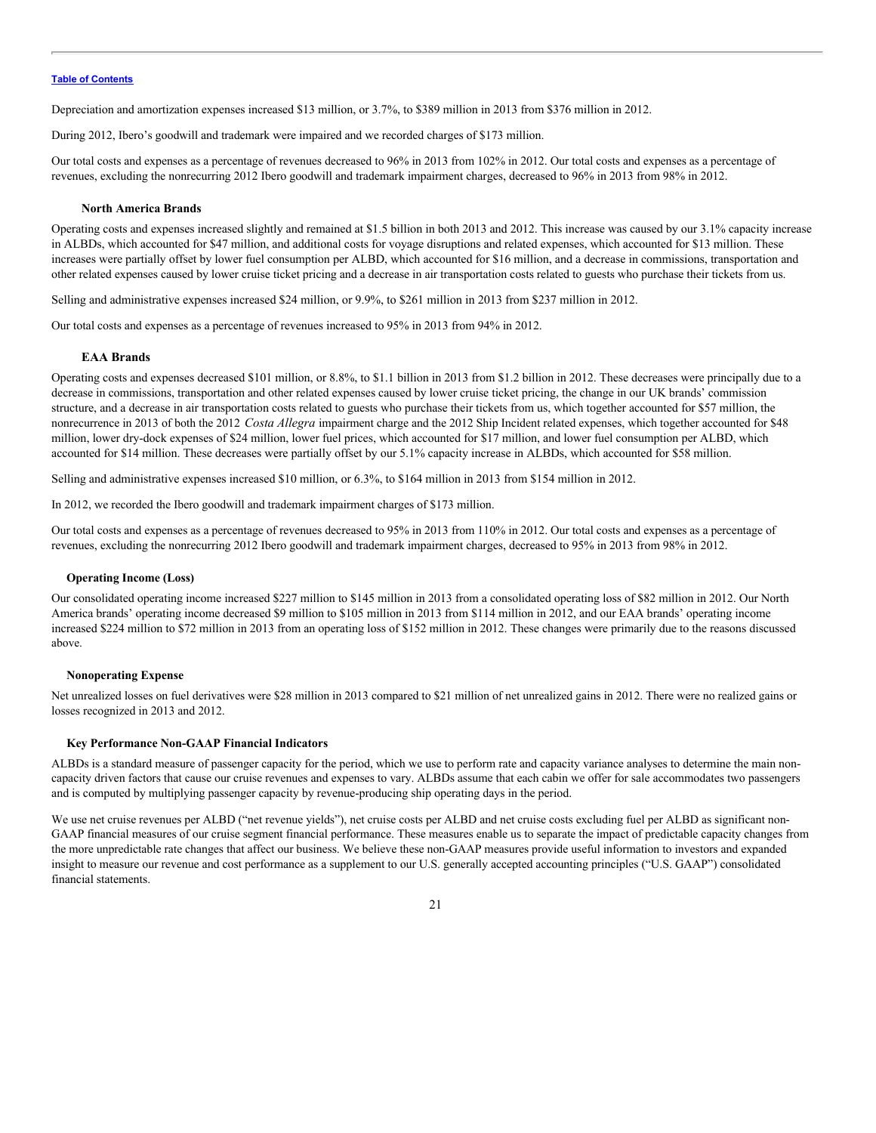Depreciation and amortization expenses increased \$13 million, or 3.7%, to \$389 million in 2013 from \$376 million in 2012.

During 2012, Ibero's goodwill and trademark were impaired and we recorded charges of \$173 million.

Our total costs and expenses as a percentage of revenues decreased to 96% in 2013 from 102% in 2012. Our total costs and expenses as a percentage of revenues, excluding the nonrecurring 2012 Ibero goodwill and trademark impairment charges, decreased to 96% in 2013 from 98% in 2012.

#### **North America Brands**

Operating costs and expenses increased slightly and remained at \$1.5 billion in both 2013 and 2012. This increase was caused by our 3.1% capacity increase in ALBDs, which accounted for \$47 million, and additional costs for voyage disruptions and related expenses, which accounted for \$13 million. These increases were partially offset by lower fuel consumption per ALBD, which accounted for \$16 million, and a decrease in commissions, transportation and other related expenses caused by lower cruise ticket pricing and a decrease in air transportation costs related to guests who purchase their tickets from us.

Selling and administrative expenses increased \$24 million, or 9.9%, to \$261 million in 2013 from \$237 million in 2012.

Our total costs and expenses as a percentage of revenues increased to 95% in 2013 from 94% in 2012.

#### **EAA Brands**

Operating costs and expenses decreased \$101 million, or 8.8%, to \$1.1 billion in 2013 from \$1.2 billion in 2012. These decreases were principally due to a decrease in commissions, transportation and other related expenses caused by lower cruise ticket pricing, the change in our UK brands' commission structure, and a decrease in air transportation costs related to guests who purchase their tickets from us, which together accounted for \$57 million, the nonrecurrence in 2013 of both the 2012 *Costa Allegra* impairment charge and the 2012 Ship Incident related expenses, which together accounted for \$48 million, lower dry-dock expenses of \$24 million, lower fuel prices, which accounted for \$17 million, and lower fuel consumption per ALBD, which accounted for \$14 million. These decreases were partially offset by our 5.1% capacity increase in ALBDs, which accounted for \$58 million.

Selling and administrative expenses increased \$10 million, or 6.3%, to \$164 million in 2013 from \$154 million in 2012.

In 2012, we recorded the Ibero goodwill and trademark impairment charges of \$173 million.

Our total costs and expenses as a percentage of revenues decreased to 95% in 2013 from 110% in 2012. Our total costs and expenses as a percentage of revenues, excluding the nonrecurring 2012 Ibero goodwill and trademark impairment charges, decreased to 95% in 2013 from 98% in 2012.

#### **Operating Income (Loss)**

Our consolidated operating income increased \$227 million to \$145 million in 2013 from a consolidated operating loss of \$82 million in 2012. Our North America brands' operating income decreased \$9 million to \$105 million in 2013 from \$114 million in 2012, and our EAA brands' operating income increased \$224 million to \$72 million in 2013 from an operating loss of \$152 million in 2012. These changes were primarily due to the reasons discussed above.

#### **Nonoperating Expense**

Net unrealized losses on fuel derivatives were \$28 million in 2013 compared to \$21 million of net unrealized gains in 2012. There were no realized gains or losses recognized in 2013 and 2012.

#### **Key Performance Non-GAAP Financial Indicators**

ALBDs is a standard measure of passenger capacity for the period, which we use to perform rate and capacity variance analyses to determine the main noncapacity driven factors that cause our cruise revenues and expenses to vary. ALBDs assume that each cabin we offer for sale accommodates two passengers and is computed by multiplying passenger capacity by revenue-producing ship operating days in the period.

We use net cruise revenues per ALBD ("net revenue yields"), net cruise costs per ALBD and net cruise costs excluding fuel per ALBD as significant non-GAAP financial measures of our cruise segment financial performance. These measures enable us to separate the impact of predictable capacity changes from the more unpredictable rate changes that affect our business. We believe these non-GAAP measures provide useful information to investors and expanded insight to measure our revenue and cost performance as a supplement to our U.S. generally accepted accounting principles ("U.S. GAAP") consolidated financial statements.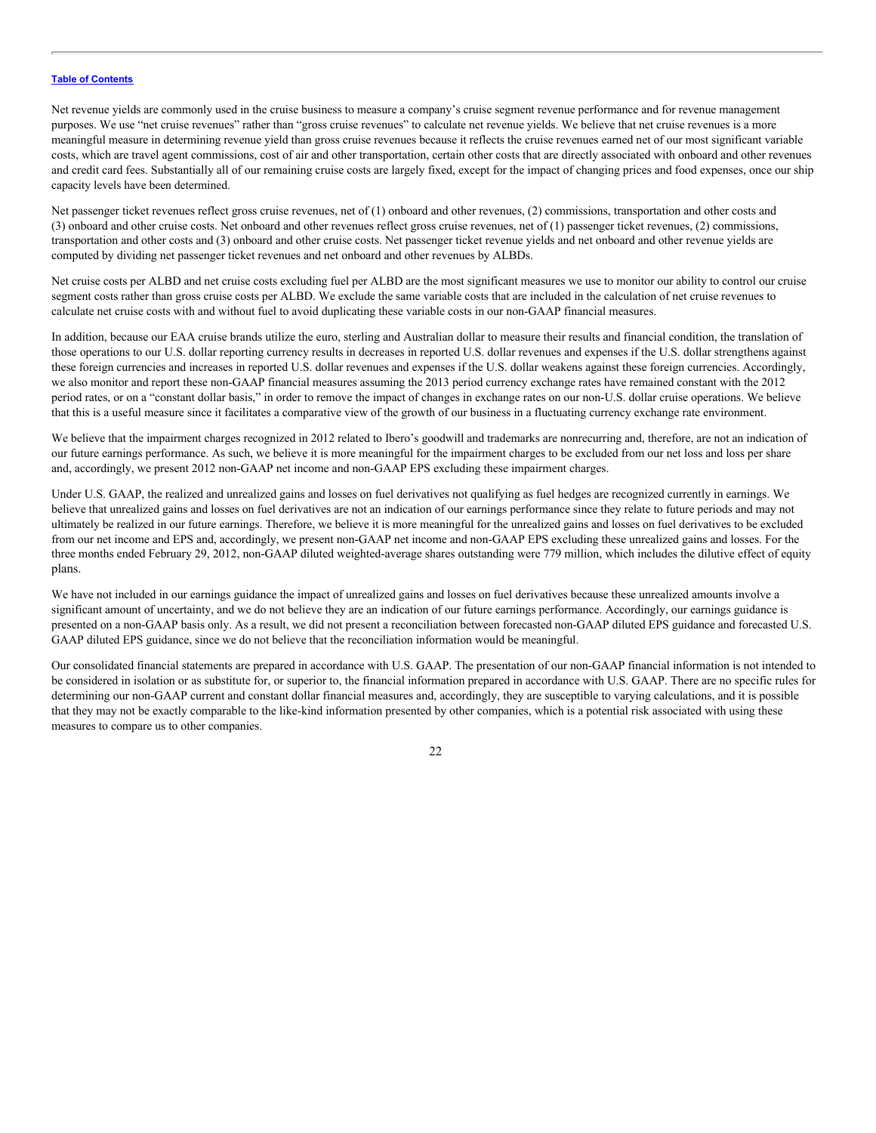Net revenue yields are commonly used in the cruise business to measure a company's cruise segment revenue performance and for revenue management purposes. We use "net cruise revenues" rather than "gross cruise revenues" to calculate net revenue yields. We believe that net cruise revenues is a more meaningful measure in determining revenue yield than gross cruise revenues because it reflects the cruise revenues earned net of our most significant variable costs, which are travel agent commissions, cost of air and other transportation, certain other costs that are directly associated with onboard and other revenues and credit card fees. Substantially all of our remaining cruise costs are largely fixed, except for the impact of changing prices and food expenses, once our ship capacity levels have been determined.

Net passenger ticket revenues reflect gross cruise revenues, net of (1) onboard and other revenues, (2) commissions, transportation and other costs and (3) onboard and other cruise costs. Net onboard and other revenues reflect gross cruise revenues, net of (1) passenger ticket revenues, (2) commissions, transportation and other costs and (3) onboard and other cruise costs. Net passenger ticket revenue yields and net onboard and other revenue yields are computed by dividing net passenger ticket revenues and net onboard and other revenues by ALBDs.

Net cruise costs per ALBD and net cruise costs excluding fuel per ALBD are the most significant measures we use to monitor our ability to control our cruise segment costs rather than gross cruise costs per ALBD. We exclude the same variable costs that are included in the calculation of net cruise revenues to calculate net cruise costs with and without fuel to avoid duplicating these variable costs in our non-GAAP financial measures.

In addition, because our EAA cruise brands utilize the euro, sterling and Australian dollar to measure their results and financial condition, the translation of those operations to our U.S. dollar reporting currency results in decreases in reported U.S. dollar revenues and expenses if the U.S. dollar strengthens against these foreign currencies and increases in reported U.S. dollar revenues and expenses if the U.S. dollar weakens against these foreign currencies. Accordingly, we also monitor and report these non-GAAP financial measures assuming the 2013 period currency exchange rates have remained constant with the 2012 period rates, or on a "constant dollar basis," in order to remove the impact of changes in exchange rates on our non-U.S. dollar cruise operations. We believe that this is a useful measure since it facilitates a comparative view of the growth of our business in a fluctuating currency exchange rate environment.

We believe that the impairment charges recognized in 2012 related to Ibero's goodwill and trademarks are nonrecurring and, therefore, are not an indication of our future earnings performance. As such, we believe it is more meaningful for the impairment charges to be excluded from our net loss and loss per share and, accordingly, we present 2012 non-GAAP net income and non-GAAP EPS excluding these impairment charges.

Under U.S. GAAP, the realized and unrealized gains and losses on fuel derivatives not qualifying as fuel hedges are recognized currently in earnings. We believe that unrealized gains and losses on fuel derivatives are not an indication of our earnings performance since they relate to future periods and may not ultimately be realized in our future earnings. Therefore, we believe it is more meaningful for the unrealized gains and losses on fuel derivatives to be excluded from our net income and EPS and, accordingly, we present non-GAAP net income and non-GAAP EPS excluding these unrealized gains and losses. For the three months ended February 29, 2012, non-GAAP diluted weighted-average shares outstanding were 779 million, which includes the dilutive effect of equity plans.

We have not included in our earnings guidance the impact of unrealized gains and losses on fuel derivatives because these unrealized amounts involve a significant amount of uncertainty, and we do not believe they are an indication of our future earnings performance. Accordingly, our earnings guidance is presented on a non-GAAP basis only. As a result, we did not present a reconciliation between forecasted non-GAAP diluted EPS guidance and forecasted U.S. GAAP diluted EPS guidance, since we do not believe that the reconciliation information would be meaningful.

Our consolidated financial statements are prepared in accordance with U.S. GAAP. The presentation of our non-GAAP financial information is not intended to be considered in isolation or as substitute for, or superior to, the financial information prepared in accordance with U.S. GAAP. There are no specific rules for determining our non-GAAP current and constant dollar financial measures and, accordingly, they are susceptible to varying calculations, and it is possible that they may not be exactly comparable to the like-kind information presented by other companies, which is a potential risk associated with using these measures to compare us to other companies.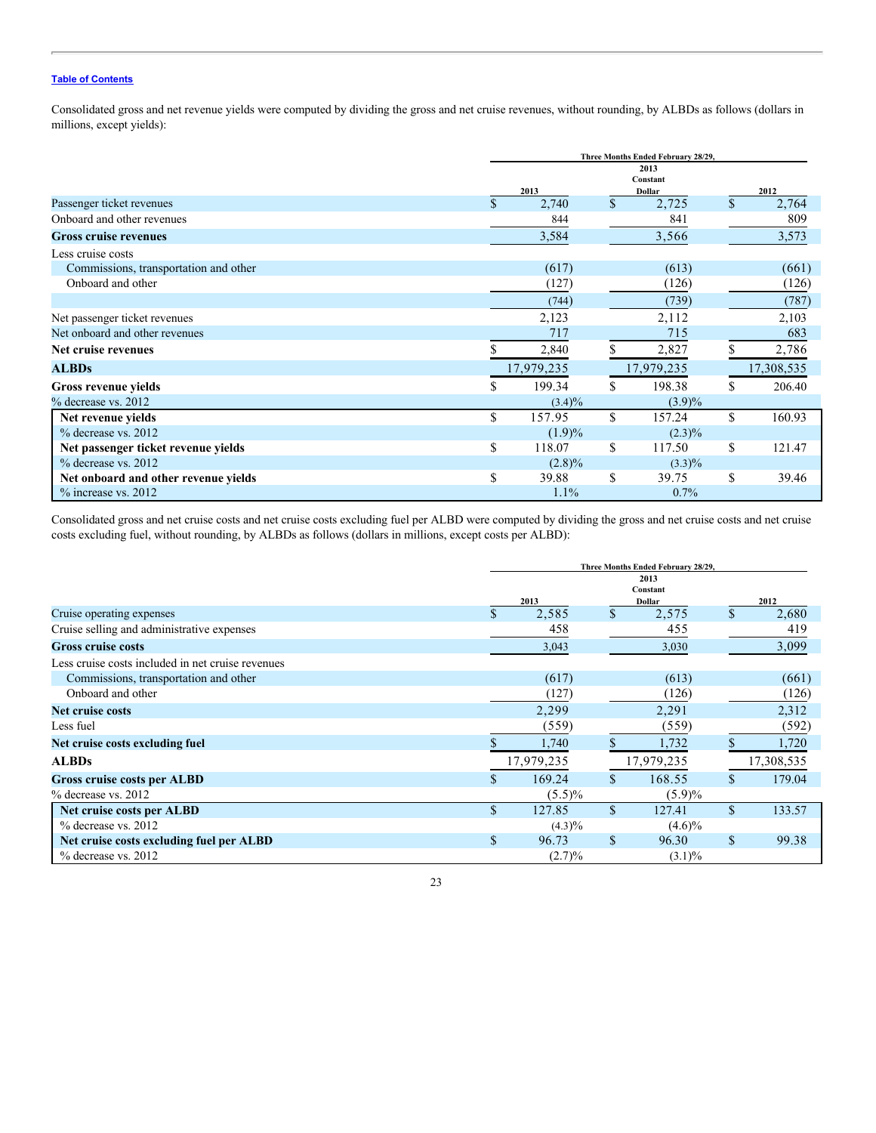Consolidated gross and net revenue yields were computed by dividing the gross and net cruise revenues, without rounding, by ALBDs as follows (dollars in millions, except yields):

|                                       |    | Three Months Ended February 28/29,<br>2013 |     |                 |    |               |  |
|---------------------------------------|----|--------------------------------------------|-----|-----------------|----|---------------|--|
|                                       |    | Constant                                   |     |                 |    |               |  |
| Passenger ticket revenues             |    | 2013<br>2,740                              | \$  | Dollar<br>2,725 | \$ | 2012<br>2,764 |  |
| Onboard and other revenues            |    | 844                                        |     | 841             |    | 809           |  |
| <b>Gross cruise revenues</b>          |    | 3,584                                      |     | 3,566           |    | 3,573         |  |
| Less cruise costs                     |    |                                            |     |                 |    |               |  |
| Commissions, transportation and other |    | (617)                                      |     | (613)           |    | (661)         |  |
| Onboard and other                     |    | (127)                                      |     | (126)           |    | (126)         |  |
|                                       |    | (744)                                      |     | (739)           |    | (787)         |  |
| Net passenger ticket revenues         |    | 2,123                                      |     | 2,112           |    | 2,103         |  |
| Net onboard and other revenues        |    | 717                                        |     | 715             |    | 683           |  |
| Net cruise revenues                   |    | 2,840                                      |     | 2,827           |    | 2,786         |  |
| <b>ALBDs</b>                          |    | 17,979,235                                 |     | 17,979,235      |    | 17,308,535    |  |
| Gross revenue yields                  | S  | 199.34                                     | \$  | 198.38          | \$ | 206.40        |  |
| % decrease vs. 2012                   |    | $(3.4)\%$                                  |     | $(3.9)\%$       |    |               |  |
| Net revenue yields                    | \$ | 157.95                                     | S   | 157.24          | \$ | 160.93        |  |
| % decrease vs. 2012                   |    | (1.9)%                                     |     | $(2.3)\%$       |    |               |  |
| Net passenger ticket revenue yields   | \$ | 118.07                                     | S   | 117.50          | \$ | 121.47        |  |
| % decrease vs. 2012                   |    | $(2.8)\%$                                  |     | $(3.3)\%$       |    |               |  |
| Net onboard and other revenue yields  | \$ | 39.88                                      | \$. | 39.75           | \$ | 39.46         |  |
| $%$ increase vs. 2012                 |    | $1.1\%$                                    |     | 0.7%            |    |               |  |

Consolidated gross and net cruise costs and net cruise costs excluding fuel per ALBD were computed by dividing the gross and net cruise costs and net cruise costs excluding fuel, without rounding, by ALBDs as follows (dollars in millions, except costs per ALBD):

|                                                   | Three Months Ended February 28/29, |                                   |     |            |    |            |  |
|---------------------------------------------------|------------------------------------|-----------------------------------|-----|------------|----|------------|--|
|                                                   | 2013                               |                                   |     |            |    |            |  |
|                                                   |                                    | Constant<br>2013<br><b>Dollar</b> |     |            |    | 2012       |  |
| Cruise operating expenses                         |                                    | 2,585                             | \$  | 2,575      | \$ | 2,680      |  |
| Cruise selling and administrative expenses        |                                    | 458                               |     | 455        |    | 419        |  |
| <b>Gross cruise costs</b>                         |                                    | 3,043                             |     | 3,030      |    | 3,099      |  |
| Less cruise costs included in net cruise revenues |                                    |                                   |     |            |    |            |  |
| Commissions, transportation and other             |                                    | (617)                             |     | (613)      |    | (661)      |  |
| Onboard and other                                 |                                    | (127)                             |     | (126)      |    | (126)      |  |
| <b>Net cruise costs</b>                           |                                    | 2,299                             |     | 2,291      |    | 2,312      |  |
| Less fuel                                         |                                    | (559)                             |     | (559)      |    | (592)      |  |
| Net cruise costs excluding fuel                   |                                    | 1,740                             |     | 1,732      |    | 1,720      |  |
| <b>ALBDs</b>                                      |                                    | 17,979,235                        |     | 17,979,235 |    | 17,308,535 |  |
| Gross cruise costs per ALBD                       |                                    | 169.24                            | \$. | 168.55     | S  | 179.04     |  |
| $%$ decrease vs. 2012                             |                                    | $(5.5)\%$                         |     | $(5.9)\%$  |    |            |  |
| Net cruise costs per ALBD                         | \$                                 | 127.85                            | \$  | 127.41     | \$ | 133.57     |  |
| $%$ decrease vs. 2012                             |                                    | $(4.3)\%$                         |     | $(4.6)\%$  |    |            |  |
| Net cruise costs excluding fuel per ALBD          | $\mathbb{S}$                       | 96.73                             | \$  | 96.30      | \$ | 99.38      |  |
| % decrease vs. 2012                               |                                    | (2.7)%                            |     | $(3.1)\%$  |    |            |  |

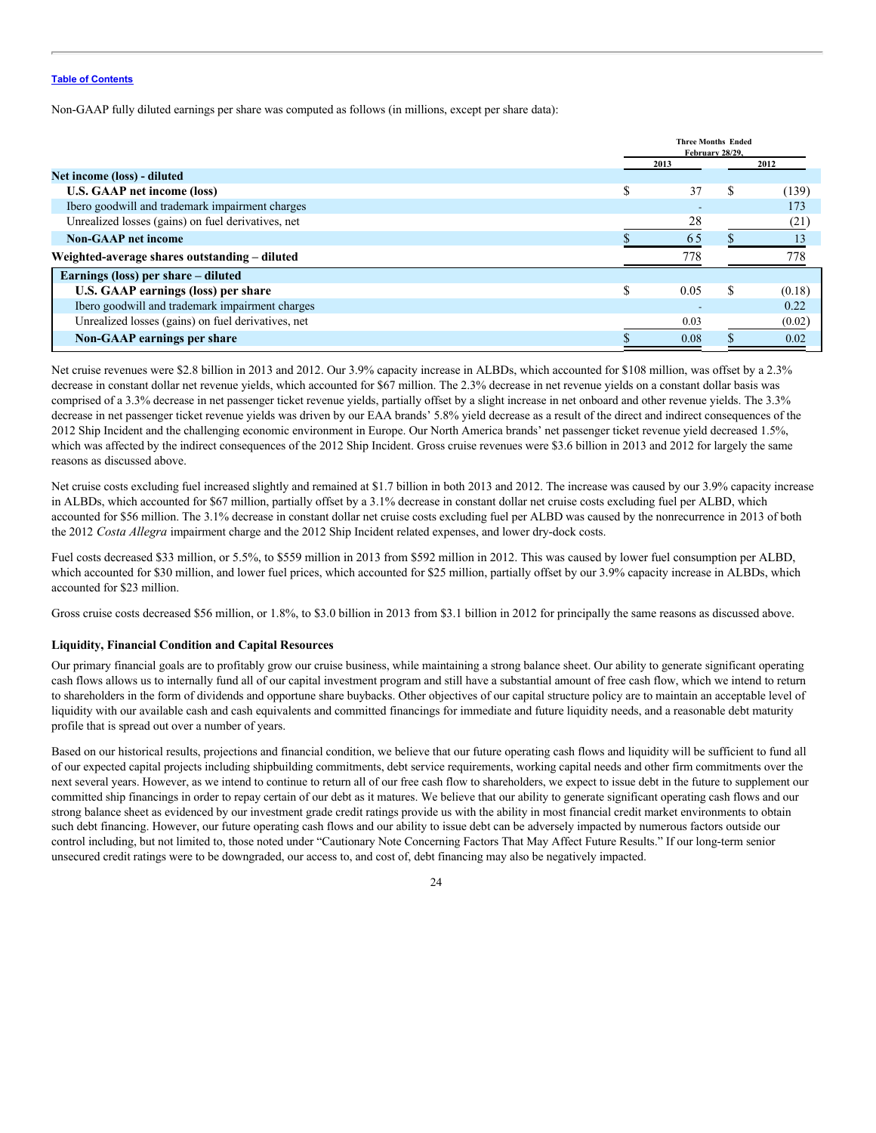Non-GAAP fully diluted earnings per share was computed as follows (in millions, except per share data):

|                                                    | <b>Three Months Ended</b><br>February 28/29. |      |   |        |
|----------------------------------------------------|----------------------------------------------|------|---|--------|
|                                                    |                                              | 2013 |   | 2012   |
| Net income (loss) - diluted                        |                                              |      |   |        |
| <b>U.S. GAAP net income (loss)</b>                 | Эħ.                                          | 37   | S | (139)  |
| Ibero goodwill and trademark impairment charges    |                                              |      |   | 173    |
| Unrealized losses (gains) on fuel derivatives, net |                                              | 28   |   | (21)   |
| <b>Non-GAAP</b> net income                         |                                              | 6.5  |   |        |
| Weighted-average shares outstanding – diluted      |                                              | 778  |   | 778    |
| Earnings (loss) per share - diluted                |                                              |      |   |        |
| U.S. GAAP earnings (loss) per share                |                                              | 0.05 | S | (0.18) |
| Ibero goodwill and trademark impairment charges    |                                              |      |   | 0.22   |
| Unrealized losses (gains) on fuel derivatives, net |                                              | 0.03 |   | (0.02) |
| Non-GAAP earnings per share                        |                                              | 0.08 |   | 0.02   |

Net cruise revenues were \$2.8 billion in 2013 and 2012. Our 3.9% capacity increase in ALBDs, which accounted for \$108 million, was offset by a 2.3% decrease in constant dollar net revenue yields, which accounted for \$67 million. The 2.3% decrease in net revenue yields on a constant dollar basis was comprised of a 3.3% decrease in net passenger ticket revenue yields, partially offset by a slight increase in net onboard and other revenue yields. The 3.3% decrease in net passenger ticket revenue yields was driven by our EAA brands' 5.8% yield decrease as a result of the direct and indirect consequences of the 2012 Ship Incident and the challenging economic environment in Europe. Our North America brands' net passenger ticket revenue yield decreased 1.5%, which was affected by the indirect consequences of the 2012 Ship Incident. Gross cruise revenues were \$3.6 billion in 2013 and 2012 for largely the same reasons as discussed above.

Net cruise costs excluding fuel increased slightly and remained at \$1.7 billion in both 2013 and 2012. The increase was caused by our 3.9% capacity increase in ALBDs, which accounted for \$67 million, partially offset by a 3.1% decrease in constant dollar net cruise costs excluding fuel per ALBD, which accounted for \$56 million. The 3.1% decrease in constant dollar net cruise costs excluding fuel per ALBD was caused by the nonrecurrence in 2013 of both the 2012 *Costa Allegra* impairment charge and the 2012 Ship Incident related expenses, and lower dry-dock costs.

Fuel costs decreased \$33 million, or 5.5%, to \$559 million in 2013 from \$592 million in 2012. This was caused by lower fuel consumption per ALBD, which accounted for \$30 million, and lower fuel prices, which accounted for \$25 million, partially offset by our 3.9% capacity increase in ALBDs, which accounted for \$23 million.

Gross cruise costs decreased \$56 million, or 1.8%, to \$3.0 billion in 2013 from \$3.1 billion in 2012 for principally the same reasons as discussed above.

#### **Liquidity, Financial Condition and Capital Resources**

Our primary financial goals are to profitably grow our cruise business, while maintaining a strong balance sheet. Our ability to generate significant operating cash flows allows us to internally fund all of our capital investment program and still have a substantial amount of free cash flow, which we intend to return to shareholders in the form of dividends and opportune share buybacks. Other objectives of our capital structure policy are to maintain an acceptable level of liquidity with our available cash and cash equivalents and committed financings for immediate and future liquidity needs, and a reasonable debt maturity profile that is spread out over a number of years.

Based on our historical results, projections and financial condition, we believe that our future operating cash flows and liquidity will be sufficient to fund all of our expected capital projects including shipbuilding commitments, debt service requirements, working capital needs and other firm commitments over the next several years. However, as we intend to continue to return all of our free cash flow to shareholders, we expect to issue debt in the future to supplement our committed ship financings in order to repay certain of our debt as it matures. We believe that our ability to generate significant operating cash flows and our strong balance sheet as evidenced by our investment grade credit ratings provide us with the ability in most financial credit market environments to obtain such debt financing. However, our future operating cash flows and our ability to issue debt can be adversely impacted by numerous factors outside our control including, but not limited to, those noted under "Cautionary Note Concerning Factors That May Affect Future Results." If our long-term senior unsecured credit ratings were to be downgraded, our access to, and cost of, debt financing may also be negatively impacted.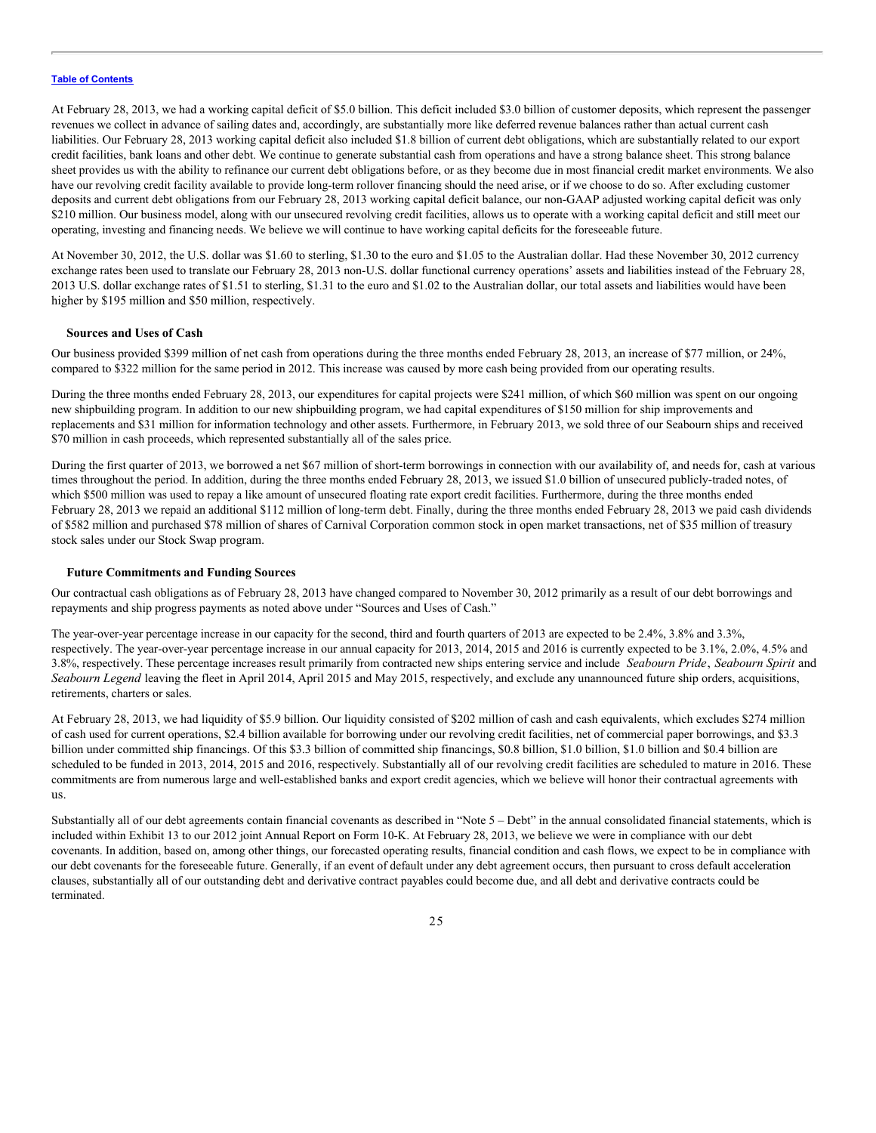At February 28, 2013, we had a working capital deficit of \$5.0 billion. This deficit included \$3.0 billion of customer deposits, which represent the passenger revenues we collect in advance of sailing dates and, accordingly, are substantially more like deferred revenue balances rather than actual current cash liabilities. Our February 28, 2013 working capital deficit also included \$1.8 billion of current debt obligations, which are substantially related to our export credit facilities, bank loans and other debt. We continue to generate substantial cash from operations and have a strong balance sheet. This strong balance sheet provides us with the ability to refinance our current debt obligations before, or as they become due in most financial credit market environments. We also have our revolving credit facility available to provide long-term rollover financing should the need arise, or if we choose to do so. After excluding customer deposits and current debt obligations from our February 28, 2013 working capital deficit balance, our non-GAAP adjusted working capital deficit was only \$210 million. Our business model, along with our unsecured revolving credit facilities, allows us to operate with a working capital deficit and still meet our operating, investing and financing needs. We believe we will continue to have working capital deficits for the foreseeable future.

At November 30, 2012, the U.S. dollar was \$1.60 to sterling, \$1.30 to the euro and \$1.05 to the Australian dollar. Had these November 30, 2012 currency exchange rates been used to translate our February 28, 2013 non-U.S. dollar functional currency operations' assets and liabilities instead of the February 28, 2013 U.S. dollar exchange rates of \$1.51 to sterling, \$1.31 to the euro and \$1.02 to the Australian dollar, our total assets and liabilities would have been higher by \$195 million and \$50 million, respectively.

#### **Sources and Uses of Cash**

Our business provided \$399 million of net cash from operations during the three months ended February 28, 2013, an increase of \$77 million, or 24%, compared to \$322 million for the same period in 2012. This increase was caused by more cash being provided from our operating results.

During the three months ended February 28, 2013, our expenditures for capital projects were \$241 million, of which \$60 million was spent on our ongoing new shipbuilding program. In addition to our new shipbuilding program, we had capital expenditures of \$150 million for ship improvements and replacements and \$31 million for information technology and other assets. Furthermore, in February 2013, we sold three of our Seabourn ships and received \$70 million in cash proceeds, which represented substantially all of the sales price.

During the first quarter of 2013, we borrowed a net \$67 million of short-term borrowings in connection with our availability of, and needs for, cash at various times throughout the period. In addition, during the three months ended February 28, 2013, we issued \$1.0 billion of unsecured publicly-traded notes, of which \$500 million was used to repay a like amount of unsecured floating rate export credit facilities. Furthermore, during the three months ended February 28, 2013 we repaid an additional \$112 million of long-term debt. Finally, during the three months ended February 28, 2013 we paid cash dividends of \$582 million and purchased \$78 million of shares of Carnival Corporation common stock in open market transactions, net of \$35 million of treasury stock sales under our Stock Swap program.

#### **Future Commitments and Funding Sources**

Our contractual cash obligations as of February 28, 2013 have changed compared to November 30, 2012 primarily as a result of our debt borrowings and repayments and ship progress payments as noted above under "Sources and Uses of Cash."

The year-over-year percentage increase in our capacity for the second, third and fourth quarters of 2013 are expected to be 2.4%, 3.8% and 3.3%, respectively. The year-over-year percentage increase in our annual capacity for 2013, 2014, 2015 and 2016 is currently expected to be 3.1%, 2.0%, 4.5% and 3.8%, respectively. These percentage increases result primarily from contracted new ships entering service and include *Seabourn Pride*, *Seabourn Spirit* and *Seabourn Legend* leaving the fleet in April 2014, April 2015 and May 2015, respectively, and exclude any unannounced future ship orders, acquisitions, retirements, charters or sales.

At February 28, 2013, we had liquidity of \$5.9 billion. Our liquidity consisted of \$202 million of cash and cash equivalents, which excludes \$274 million of cash used for current operations, \$2.4 billion available for borrowing under our revolving credit facilities, net of commercial paper borrowings, and \$3.3 billion under committed ship financings. Of this \$3.3 billion of committed ship financings, \$0.8 billion, \$1.0 billion, \$1.0 billion and \$0.4 billion are scheduled to be funded in 2013, 2014, 2015 and 2016, respectively. Substantially all of our revolving credit facilities are scheduled to mature in 2016. These commitments are from numerous large and well-established banks and export credit agencies, which we believe will honor their contractual agreements with us.

Substantially all of our debt agreements contain financial covenants as described in "Note 5 – Debt" in the annual consolidated financial statements, which is included within Exhibit 13 to our 2012 joint Annual Report on Form 10-K. At February 28, 2013, we believe we were in compliance with our debt covenants. In addition, based on, among other things, our forecasted operating results, financial condition and cash flows, we expect to be in compliance with our debt covenants for the foreseeable future. Generally, if an event of default under any debt agreement occurs, then pursuant to cross default acceleration clauses, substantially all of our outstanding debt and derivative contract payables could become due, and all debt and derivative contracts could be terminated.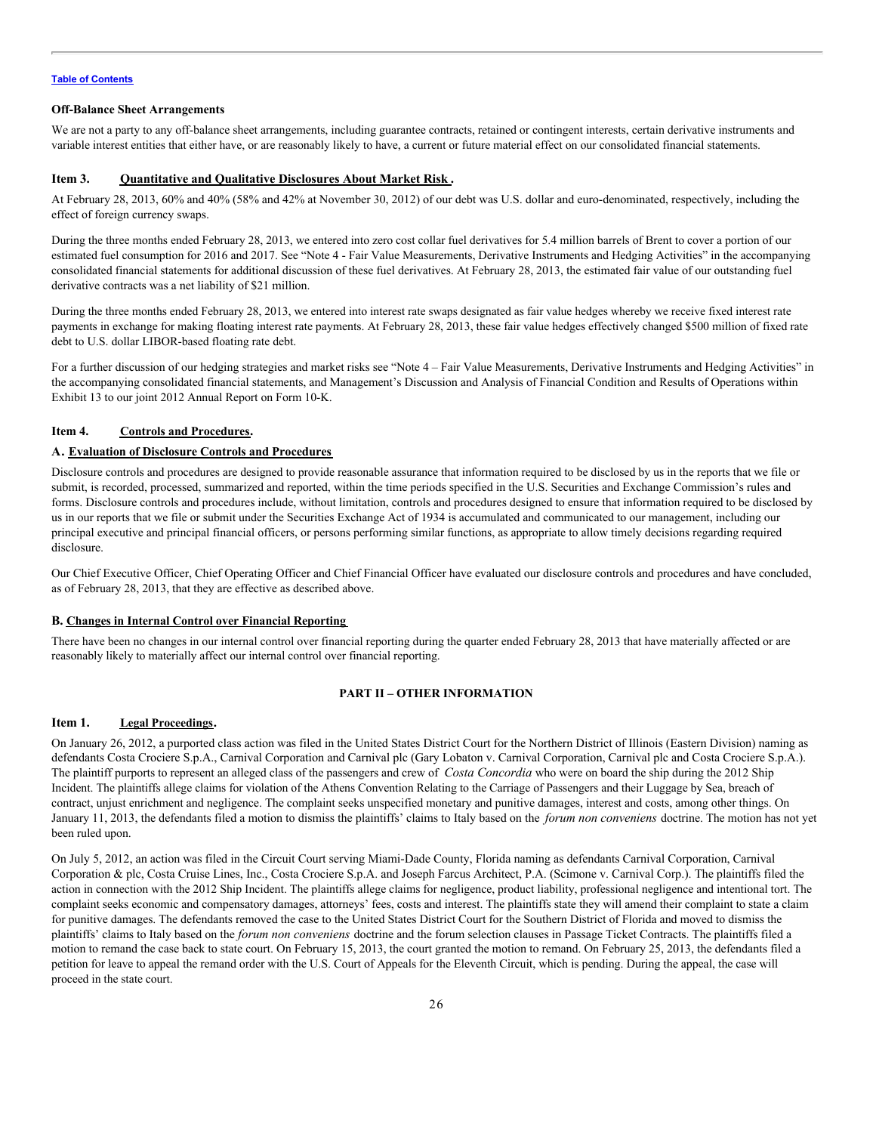#### <span id="page-26-0"></span>**Off-Balance Sheet Arrangements**

We are not a party to any off-balance sheet arrangements, including guarantee contracts, retained or contingent interests, certain derivative instruments and variable interest entities that either have, or are reasonably likely to have, a current or future material effect on our consolidated financial statements.

#### **Item 3. Quantitative and Qualitative Disclosures About Market Risk .**

At February 28, 2013, 60% and 40% (58% and 42% at November 30, 2012) of our debt was U.S. dollar and euro-denominated, respectively, including the effect of foreign currency swaps.

During the three months ended February 28, 2013, we entered into zero cost collar fuel derivatives for 5.4 million barrels of Brent to cover a portion of our estimated fuel consumption for 2016 and 2017. See "Note 4 - Fair Value Measurements, Derivative Instruments and Hedging Activities" in the accompanying consolidated financial statements for additional discussion of these fuel derivatives. At February 28, 2013, the estimated fair value of our outstanding fuel derivative contracts was a net liability of \$21 million.

During the three months ended February 28, 2013, we entered into interest rate swaps designated as fair value hedges whereby we receive fixed interest rate payments in exchange for making floating interest rate payments. At February 28, 2013, these fair value hedges effectively changed \$500 million of fixed rate debt to U.S. dollar LIBOR-based floating rate debt.

For a further discussion of our hedging strategies and market risks see "Note 4 – Fair Value Measurements, Derivative Instruments and Hedging Activities" in the accompanying consolidated financial statements, and Management's Discussion and Analysis of Financial Condition and Results of Operations within Exhibit 13 to our joint 2012 Annual Report on Form 10-K.

#### **Item 4. Controls and Procedures.**

#### **A. Evaluation of Disclosure Controls and Procedures**

Disclosure controls and procedures are designed to provide reasonable assurance that information required to be disclosed by us in the reports that we file or submit, is recorded, processed, summarized and reported, within the time periods specified in the U.S. Securities and Exchange Commission's rules and forms. Disclosure controls and procedures include, without limitation, controls and procedures designed to ensure that information required to be disclosed by us in our reports that we file or submit under the Securities Exchange Act of 1934 is accumulated and communicated to our management, including our principal executive and principal financial officers, or persons performing similar functions, as appropriate to allow timely decisions regarding required disclosure.

Our Chief Executive Officer, Chief Operating Officer and Chief Financial Officer have evaluated our disclosure controls and procedures and have concluded, as of February 28, 2013, that they are effective as described above.

#### **B. Changes in Internal Control over Financial Reporting**

There have been no changes in our internal control over financial reporting during the quarter ended February 28, 2013 that have materially affected or are reasonably likely to materially affect our internal control over financial reporting.

### **PART II – OTHER INFORMATION**

### **Item 1. Legal Proceedings.**

On January 26, 2012, a purported class action was filed in the United States District Court for the Northern District of Illinois (Eastern Division) naming as defendants Costa Crociere S.p.A., Carnival Corporation and Carnival plc (Gary Lobaton v. Carnival Corporation, Carnival plc and Costa Crociere S.p.A.). The plaintiff purports to represent an alleged class of the passengers and crew of *Costa Concordia* who were on board the ship during the 2012 Ship Incident. The plaintiffs allege claims for violation of the Athens Convention Relating to the Carriage of Passengers and their Luggage by Sea, breach of contract, unjust enrichment and negligence. The complaint seeks unspecified monetary and punitive damages, interest and costs, among other things. On January 11, 2013, the defendants filed a motion to dismiss the plaintiffs' claims to Italy based on the *forum non conveniens* doctrine. The motion has not yet been ruled upon.

On July 5, 2012, an action was filed in the Circuit Court serving Miami-Dade County, Florida naming as defendants Carnival Corporation, Carnival Corporation & plc, Costa Cruise Lines, Inc., Costa Crociere S.p.A. and Joseph Farcus Architect, P.A. (Scimone v. Carnival Corp.). The plaintiffs filed the action in connection with the 2012 Ship Incident. The plaintiffs allege claims for negligence, product liability, professional negligence and intentional tort. The complaint seeks economic and compensatory damages, attorneys' fees, costs and interest. The plaintiffs state they will amend their complaint to state a claim for punitive damages. The defendants removed the case to the United States District Court for the Southern District of Florida and moved to dismiss the plaintiffs' claims to Italy based on the *forum non conveniens* doctrine and the forum selection clauses in Passage Ticket Contracts. The plaintiffs filed a motion to remand the case back to state court. On February 15, 2013, the court granted the motion to remand. On February 25, 2013, the defendants filed a petition for leave to appeal the remand order with the U.S. Court of Appeals for the Eleventh Circuit, which is pending. During the appeal, the case will proceed in the state court.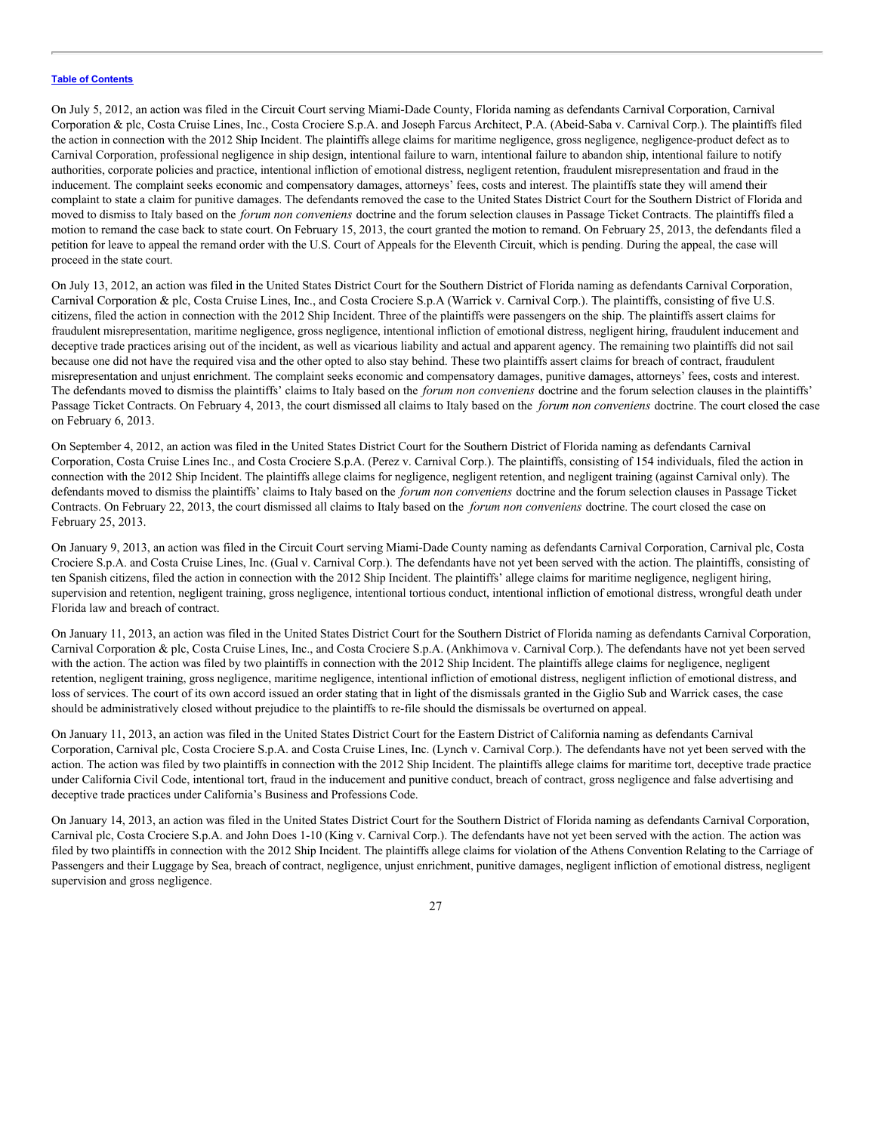On July 5, 2012, an action was filed in the Circuit Court serving Miami-Dade County, Florida naming as defendants Carnival Corporation, Carnival Corporation & plc, Costa Cruise Lines, Inc., Costa Crociere S.p.A. and Joseph Farcus Architect, P.A. (Abeid-Saba v. Carnival Corp.). The plaintiffs filed the action in connection with the 2012 Ship Incident. The plaintiffs allege claims for maritime negligence, gross negligence, negligence-product defect as to Carnival Corporation, professional negligence in ship design, intentional failure to warn, intentional failure to abandon ship, intentional failure to notify authorities, corporate policies and practice, intentional infliction of emotional distress, negligent retention, fraudulent misrepresentation and fraud in the inducement. The complaint seeks economic and compensatory damages, attorneys' fees, costs and interest. The plaintiffs state they will amend their complaint to state a claim for punitive damages. The defendants removed the case to the United States District Court for the Southern District of Florida and moved to dismiss to Italy based on the *forum non conveniens* doctrine and the forum selection clauses in Passage Ticket Contracts. The plaintiffs filed a motion to remand the case back to state court. On February 15, 2013, the court granted the motion to remand. On February 25, 2013, the defendants filed a petition for leave to appeal the remand order with the U.S. Court of Appeals for the Eleventh Circuit, which is pending. During the appeal, the case will proceed in the state court.

On July 13, 2012, an action was filed in the United States District Court for the Southern District of Florida naming as defendants Carnival Corporation, Carnival Corporation & plc, Costa Cruise Lines, Inc., and Costa Crociere S.p.A (Warrick v. Carnival Corp.). The plaintiffs, consisting of five U.S. citizens, filed the action in connection with the 2012 Ship Incident. Three of the plaintiffs were passengers on the ship. The plaintiffs assert claims for fraudulent misrepresentation, maritime negligence, gross negligence, intentional infliction of emotional distress, negligent hiring, fraudulent inducement and deceptive trade practices arising out of the incident, as well as vicarious liability and actual and apparent agency. The remaining two plaintiffs did not sail because one did not have the required visa and the other opted to also stay behind. These two plaintiffs assert claims for breach of contract, fraudulent misrepresentation and unjust enrichment. The complaint seeks economic and compensatory damages, punitive damages, attorneys' fees, costs and interest. The defendants moved to dismiss the plaintiffs' claims to Italy based on the *forum non conveniens* doctrine and the forum selection clauses in the plaintiffs' Passage Ticket Contracts. On February 4, 2013, the court dismissed all claims to Italy based on the *forum non conveniens* doctrine. The court closed the case on February 6, 2013.

On September 4, 2012, an action was filed in the United States District Court for the Southern District of Florida naming as defendants Carnival Corporation, Costa Cruise Lines Inc., and Costa Crociere S.p.A. (Perez v. Carnival Corp.). The plaintiffs, consisting of 154 individuals, filed the action in connection with the 2012 Ship Incident. The plaintiffs allege claims for negligence, negligent retention, and negligent training (against Carnival only). The defendants moved to dismiss the plaintiffs' claims to Italy based on the *forum non conveniens* doctrine and the forum selection clauses in Passage Ticket Contracts. On February 22, 2013, the court dismissed all claims to Italy based on the *forum non conveniens* doctrine. The court closed the case on February 25, 2013.

On January 9, 2013, an action was filed in the Circuit Court serving Miami-Dade County naming as defendants Carnival Corporation, Carnival plc, Costa Crociere S.p.A. and Costa Cruise Lines, Inc. (Gual v. Carnival Corp.). The defendants have not yet been served with the action. The plaintiffs, consisting of ten Spanish citizens, filed the action in connection with the 2012 Ship Incident. The plaintiffs' allege claims for maritime negligence, negligent hiring, supervision and retention, negligent training, gross negligence, intentional tortious conduct, intentional infliction of emotional distress, wrongful death under Florida law and breach of contract.

On January 11, 2013, an action was filed in the United States District Court for the Southern District of Florida naming as defendants Carnival Corporation, Carnival Corporation & plc, Costa Cruise Lines, Inc., and Costa Crociere S.p.A. (Ankhimova v. Carnival Corp.). The defendants have not yet been served with the action. The action was filed by two plaintiffs in connection with the 2012 Ship Incident. The plaintiffs allege claims for negligence, negligent retention, negligent training, gross negligence, maritime negligence, intentional infliction of emotional distress, negligent infliction of emotional distress, and loss of services. The court of its own accord issued an order stating that in light of the dismissals granted in the Giglio Sub and Warrick cases, the case should be administratively closed without prejudice to the plaintiffs to re-file should the dismissals be overturned on appeal.

On January 11, 2013, an action was filed in the United States District Court for the Eastern District of California naming as defendants Carnival Corporation, Carnival plc, Costa Crociere S.p.A. and Costa Cruise Lines, Inc. (Lynch v. Carnival Corp.). The defendants have not yet been served with the action. The action was filed by two plaintiffs in connection with the 2012 Ship Incident. The plaintiffs allege claims for maritime tort, deceptive trade practice under California Civil Code, intentional tort, fraud in the inducement and punitive conduct, breach of contract, gross negligence and false advertising and deceptive trade practices under California's Business and Professions Code.

On January 14, 2013, an action was filed in the United States District Court for the Southern District of Florida naming as defendants Carnival Corporation, Carnival plc, Costa Crociere S.p.A. and John Does 1-10 (King v. Carnival Corp.). The defendants have not yet been served with the action. The action was filed by two plaintiffs in connection with the 2012 Ship Incident. The plaintiffs allege claims for violation of the Athens Convention Relating to the Carriage of Passengers and their Luggage by Sea, breach of contract, negligence, unjust enrichment, punitive damages, negligent infliction of emotional distress, negligent supervision and gross negligence.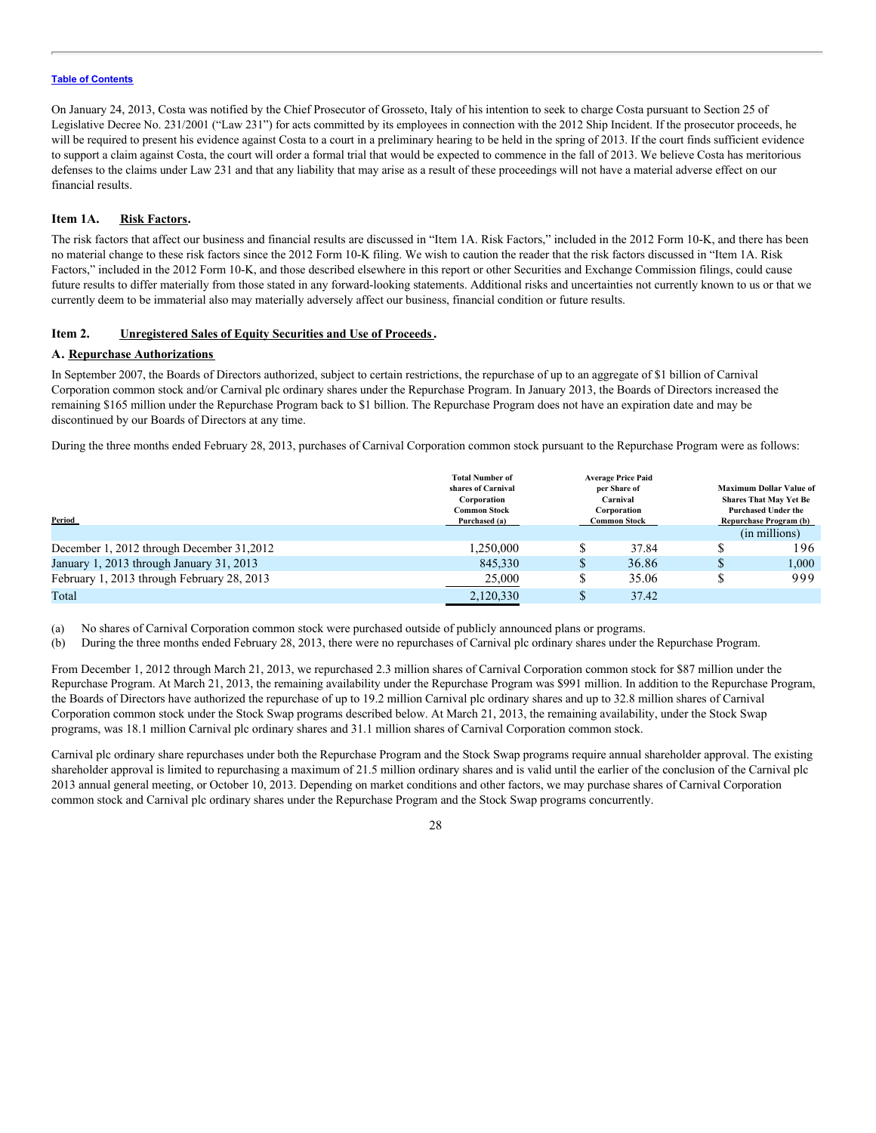<span id="page-28-0"></span>On January 24, 2013, Costa was notified by the Chief Prosecutor of Grosseto, Italy of his intention to seek to charge Costa pursuant to Section 25 of Legislative Decree No. 231/2001 ("Law 231") for acts committed by its employees in connection with the 2012 Ship Incident. If the prosecutor proceeds, he will be required to present his evidence against Costa to a court in a preliminary hearing to be held in the spring of 2013. If the court finds sufficient evidence to support a claim against Costa, the court will order a formal trial that would be expected to commence in the fall of 2013. We believe Costa has meritorious defenses to the claims under Law 231 and that any liability that may arise as a result of these proceedings will not have a material adverse effect on our financial results.

### **Item 1A. Risk Factors.**

The risk factors that affect our business and financial results are discussed in "Item 1A. Risk Factors," included in the 2012 Form 10-K, and there has been no material change to these risk factors since the 2012 Form 10-K filing. We wish to caution the reader that the risk factors discussed in "Item 1A. Risk Factors," included in the 2012 Form 10-K, and those described elsewhere in this report or other Securities and Exchange Commission filings, could cause future results to differ materially from those stated in any forward-looking statements. Additional risks and uncertainties not currently known to us or that we currently deem to be immaterial also may materially adversely affect our business, financial condition or future results.

#### **Item 2. Unregistered Sales of Equity Securities and Use of Proceeds.**

#### **A. Repurchase Authorizations**

In September 2007, the Boards of Directors authorized, subject to certain restrictions, the repurchase of up to an aggregate of \$1 billion of Carnival Corporation common stock and/or Carnival plc ordinary shares under the Repurchase Program. In January 2013, the Boards of Directors increased the remaining \$165 million under the Repurchase Program back to \$1 billion. The Repurchase Program does not have an expiration date and may be discontinued by our Boards of Directors at any time.

During the three months ended February 28, 2013, purchases of Carnival Corporation common stock pursuant to the Repurchase Program were as follows:

| Period                                     | <b>Total Number of</b><br>shares of Carnival<br>Corporation<br><b>Common Stock</b><br>Purchased (a) |    | <b>Average Price Paid</b><br>per Share of<br>Carnival<br>Corporation<br>Common Stock |   | <b>Maximum Dollar Value of</b><br><b>Shares That May Yet Be</b><br><b>Purchased Under the</b><br>Repurchase Program (b)<br>(in millions) |
|--------------------------------------------|-----------------------------------------------------------------------------------------------------|----|--------------------------------------------------------------------------------------|---|------------------------------------------------------------------------------------------------------------------------------------------|
| December 1, 2012 through December 31, 2012 | 1.250.000                                                                                           |    | 37.84                                                                                |   | 196                                                                                                                                      |
| January 1, 2013 through January 31, 2013   | 845,330                                                                                             | \$ | 36.86                                                                                | S | 1,000                                                                                                                                    |
| February 1, 2013 through February 28, 2013 | 25,000                                                                                              | ъ  | 35.06                                                                                | S | 999                                                                                                                                      |
| Total                                      | 2.120.330                                                                                           | S  | 37.42                                                                                |   |                                                                                                                                          |

(a) No shares of Carnival Corporation common stock were purchased outside of publicly announced plans or programs.

(b) During the three months ended February 28, 2013, there were no repurchases of Carnival plc ordinary shares under the Repurchase Program.

From December 1, 2012 through March 21, 2013, we repurchased 2.3 million shares of Carnival Corporation common stock for \$87 million under the Repurchase Program. At March 21, 2013, the remaining availability under the Repurchase Program was \$991 million. In addition to the Repurchase Program, the Boards of Directors have authorized the repurchase of up to 19.2 million Carnival plc ordinary shares and up to 32.8 million shares of Carnival Corporation common stock under the Stock Swap programs described below. At March 21, 2013, the remaining availability, under the Stock Swap programs, was 18.1 million Carnival plc ordinary shares and 31.1 million shares of Carnival Corporation common stock.

Carnival plc ordinary share repurchases under both the Repurchase Program and the Stock Swap programs require annual shareholder approval. The existing shareholder approval is limited to repurchasing a maximum of 21.5 million ordinary shares and is valid until the earlier of the conclusion of the Carnival plc 2013 annual general meeting, or October 10, 2013. Depending on market conditions and other factors, we may purchase shares of Carnival Corporation common stock and Carnival plc ordinary shares under the Repurchase Program and the Stock Swap programs concurrently.

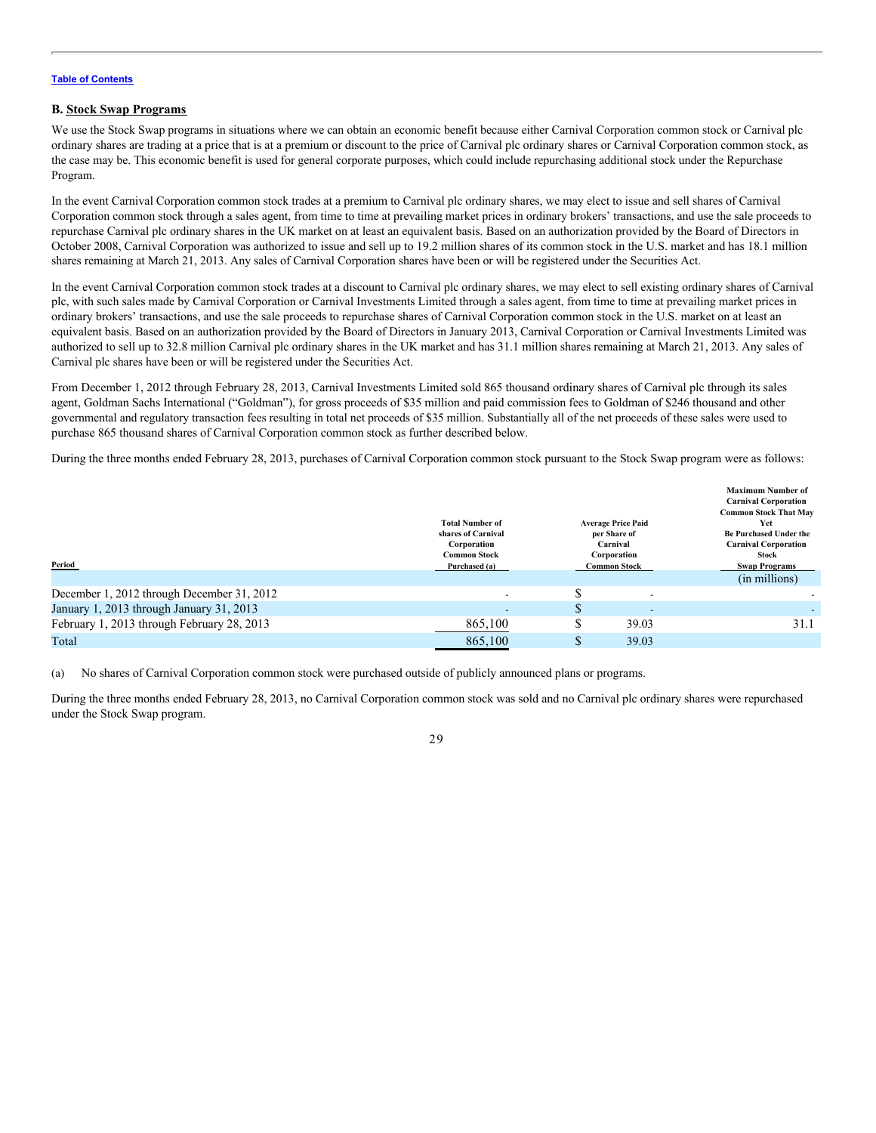### **B. Stock Swap Programs**

We use the Stock Swap programs in situations where we can obtain an economic benefit because either Carnival Corporation common stock or Carnival plc ordinary shares are trading at a price that is at a premium or discount to the price of Carnival plc ordinary shares or Carnival Corporation common stock, as the case may be. This economic benefit is used for general corporate purposes, which could include repurchasing additional stock under the Repurchase Program.

In the event Carnival Corporation common stock trades at a premium to Carnival plc ordinary shares, we may elect to issue and sell shares of Carnival Corporation common stock through a sales agent, from time to time at prevailing market prices in ordinary brokers' transactions, and use the sale proceeds to repurchase Carnival plc ordinary shares in the UK market on at least an equivalent basis. Based on an authorization provided by the Board of Directors in October 2008, Carnival Corporation was authorized to issue and sell up to 19.2 million shares of its common stock in the U.S. market and has 18.1 million shares remaining at March 21, 2013. Any sales of Carnival Corporation shares have been or will be registered under the Securities Act.

In the event Carnival Corporation common stock trades at a discount to Carnival plc ordinary shares, we may elect to sell existing ordinary shares of Carnival plc, with such sales made by Carnival Corporation or Carnival Investments Limited through a sales agent, from time to time at prevailing market prices in ordinary brokers' transactions, and use the sale proceeds to repurchase shares of Carnival Corporation common stock in the U.S. market on at least an equivalent basis. Based on an authorization provided by the Board of Directors in January 2013, Carnival Corporation or Carnival Investments Limited was authorized to sell up to 32.8 million Carnival plc ordinary shares in the UK market and has 31.1 million shares remaining at March 21, 2013. Any sales of Carnival plc shares have been or will be registered under the Securities Act.

From December 1, 2012 through February 28, 2013, Carnival Investments Limited sold 865 thousand ordinary shares of Carnival plc through its sales agent, Goldman Sachs International ("Goldman"), for gross proceeds of \$35 million and paid commission fees to Goldman of \$246 thousand and other governmental and regulatory transaction fees resulting in total net proceeds of \$35 million. Substantially all of the net proceeds of these sales were used to purchase 865 thousand shares of Carnival Corporation common stock as further described below.

During the three months ended February 28, 2013, purchases of Carnival Corporation common stock pursuant to the Stock Swap program were as follows:

| Period                                     | <b>Total Number of</b><br>shares of Carnival<br>Corporation<br><b>Common Stock</b><br>Purchased (a) |   | <b>Average Price Paid</b><br>per Share of<br>Carnival<br>Corporation<br><b>Common Stock</b> | <b>Maximum Number of</b><br><b>Carnival Corporation</b><br><b>Common Stock That May</b><br>Yet<br>Be Purchased Under the<br><b>Carnival Corporation</b><br>Stock<br><b>Swap Programs</b><br>(in millions) |
|--------------------------------------------|-----------------------------------------------------------------------------------------------------|---|---------------------------------------------------------------------------------------------|-----------------------------------------------------------------------------------------------------------------------------------------------------------------------------------------------------------|
| December 1, 2012 through December 31, 2012 |                                                                                                     |   | $\overline{\phantom{a}}$                                                                    |                                                                                                                                                                                                           |
| January 1, 2013 through January 31, 2013   | $\overline{\phantom{a}}$                                                                            | S | $\sim$                                                                                      |                                                                                                                                                                                                           |
| February 1, 2013 through February 28, 2013 | 865,100                                                                                             | S | 39.03                                                                                       | 31.1                                                                                                                                                                                                      |
| Total                                      | 865,100                                                                                             |   | 39.03                                                                                       |                                                                                                                                                                                                           |

(a) No shares of Carnival Corporation common stock were purchased outside of publicly announced plans or programs.

During the three months ended February 28, 2013, no Carnival Corporation common stock was sold and no Carnival plc ordinary shares were repurchased under the Stock Swap program.

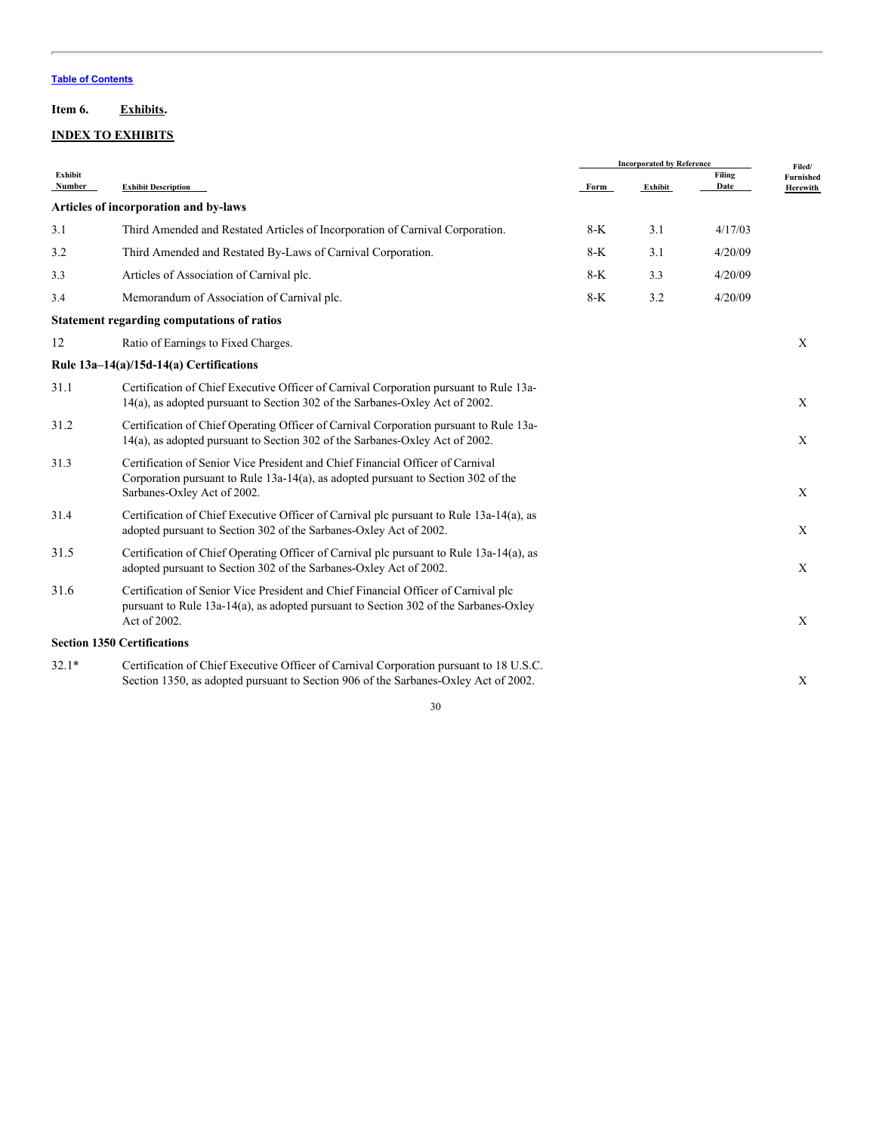### <span id="page-30-0"></span>**Item 6. Exhibits.**

### **INDEX TO EXHIBITS**

|                   |                                                                                                                                                                                                    | <b>Incorporated by Reference</b> | Filed/  |                |                              |
|-------------------|----------------------------------------------------------------------------------------------------------------------------------------------------------------------------------------------------|----------------------------------|---------|----------------|------------------------------|
| Exhibit<br>Number | <b>Exhibit Description</b>                                                                                                                                                                         | Form                             | Exhibit | Filing<br>Date | <b>Furnished</b><br>Herewith |
|                   | Articles of incorporation and by-laws                                                                                                                                                              |                                  |         |                |                              |
| 3.1               | Third Amended and Restated Articles of Incorporation of Carnival Corporation.                                                                                                                      | $8-K$                            | 3.1     | 4/17/03        |                              |
| 3.2               | Third Amended and Restated By-Laws of Carnival Corporation.                                                                                                                                        | $8-K$                            | 3.1     | 4/20/09        |                              |
| 3.3               | Articles of Association of Carnival plc.                                                                                                                                                           | $8-K$                            | 3.3     | 4/20/09        |                              |
| 3.4               | Memorandum of Association of Carnival plc.                                                                                                                                                         | $8-K$                            | 3.2     | 4/20/09        |                              |
|                   | <b>Statement regarding computations of ratios</b>                                                                                                                                                  |                                  |         |                |                              |
| 12                | Ratio of Earnings to Fixed Charges.                                                                                                                                                                |                                  |         |                | X                            |
|                   | Rule $13a-14(a)/15d-14(a)$ Certifications                                                                                                                                                          |                                  |         |                |                              |
| 31.1              | Certification of Chief Executive Officer of Carnival Corporation pursuant to Rule 13a-<br>14(a), as adopted pursuant to Section 302 of the Sarbanes-Oxley Act of 2002.                             |                                  |         |                | X                            |
| 31.2              | Certification of Chief Operating Officer of Carnival Corporation pursuant to Rule 13a-<br>14(a), as adopted pursuant to Section 302 of the Sarbanes-Oxley Act of 2002.                             |                                  |         |                | X                            |
| 31.3              | Certification of Senior Vice President and Chief Financial Officer of Carnival<br>Corporation pursuant to Rule 13a-14(a), as adopted pursuant to Section 302 of the<br>Sarbanes-Oxley Act of 2002. |                                  |         |                | X                            |
| 31.4              | Certification of Chief Executive Officer of Carnival plc pursuant to Rule 13a-14(a), as<br>adopted pursuant to Section 302 of the Sarbanes-Oxley Act of 2002.                                      |                                  |         |                | X                            |
| 31.5              | Certification of Chief Operating Officer of Carnival plc pursuant to Rule 13a-14(a), as<br>adopted pursuant to Section 302 of the Sarbanes-Oxley Act of 2002.                                      |                                  |         |                | X                            |
| 31.6              | Certification of Senior Vice President and Chief Financial Officer of Carnival plc<br>pursuant to Rule 13a-14(a), as adopted pursuant to Section 302 of the Sarbanes-Oxley<br>Act of 2002.         |                                  |         |                | X                            |
|                   | <b>Section 1350 Certifications</b>                                                                                                                                                                 |                                  |         |                |                              |
| $32.1*$           | Certification of Chief Executive Officer of Carnival Corporation pursuant to 18 U.S.C.<br>Section 1350, as adopted pursuant to Section 906 of the Sarbanes-Oxley Act of 2002.                      |                                  |         |                | X                            |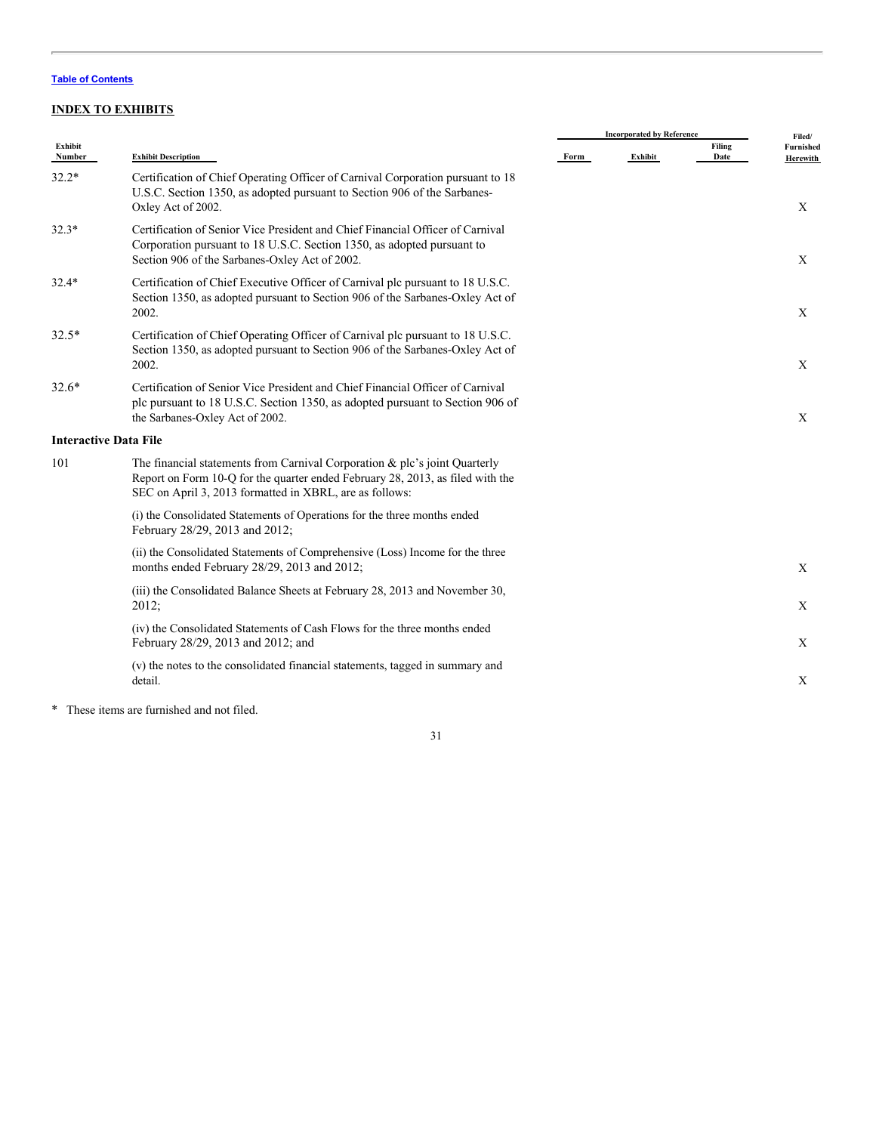### **INDEX TO EXHIBITS**

|                   |                                                                                                                                                                                                                            |  | <b>Incorporated by Reference</b> |                | Filed/                |
|-------------------|----------------------------------------------------------------------------------------------------------------------------------------------------------------------------------------------------------------------------|--|----------------------------------|----------------|-----------------------|
| Exhibit<br>Number | <b>Exhibit Description</b>                                                                                                                                                                                                 |  | Exhibit                          | Filing<br>Date | Furnished<br>Herewith |
| $32.2*$           | Certification of Chief Operating Officer of Carnival Corporation pursuant to 18<br>U.S.C. Section 1350, as adopted pursuant to Section 906 of the Sarbanes-<br>Oxley Act of 2002.                                          |  |                                  |                | X                     |
| $32.3*$           | Certification of Senior Vice President and Chief Financial Officer of Carnival<br>Corporation pursuant to 18 U.S.C. Section 1350, as adopted pursuant to<br>Section 906 of the Sarbanes-Oxley Act of 2002.                 |  |                                  |                | X                     |
| $32.4*$           | Certification of Chief Executive Officer of Carnival plc pursuant to 18 U.S.C.<br>Section 1350, as adopted pursuant to Section 906 of the Sarbanes-Oxley Act of<br>2002.                                                   |  |                                  |                | X                     |
| $32.5*$           | Certification of Chief Operating Officer of Carnival plc pursuant to 18 U.S.C.<br>Section 1350, as adopted pursuant to Section 906 of the Sarbanes-Oxley Act of<br>2002.                                                   |  |                                  |                | X                     |
| $32.6*$           | Certification of Senior Vice President and Chief Financial Officer of Carnival<br>plc pursuant to 18 U.S.C. Section 1350, as adopted pursuant to Section 906 of<br>the Sarbanes-Oxley Act of 2002.                         |  |                                  |                | X                     |
|                   | <b>Interactive Data File</b>                                                                                                                                                                                               |  |                                  |                |                       |
| 101               | The financial statements from Carnival Corporation $\&$ plc's joint Quarterly<br>Report on Form 10-Q for the quarter ended February 28, 2013, as filed with the<br>SEC on April 3, 2013 formatted in XBRL, are as follows: |  |                                  |                |                       |
|                   | (i) the Consolidated Statements of Operations for the three months ended<br>February 28/29, 2013 and 2012;                                                                                                                 |  |                                  |                |                       |
|                   | (ii) the Consolidated Statements of Comprehensive (Loss) Income for the three<br>months ended February 28/29, 2013 and 2012;                                                                                               |  |                                  |                | X                     |
|                   | (iii) the Consolidated Balance Sheets at February 28, 2013 and November 30,<br>2012;                                                                                                                                       |  |                                  |                | X                     |
|                   | (iv) the Consolidated Statements of Cash Flows for the three months ended<br>February 28/29, 2013 and 2012; and                                                                                                            |  |                                  |                | X                     |
|                   | (v) the notes to the consolidated financial statements, tagged in summary and<br>detail.                                                                                                                                   |  |                                  |                | X                     |
|                   |                                                                                                                                                                                                                            |  |                                  |                |                       |

\* These items are furnished and not filed.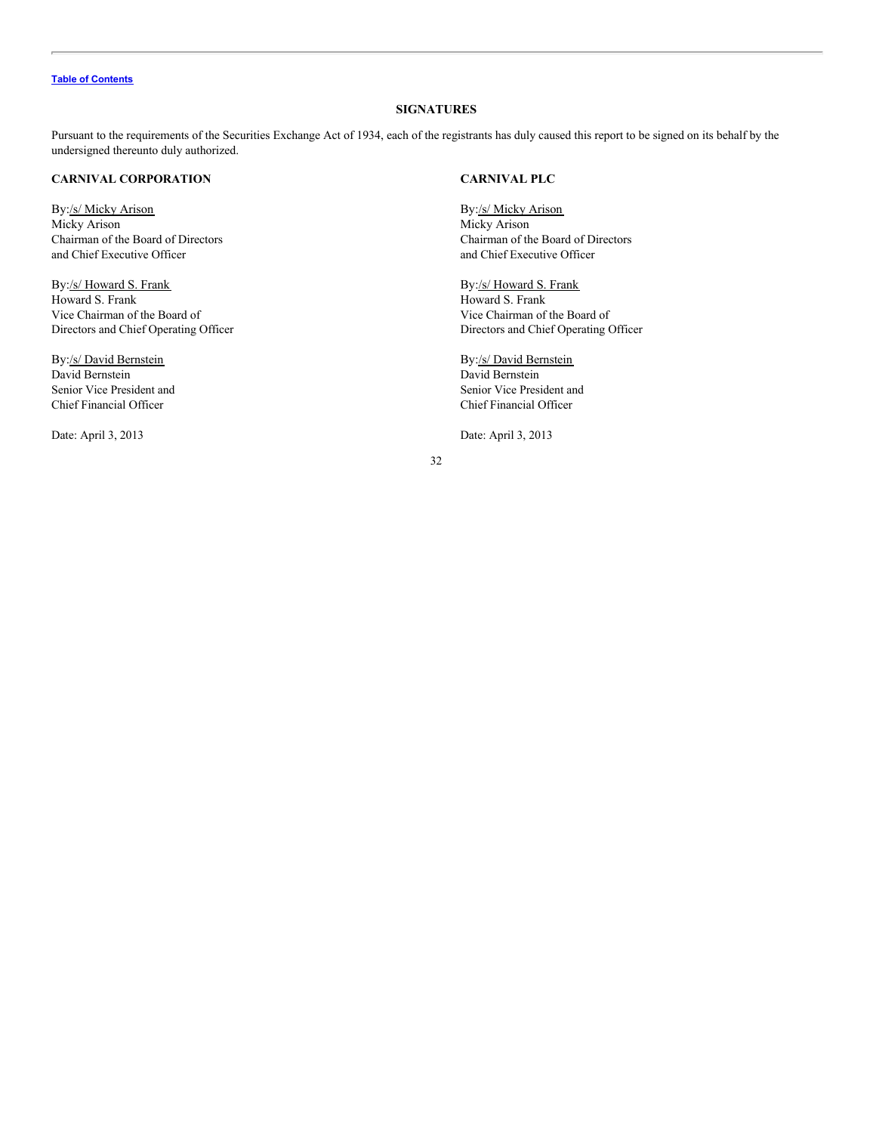### **SIGNATURES**

<span id="page-32-0"></span>Pursuant to the requirements of the Securities Exchange Act of 1934, each of the registrants has duly caused this report to be signed on its behalf by the undersigned thereunto duly authorized.

### **CARNIVAL CORPORATION CARNIVAL PLC**

By:/s/ Micky Arison By:/s/ Micky Arison Micky Arison Micky Arison

By:/s/ Howard S. Frank By:/s/ Howard S. Frank By:/s/ Howard S. Frank By:/s/ Howard S. Frank By:/s/ Howard S. Frank Vice Chairman of the Board of<br>Directors and Chief Operating Officer

By:/s/ David Bernstein By:/s/ David Bernstein David Bernstein David Bernstein Senior Vice President and Senior Vice President and Senior Vice President and Senior Vice President and Senior Vice President and Senior Vice President and Senior Vice President and Senior Vice President and Senior Vice Pr Chief Financial Officer Chief Financial Officer

Date: April 3, 2013 Date: April 3, 2013

Chairman of the Board of Directors<br>
and Chief Executive Officer<br>
State of Directors<br>
Chairman of the Board of Directors<br>
and Chief Executive Officer<br>
Chairman of the Board of Directors and Chief Executive Officer

> Howard S. Frank<br>Vice Chairman of the Board of Directors and Chief Operating Officer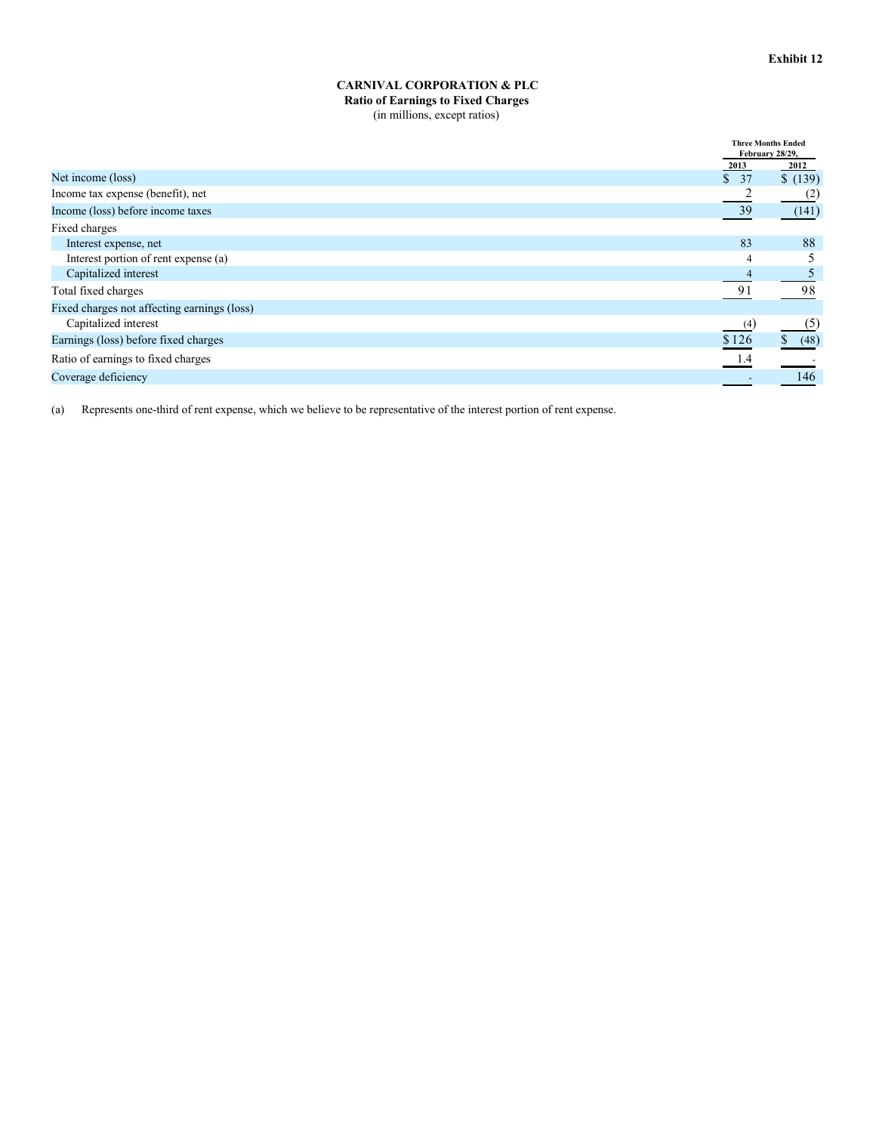### **CARNIVAL CORPORATION & PLC Ratio of Earnings to Fixed Charges** (in millions, except ratios)

|                                             |                 | <b>Three Months Ended</b><br>February 28/29, |
|---------------------------------------------|-----------------|----------------------------------------------|
|                                             | 2013            | 2012                                         |
| Net income (loss)                           | \$37            | \$ (139)                                     |
| Income tax expense (benefit), net           |                 | (2)                                          |
| Income (loss) before income taxes           | 39 <sup>7</sup> | (141)                                        |
| Fixed charges                               |                 |                                              |
| Interest expense, net                       | 83              | 88                                           |
| Interest portion of rent expense (a)        | 4               |                                              |
| Capitalized interest                        | 4               |                                              |
| Total fixed charges                         | 91              | 98                                           |
| Fixed charges not affecting earnings (loss) |                 |                                              |
| Capitalized interest                        | (4)             | (5)                                          |
| Earnings (loss) before fixed charges        | \$126           | (48)                                         |
| Ratio of earnings to fixed charges          | 1.4             |                                              |
| Coverage deficiency                         |                 | 146                                          |
|                                             |                 |                                              |

(a) Represents one-third of rent expense, which we believe to be representative of the interest portion of rent expense.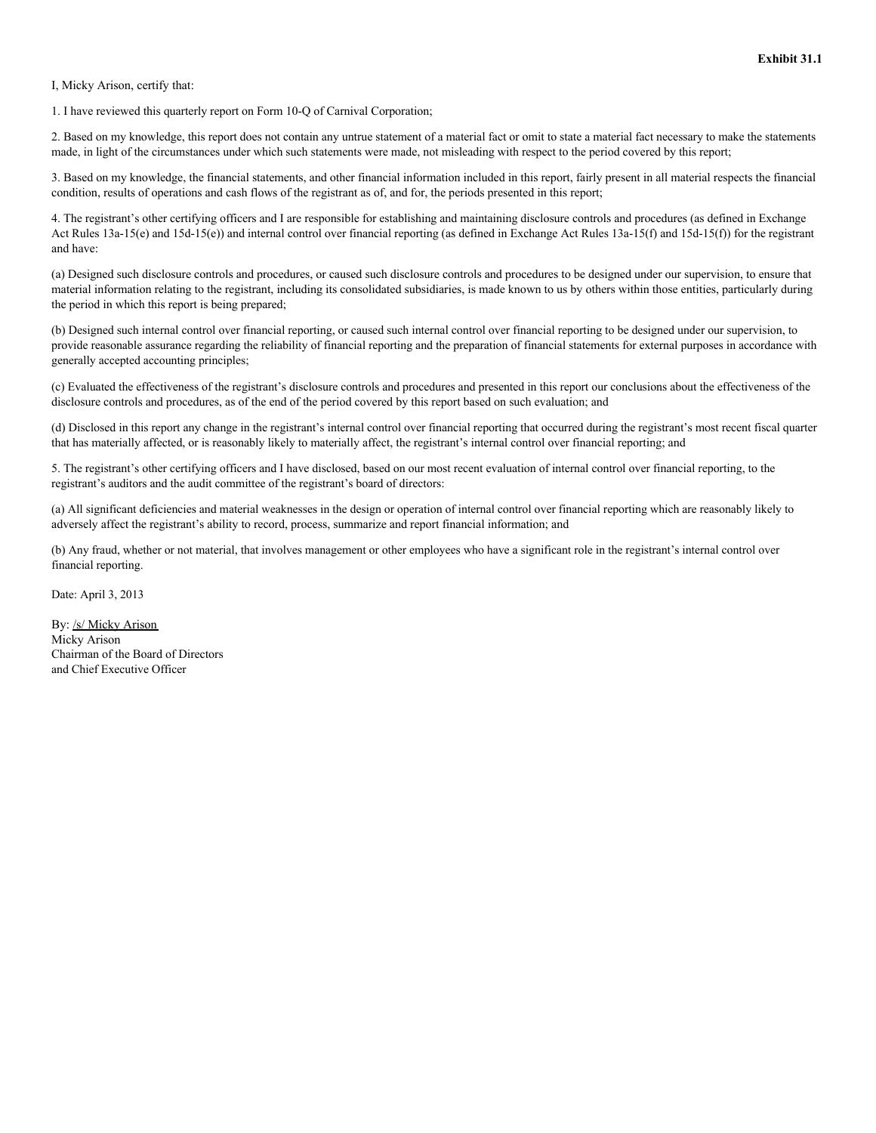I, Micky Arison, certify that:

1. I have reviewed this quarterly report on Form 10-Q of Carnival Corporation;

2. Based on my knowledge, this report does not contain any untrue statement of a material fact or omit to state a material fact necessary to make the statements made, in light of the circumstances under which such statements were made, not misleading with respect to the period covered by this report;

3. Based on my knowledge, the financial statements, and other financial information included in this report, fairly present in all material respects the financial condition, results of operations and cash flows of the registrant as of, and for, the periods presented in this report;

4. The registrant's other certifying officers and I are responsible for establishing and maintaining disclosure controls and procedures (as defined in Exchange Act Rules 13a-15(e) and 15d-15(e)) and internal control over financial reporting (as defined in Exchange Act Rules 13a-15(f) and 15d-15(f)) for the registrant and have:

(a) Designed such disclosure controls and procedures, or caused such disclosure controls and procedures to be designed under our supervision, to ensure that material information relating to the registrant, including its consolidated subsidiaries, is made known to us by others within those entities, particularly during the period in which this report is being prepared;

(b) Designed such internal control over financial reporting, or caused such internal control over financial reporting to be designed under our supervision, to provide reasonable assurance regarding the reliability of financial reporting and the preparation of financial statements for external purposes in accordance with generally accepted accounting principles;

(c) Evaluated the effectiveness of the registrant's disclosure controls and procedures and presented in this report our conclusions about the effectiveness of the disclosure controls and procedures, as of the end of the period covered by this report based on such evaluation; and

(d) Disclosed in this report any change in the registrant's internal control over financial reporting that occurred during the registrant's most recent fiscal quarter that has materially affected, or is reasonably likely to materially affect, the registrant's internal control over financial reporting; and

5. The registrant's other certifying officers and I have disclosed, based on our most recent evaluation of internal control over financial reporting, to the registrant's auditors and the audit committee of the registrant's board of directors:

(a) All significant deficiencies and material weaknesses in the design or operation of internal control over financial reporting which are reasonably likely to adversely affect the registrant's ability to record, process, summarize and report financial information; and

(b) Any fraud, whether or not material, that involves management or other employees who have a significant role in the registrant's internal control over financial reporting.

Date: April 3, 2013

By: /s/ Micky Arison Micky Arison Chairman of the Board of Directors and Chief Executive Officer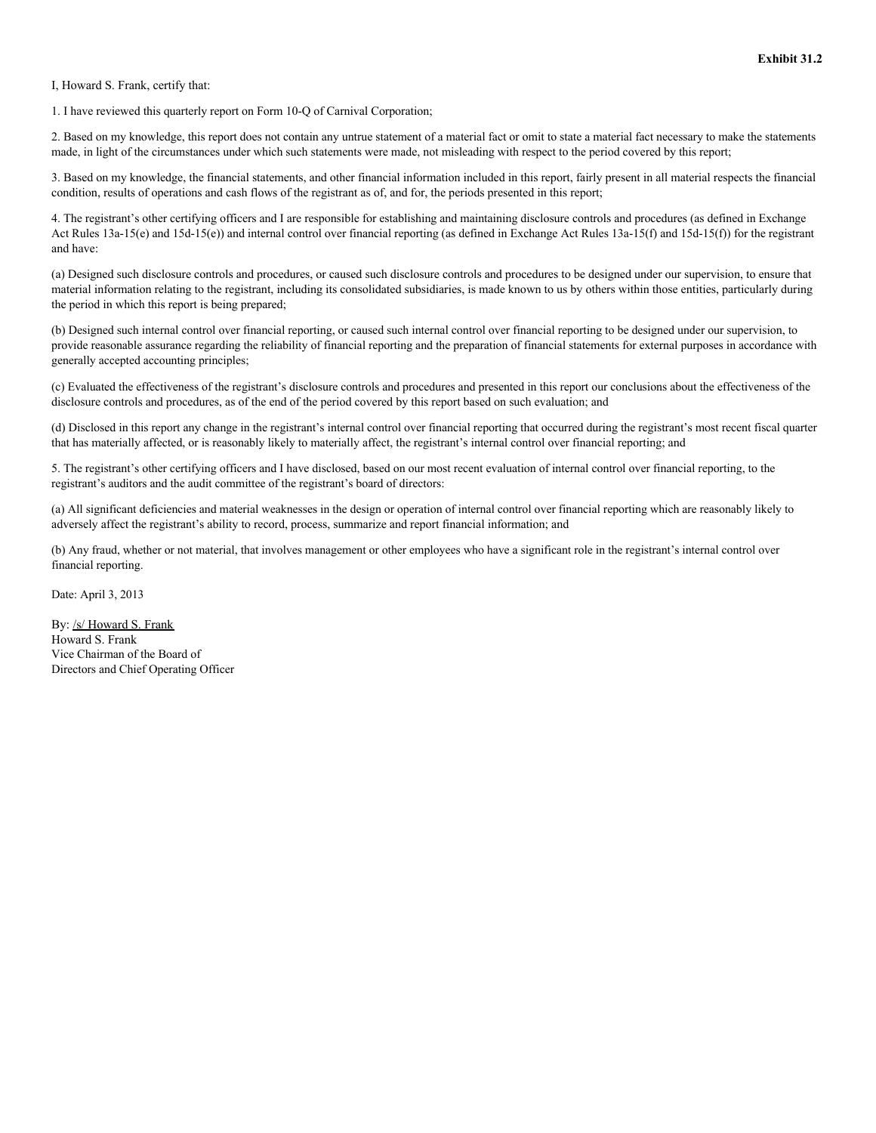I, Howard S. Frank, certify that:

1. I have reviewed this quarterly report on Form 10-Q of Carnival Corporation;

2. Based on my knowledge, this report does not contain any untrue statement of a material fact or omit to state a material fact necessary to make the statements made, in light of the circumstances under which such statements were made, not misleading with respect to the period covered by this report;

3. Based on my knowledge, the financial statements, and other financial information included in this report, fairly present in all material respects the financial condition, results of operations and cash flows of the registrant as of, and for, the periods presented in this report;

4. The registrant's other certifying officers and I are responsible for establishing and maintaining disclosure controls and procedures (as defined in Exchange Act Rules 13a-15(e) and 15d-15(e)) and internal control over financial reporting (as defined in Exchange Act Rules 13a-15(f) and 15d-15(f)) for the registrant and have:

(a) Designed such disclosure controls and procedures, or caused such disclosure controls and procedures to be designed under our supervision, to ensure that material information relating to the registrant, including its consolidated subsidiaries, is made known to us by others within those entities, particularly during the period in which this report is being prepared;

(b) Designed such internal control over financial reporting, or caused such internal control over financial reporting to be designed under our supervision, to provide reasonable assurance regarding the reliability of financial reporting and the preparation of financial statements for external purposes in accordance with generally accepted accounting principles;

(c) Evaluated the effectiveness of the registrant's disclosure controls and procedures and presented in this report our conclusions about the effectiveness of the disclosure controls and procedures, as of the end of the period covered by this report based on such evaluation; and

(d) Disclosed in this report any change in the registrant's internal control over financial reporting that occurred during the registrant's most recent fiscal quarter that has materially affected, or is reasonably likely to materially affect, the registrant's internal control over financial reporting; and

5. The registrant's other certifying officers and I have disclosed, based on our most recent evaluation of internal control over financial reporting, to the registrant's auditors and the audit committee of the registrant's board of directors:

(a) All significant deficiencies and material weaknesses in the design or operation of internal control over financial reporting which are reasonably likely to adversely affect the registrant's ability to record, process, summarize and report financial information; and

(b) Any fraud, whether or not material, that involves management or other employees who have a significant role in the registrant's internal control over financial reporting.

Date: April 3, 2013

By: /s/ Howard S. Frank Howard S. Frank Vice Chairman of the Board of Directors and Chief Operating Officer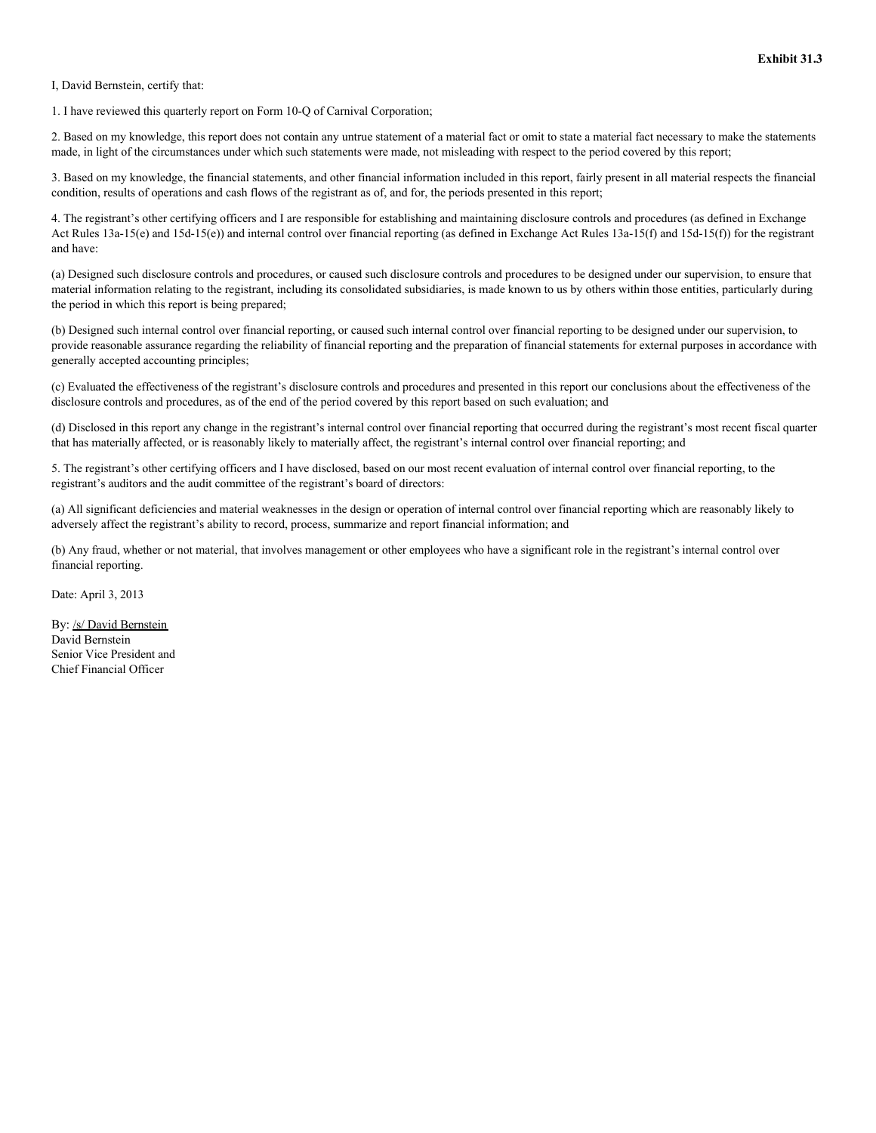I, David Bernstein, certify that:

1. I have reviewed this quarterly report on Form 10-Q of Carnival Corporation;

2. Based on my knowledge, this report does not contain any untrue statement of a material fact or omit to state a material fact necessary to make the statements made, in light of the circumstances under which such statements were made, not misleading with respect to the period covered by this report;

3. Based on my knowledge, the financial statements, and other financial information included in this report, fairly present in all material respects the financial condition, results of operations and cash flows of the registrant as of, and for, the periods presented in this report;

4. The registrant's other certifying officers and I are responsible for establishing and maintaining disclosure controls and procedures (as defined in Exchange Act Rules 13a-15(e) and 15d-15(e)) and internal control over financial reporting (as defined in Exchange Act Rules 13a-15(f) and 15d-15(f)) for the registrant and have:

(a) Designed such disclosure controls and procedures, or caused such disclosure controls and procedures to be designed under our supervision, to ensure that material information relating to the registrant, including its consolidated subsidiaries, is made known to us by others within those entities, particularly during the period in which this report is being prepared;

(b) Designed such internal control over financial reporting, or caused such internal control over financial reporting to be designed under our supervision, to provide reasonable assurance regarding the reliability of financial reporting and the preparation of financial statements for external purposes in accordance with generally accepted accounting principles;

(c) Evaluated the effectiveness of the registrant's disclosure controls and procedures and presented in this report our conclusions about the effectiveness of the disclosure controls and procedures, as of the end of the period covered by this report based on such evaluation; and

(d) Disclosed in this report any change in the registrant's internal control over financial reporting that occurred during the registrant's most recent fiscal quarter that has materially affected, or is reasonably likely to materially affect, the registrant's internal control over financial reporting; and

5. The registrant's other certifying officers and I have disclosed, based on our most recent evaluation of internal control over financial reporting, to the registrant's auditors and the audit committee of the registrant's board of directors:

(a) All significant deficiencies and material weaknesses in the design or operation of internal control over financial reporting which are reasonably likely to adversely affect the registrant's ability to record, process, summarize and report financial information; and

(b) Any fraud, whether or not material, that involves management or other employees who have a significant role in the registrant's internal control over financial reporting.

Date: April 3, 2013

By: /s/ David Bernstein David Bernstein Senior Vice President and Chief Financial Officer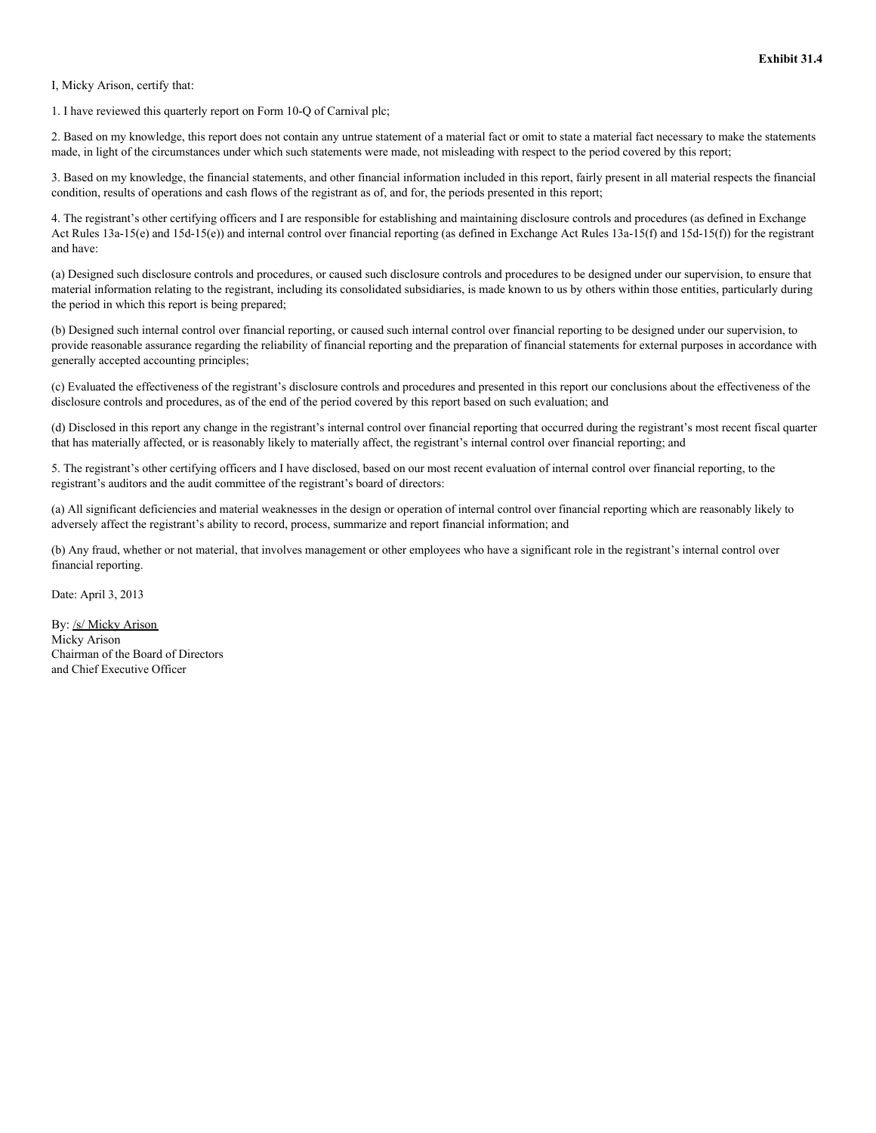I, Micky Arison, certify that:

1. I have reviewed this quarterly report on Form 10-Q of Carnival plc;

2. Based on my knowledge, this report does not contain any untrue statement of a material fact or omit to state a material fact necessary to make the statements made, in light of the circumstances under which such statements were made, not misleading with respect to the period covered by this report;

3. Based on my knowledge, the financial statements, and other financial information included in this report, fairly present in all material respects the financial condition, results of operations and cash flows of the registrant as of, and for, the periods presented in this report;

4. The registrant's other certifying officers and I are responsible for establishing and maintaining disclosure controls and procedures (as defined in Exchange Act Rules 13a-15(e) and 15d-15(e)) and internal control over financial reporting (as defined in Exchange Act Rules 13a-15(f) and 15d-15(f)) for the registrant and have:

(a) Designed such disclosure controls and procedures, or caused such disclosure controls and procedures to be designed under our supervision, to ensure that material information relating to the registrant, including its consolidated subsidiaries, is made known to us by others within those entities, particularly during the period in which this report is being prepared;

(b) Designed such internal control over financial reporting, or caused such internal control over financial reporting to be designed under our supervision, to provide reasonable assurance regarding the reliability of financial reporting and the preparation of financial statements for external purposes in accordance with generally accepted accounting principles;

(c) Evaluated the effectiveness of the registrant's disclosure controls and procedures and presented in this report our conclusions about the effectiveness of the disclosure controls and procedures, as of the end of the period covered by this report based on such evaluation; and

(d) Disclosed in this report any change in the registrant's internal control over financial reporting that occurred during the registrant's most recent fiscal quarter that has materially affected, or is reasonably likely to materially affect, the registrant's internal control over financial reporting; and

5. The registrant's other certifying officers and I have disclosed, based on our most recent evaluation of internal control over financial reporting, to the registrant's auditors and the audit committee of the registrant's board of directors:

(a) All significant deficiencies and material weaknesses in the design or operation of internal control over financial reporting which are reasonably likely to adversely affect the registrant's ability to record, process, summarize and report financial information; and

(b) Any fraud, whether or not material, that involves management or other employees who have a significant role in the registrant's internal control over financial reporting.

Date: April 3, 2013

By: /s/ Micky Arison Micky Arison Chairman of the Board of Directors and Chief Executive Officer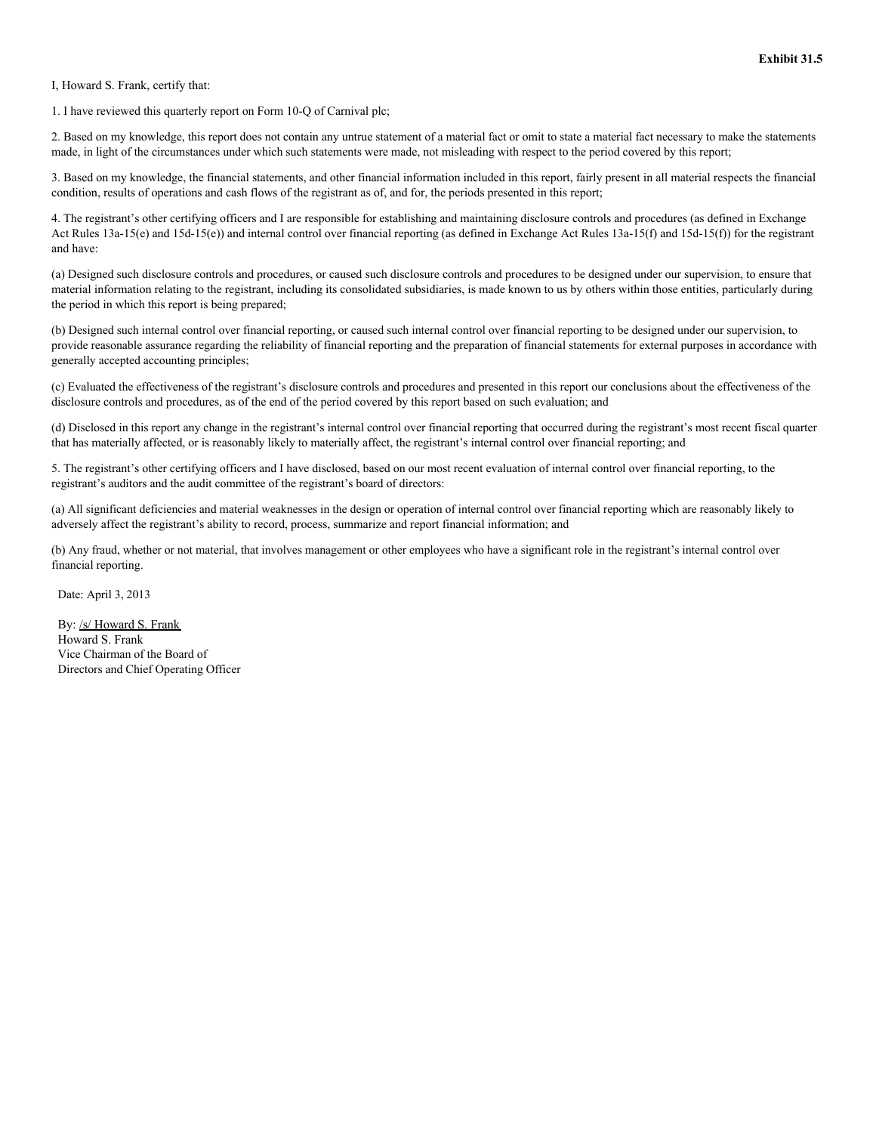I, Howard S. Frank, certify that:

1. I have reviewed this quarterly report on Form 10-Q of Carnival plc;

2. Based on my knowledge, this report does not contain any untrue statement of a material fact or omit to state a material fact necessary to make the statements made, in light of the circumstances under which such statements were made, not misleading with respect to the period covered by this report;

3. Based on my knowledge, the financial statements, and other financial information included in this report, fairly present in all material respects the financial condition, results of operations and cash flows of the registrant as of, and for, the periods presented in this report;

4. The registrant's other certifying officers and I are responsible for establishing and maintaining disclosure controls and procedures (as defined in Exchange Act Rules 13a-15(e) and 15d-15(e)) and internal control over financial reporting (as defined in Exchange Act Rules 13a-15(f) and 15d-15(f)) for the registrant and have:

(a) Designed such disclosure controls and procedures, or caused such disclosure controls and procedures to be designed under our supervision, to ensure that material information relating to the registrant, including its consolidated subsidiaries, is made known to us by others within those entities, particularly during the period in which this report is being prepared;

(b) Designed such internal control over financial reporting, or caused such internal control over financial reporting to be designed under our supervision, to provide reasonable assurance regarding the reliability of financial reporting and the preparation of financial statements for external purposes in accordance with generally accepted accounting principles;

(c) Evaluated the effectiveness of the registrant's disclosure controls and procedures and presented in this report our conclusions about the effectiveness of the disclosure controls and procedures, as of the end of the period covered by this report based on such evaluation; and

(d) Disclosed in this report any change in the registrant's internal control over financial reporting that occurred during the registrant's most recent fiscal quarter that has materially affected, or is reasonably likely to materially affect, the registrant's internal control over financial reporting; and

5. The registrant's other certifying officers and I have disclosed, based on our most recent evaluation of internal control over financial reporting, to the registrant's auditors and the audit committee of the registrant's board of directors:

(a) All significant deficiencies and material weaknesses in the design or operation of internal control over financial reporting which are reasonably likely to adversely affect the registrant's ability to record, process, summarize and report financial information; and

(b) Any fraud, whether or not material, that involves management or other employees who have a significant role in the registrant's internal control over financial reporting.

Date: April 3, 2013

By: /s/ Howard S. Frank Howard S. Frank Vice Chairman of the Board of Directors and Chief Operating Officer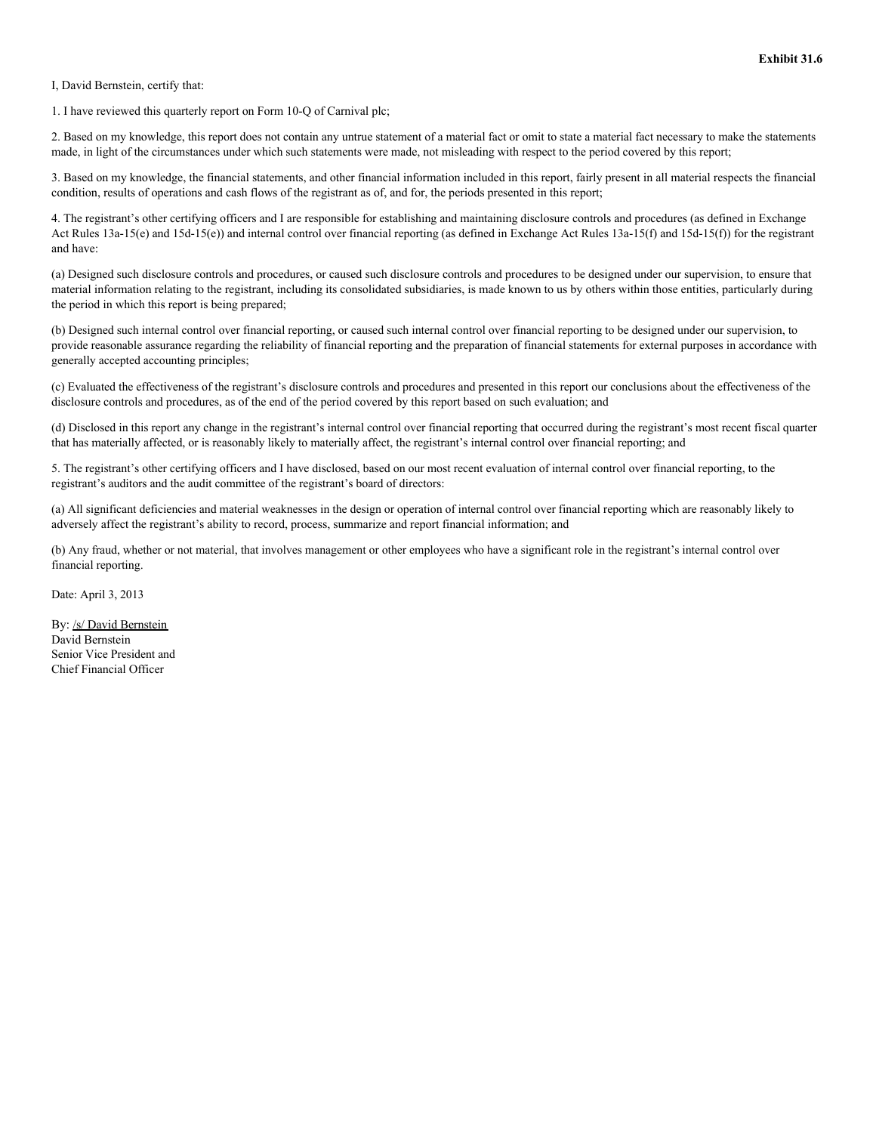I, David Bernstein, certify that:

1. I have reviewed this quarterly report on Form 10-Q of Carnival plc;

2. Based on my knowledge, this report does not contain any untrue statement of a material fact or omit to state a material fact necessary to make the statements made, in light of the circumstances under which such statements were made, not misleading with respect to the period covered by this report;

3. Based on my knowledge, the financial statements, and other financial information included in this report, fairly present in all material respects the financial condition, results of operations and cash flows of the registrant as of, and for, the periods presented in this report;

4. The registrant's other certifying officers and I are responsible for establishing and maintaining disclosure controls and procedures (as defined in Exchange Act Rules 13a-15(e) and 15d-15(e)) and internal control over financial reporting (as defined in Exchange Act Rules 13a-15(f) and 15d-15(f)) for the registrant and have:

(a) Designed such disclosure controls and procedures, or caused such disclosure controls and procedures to be designed under our supervision, to ensure that material information relating to the registrant, including its consolidated subsidiaries, is made known to us by others within those entities, particularly during the period in which this report is being prepared;

(b) Designed such internal control over financial reporting, or caused such internal control over financial reporting to be designed under our supervision, to provide reasonable assurance regarding the reliability of financial reporting and the preparation of financial statements for external purposes in accordance with generally accepted accounting principles;

(c) Evaluated the effectiveness of the registrant's disclosure controls and procedures and presented in this report our conclusions about the effectiveness of the disclosure controls and procedures, as of the end of the period covered by this report based on such evaluation; and

(d) Disclosed in this report any change in the registrant's internal control over financial reporting that occurred during the registrant's most recent fiscal quarter that has materially affected, or is reasonably likely to materially affect, the registrant's internal control over financial reporting; and

5. The registrant's other certifying officers and I have disclosed, based on our most recent evaluation of internal control over financial reporting, to the registrant's auditors and the audit committee of the registrant's board of directors:

(a) All significant deficiencies and material weaknesses in the design or operation of internal control over financial reporting which are reasonably likely to adversely affect the registrant's ability to record, process, summarize and report financial information; and

(b) Any fraud, whether or not material, that involves management or other employees who have a significant role in the registrant's internal control over financial reporting.

Date: April 3, 2013

By: /s/ David Bernstein David Bernstein Senior Vice President and Chief Financial Officer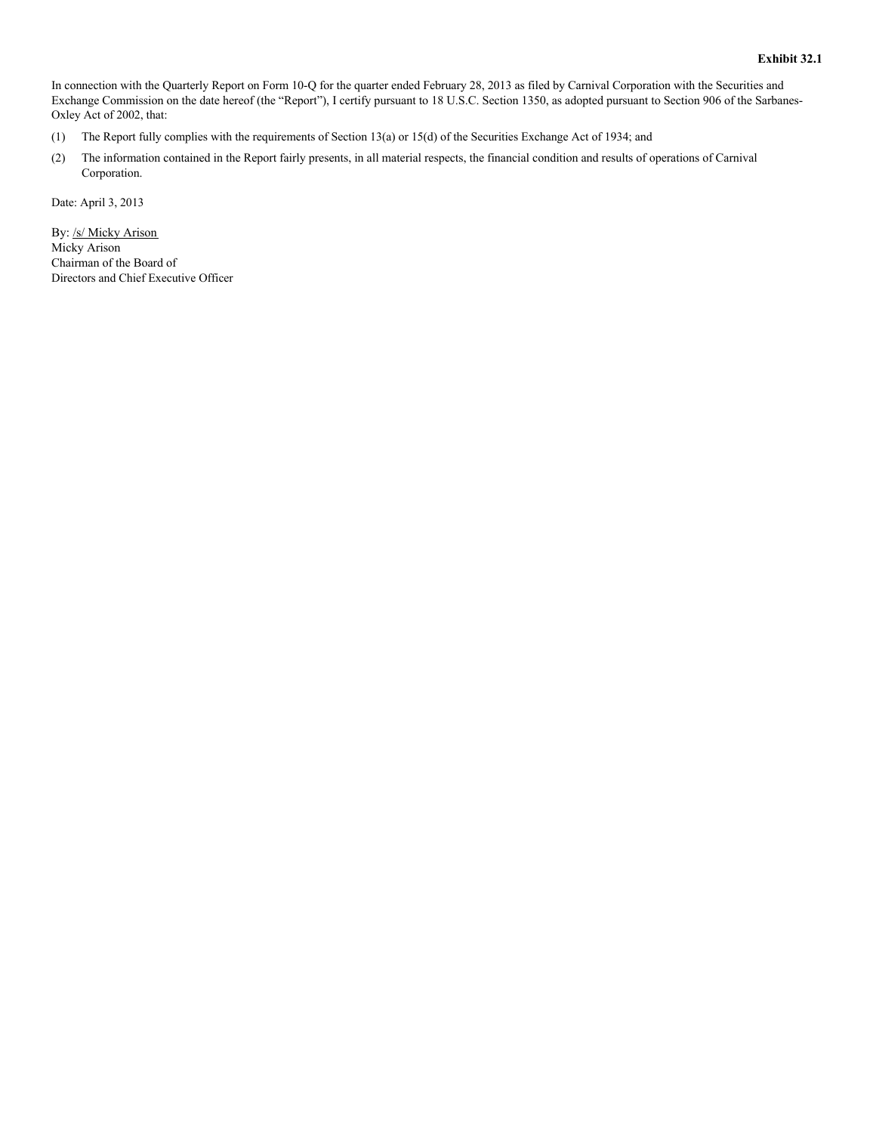In connection with the Quarterly Report on Form 10-Q for the quarter ended February 28, 2013 as filed by Carnival Corporation with the Securities and Exchange Commission on the date hereof (the "Report"), I certify pursuant to 18 U.S.C. Section 1350, as adopted pursuant to Section 906 of the Sarbanes-Oxley Act of 2002, that:

- (1) The Report fully complies with the requirements of Section 13(a) or 15(d) of the Securities Exchange Act of 1934; and
- (2) The information contained in the Report fairly presents, in all material respects, the financial condition and results of operations of Carnival Corporation.

Date: April 3, 2013

By: /s/ Micky Arison Micky Arison Chairman of the Board of Directors and Chief Executive Officer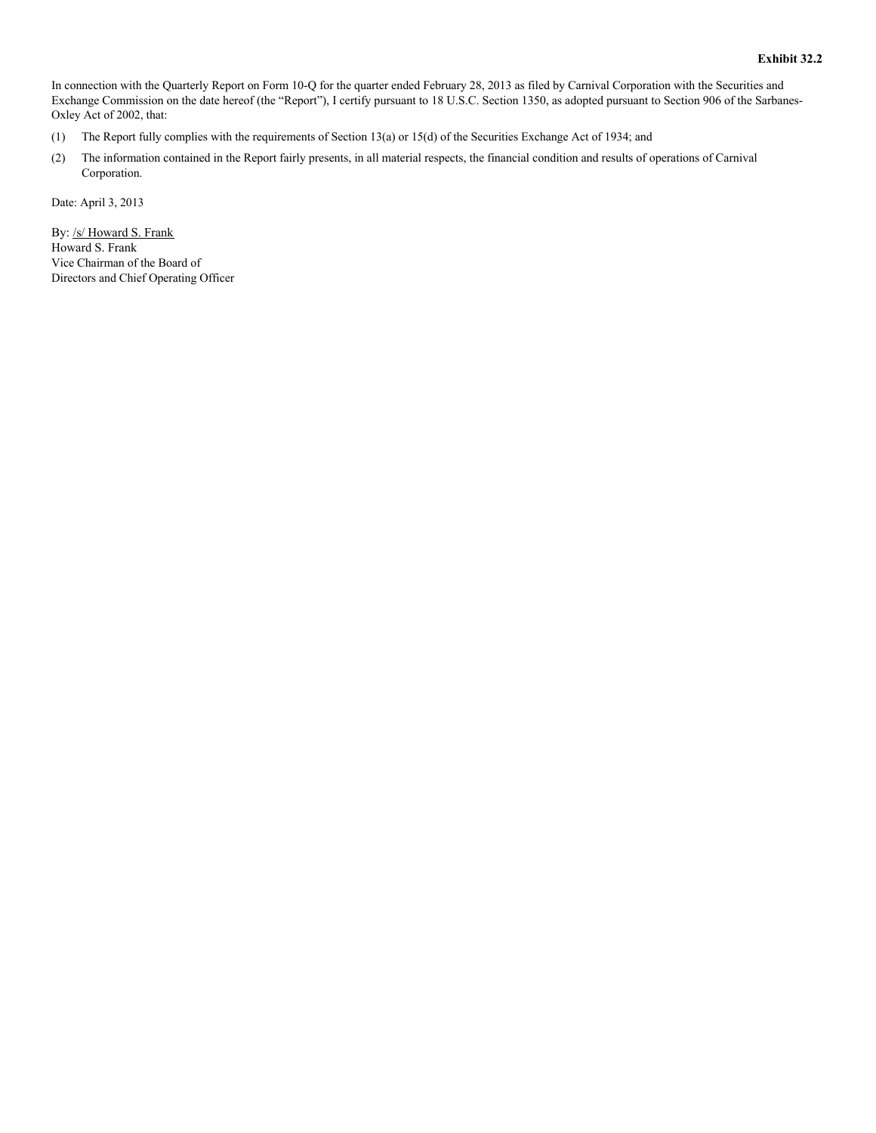In connection with the Quarterly Report on Form 10-Q for the quarter ended February 28, 2013 as filed by Carnival Corporation with the Securities and Exchange Commission on the date hereof (the "Report"), I certify pursuant to 18 U.S.C. Section 1350, as adopted pursuant to Section 906 of the Sarbanes-Oxley Act of 2002, that:

- (1) The Report fully complies with the requirements of Section 13(a) or 15(d) of the Securities Exchange Act of 1934; and
- (2) The information contained in the Report fairly presents, in all material respects, the financial condition and results of operations of Carnival Corporation.

Date: April 3, 2013

By: /s/ Howard S. Frank Howard S. Frank Vice Chairman of the Board of Directors and Chief Operating Officer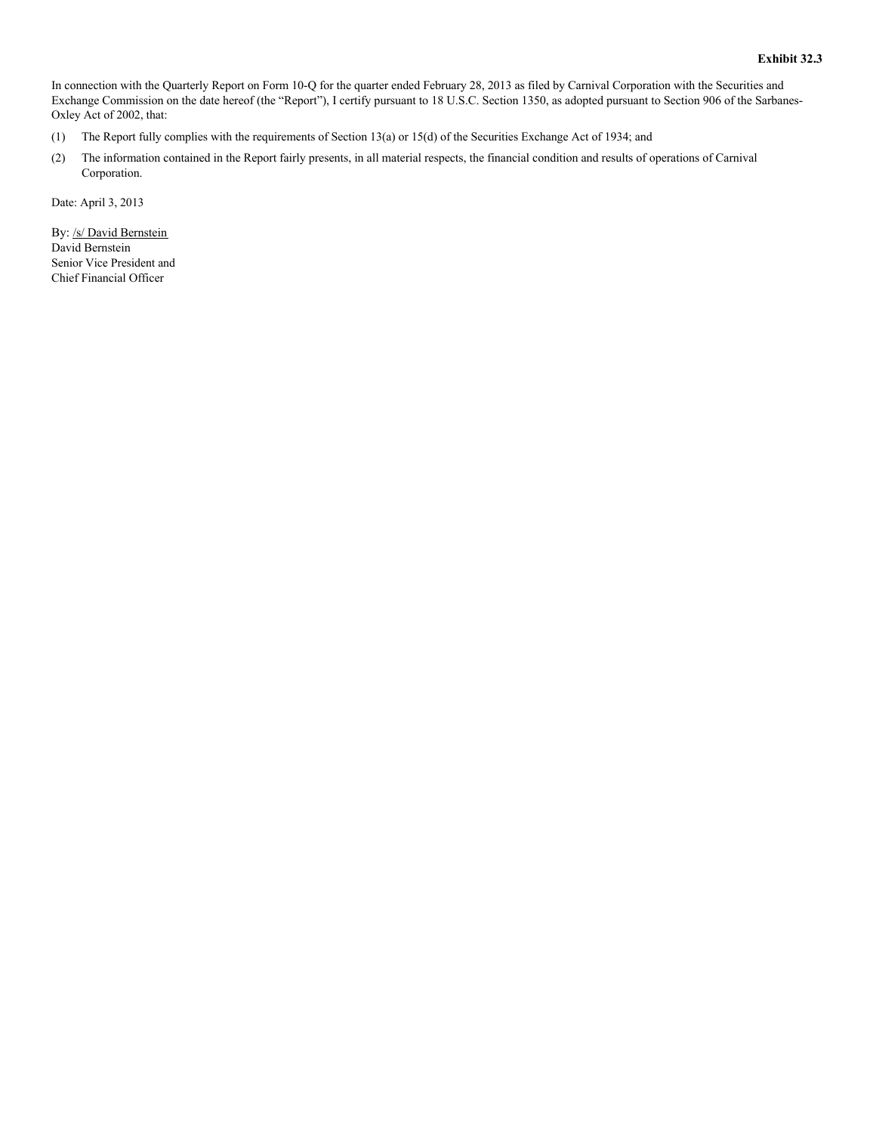In connection with the Quarterly Report on Form 10-Q for the quarter ended February 28, 2013 as filed by Carnival Corporation with the Securities and Exchange Commission on the date hereof (the "Report"), I certify pursuant to 18 U.S.C. Section 1350, as adopted pursuant to Section 906 of the Sarbanes-Oxley Act of 2002, that:

- (1) The Report fully complies with the requirements of Section 13(a) or 15(d) of the Securities Exchange Act of 1934; and
- (2) The information contained in the Report fairly presents, in all material respects, the financial condition and results of operations of Carnival Corporation.

Date: April 3, 2013

By: /s/ David Bernstein David Bernstein Senior Vice President and Chief Financial Officer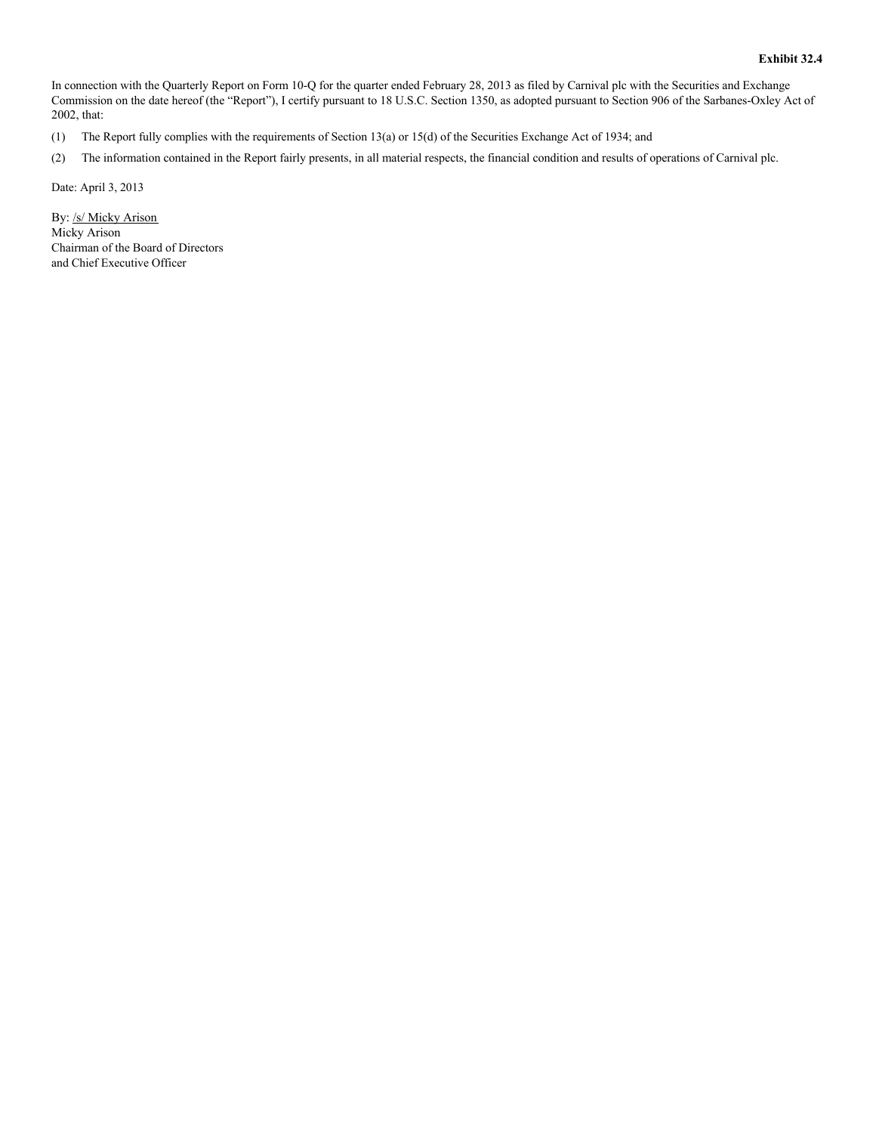In connection with the Quarterly Report on Form 10-Q for the quarter ended February 28, 2013 as filed by Carnival plc with the Securities and Exchange Commission on the date hereof (the "Report"), I certify pursuant to 18 U.S.C. Section 1350, as adopted pursuant to Section 906 of the Sarbanes-Oxley Act of 2002, that:

(1) The Report fully complies with the requirements of Section 13(a) or 15(d) of the Securities Exchange Act of 1934; and

(2) The information contained in the Report fairly presents, in all material respects, the financial condition and results of operations of Carnival plc.

Date: April 3, 2013

By: /s/ Micky Arison Micky Arison Chairman of the Board of Directors and Chief Executive Officer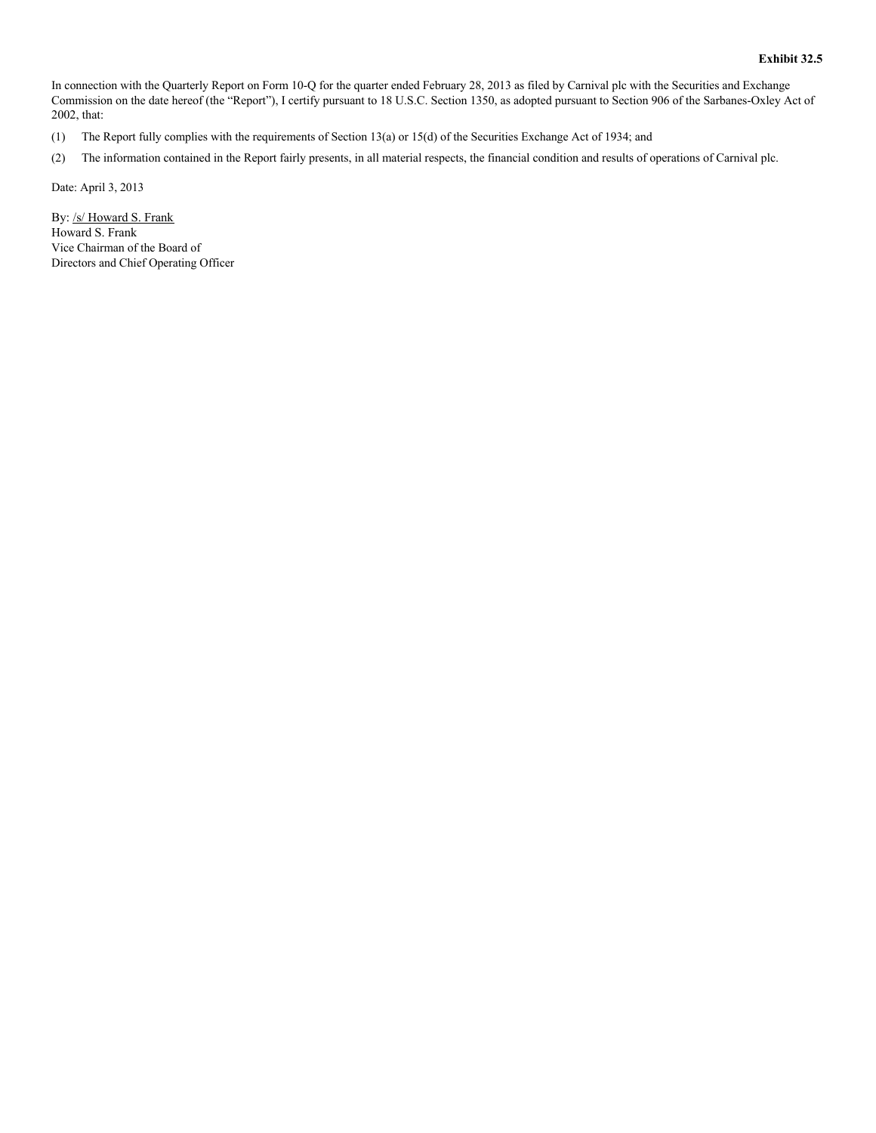In connection with the Quarterly Report on Form 10-Q for the quarter ended February 28, 2013 as filed by Carnival plc with the Securities and Exchange Commission on the date hereof (the "Report"), I certify pursuant to 18 U.S.C. Section 1350, as adopted pursuant to Section 906 of the Sarbanes-Oxley Act of 2002, that:

(1) The Report fully complies with the requirements of Section 13(a) or 15(d) of the Securities Exchange Act of 1934; and

(2) The information contained in the Report fairly presents, in all material respects, the financial condition and results of operations of Carnival plc.

Date: April 3, 2013

By: /s/ Howard S. Frank Howard S. Frank Vice Chairman of the Board of Directors and Chief Operating Officer